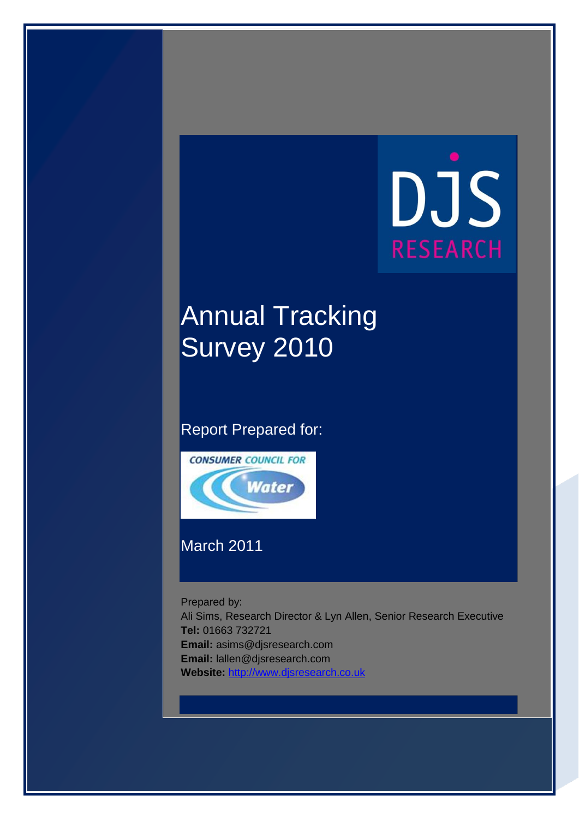# DJS **RESEARCH**

# **Annual Tracking** Survey 2010

#### Report Prepared for:



### March 2011

Prepared by:

Ali Sims, Research Director & Lyn Allen, Senior Research Executive **Tel:** 01663 732721 **Email:** asims@djsresearch.com **Email:** lallen@djsresearch.com **Website:** [http://www.djsresearch.co.uk](http://www.djsresearch.co.uk/)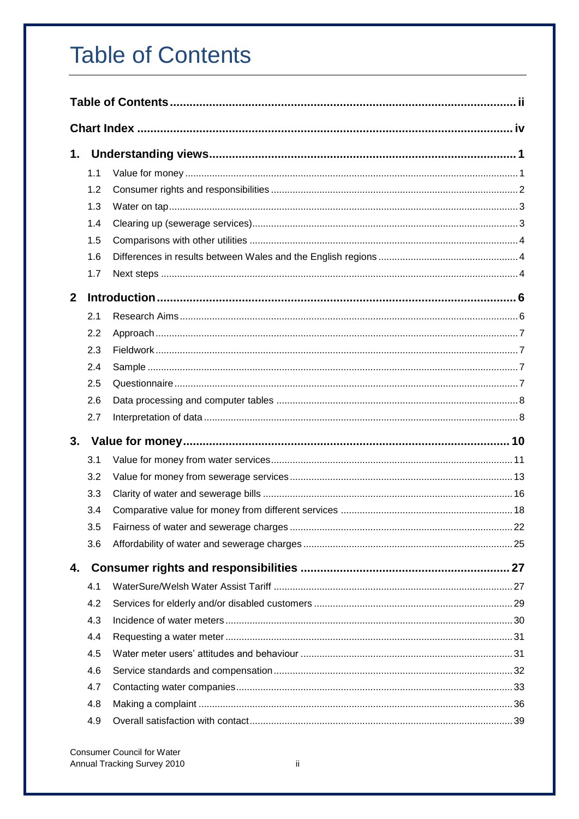# <span id="page-1-0"></span>**Table of Contents**

| 1.           |     |  |
|--------------|-----|--|
|              | 1.1 |  |
|              | 1.2 |  |
|              | 1.3 |  |
|              | 1.4 |  |
|              | 1.5 |  |
|              | 1.6 |  |
|              | 1.7 |  |
| $\mathbf{2}$ |     |  |
|              | 2.1 |  |
|              | 2.2 |  |
|              | 2.3 |  |
|              | 2.4 |  |
|              | 2.5 |  |
|              | 2.6 |  |
|              | 2.7 |  |
|              |     |  |
|              | 3.1 |  |
|              | 3.2 |  |
|              | 3.3 |  |
|              | 3.4 |  |
|              | 3.5 |  |
|              | 3.6 |  |
| 4.           |     |  |
|              | 4.1 |  |
|              | 4.2 |  |
|              | 4.3 |  |
|              | 4.4 |  |
|              | 4.5 |  |
|              | 4.6 |  |
|              | 4.7 |  |
|              | 4.8 |  |
|              | 4.9 |  |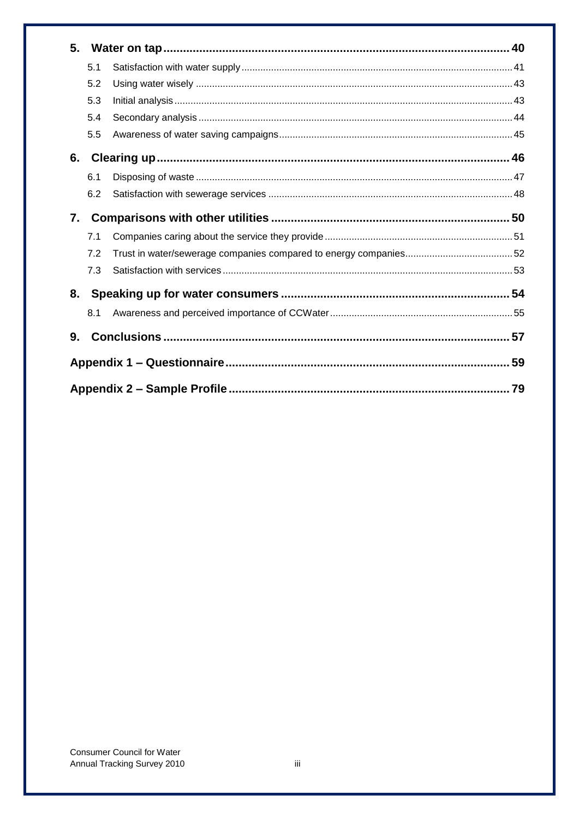| 5. |     |  |
|----|-----|--|
|    | 5.1 |  |
|    | 5.2 |  |
|    | 5.3 |  |
|    | 5.4 |  |
|    | 5.5 |  |
| 6. |     |  |
|    | 6.1 |  |
|    | 6.2 |  |
| 7. |     |  |
|    | 7.1 |  |
|    | 7.2 |  |
|    | 7.3 |  |
| 8. |     |  |
|    | 8.1 |  |
| 9. |     |  |
|    |     |  |
|    |     |  |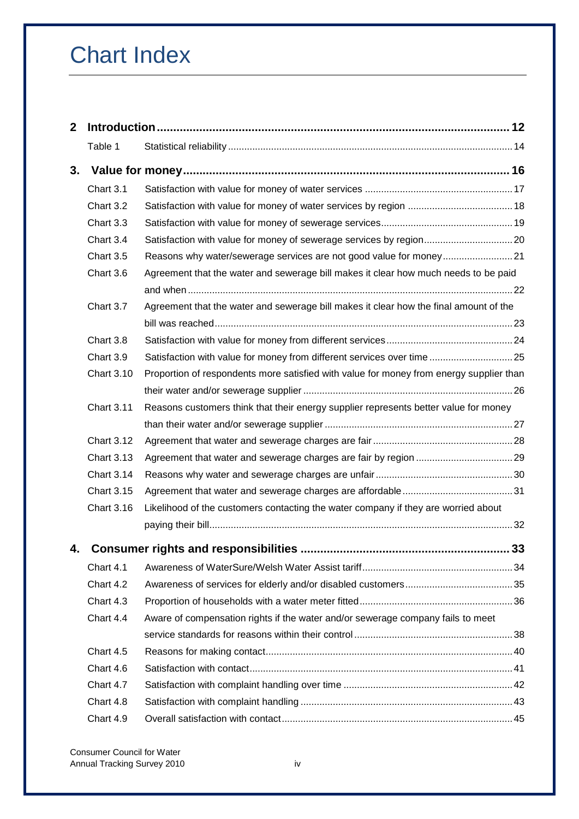# <span id="page-3-0"></span>Chart Index

| $\mathbf{2}$ |                   |                                                                                         |    |
|--------------|-------------------|-----------------------------------------------------------------------------------------|----|
|              | Table 1           |                                                                                         |    |
| 3.           |                   |                                                                                         |    |
|              | Chart 3.1         |                                                                                         |    |
|              | Chart 3.2         |                                                                                         |    |
|              | Chart 3.3         |                                                                                         |    |
|              | Chart 3.4         | Satisfaction with value for money of sewerage services by region20                      |    |
|              | Chart 3.5         |                                                                                         |    |
|              | Chart 3.6         | Agreement that the water and sewerage bill makes it clear how much needs to be paid     |    |
|              |                   |                                                                                         |    |
|              | Chart 3.7         | Agreement that the water and sewerage bill makes it clear how the final amount of the   |    |
|              |                   |                                                                                         |    |
|              | Chart 3.8         |                                                                                         |    |
|              | Chart 3.9         | Satisfaction with value for money from different services over time25                   |    |
|              | <b>Chart 3.10</b> | Proportion of respondents more satisfied with value for money from energy supplier than |    |
|              |                   |                                                                                         |    |
|              | <b>Chart 3.11</b> | Reasons customers think that their energy supplier represents better value for money    |    |
|              |                   |                                                                                         |    |
|              | <b>Chart 3.12</b> |                                                                                         |    |
|              | <b>Chart 3.13</b> |                                                                                         |    |
|              | <b>Chart 3.14</b> |                                                                                         |    |
|              | <b>Chart 3.15</b> |                                                                                         |    |
|              | <b>Chart 3.16</b> | Likelihood of the customers contacting the water company if they are worried about      |    |
|              |                   |                                                                                         |    |
| 4.           |                   | <b>Consumer rights and responsibilities </b>                                            | 33 |
|              | Chart 4.1         |                                                                                         |    |
|              | Chart 4.2         |                                                                                         |    |
|              | Chart 4.3         |                                                                                         |    |
|              | Chart 4.4         | Aware of compensation rights if the water and/or sewerage company fails to meet         |    |
|              |                   |                                                                                         |    |
|              | Chart 4.5         |                                                                                         |    |
|              | Chart 4.6         |                                                                                         |    |
|              | Chart 4.7         |                                                                                         |    |
|              | Chart 4.8         |                                                                                         |    |
|              | Chart 4.9         |                                                                                         |    |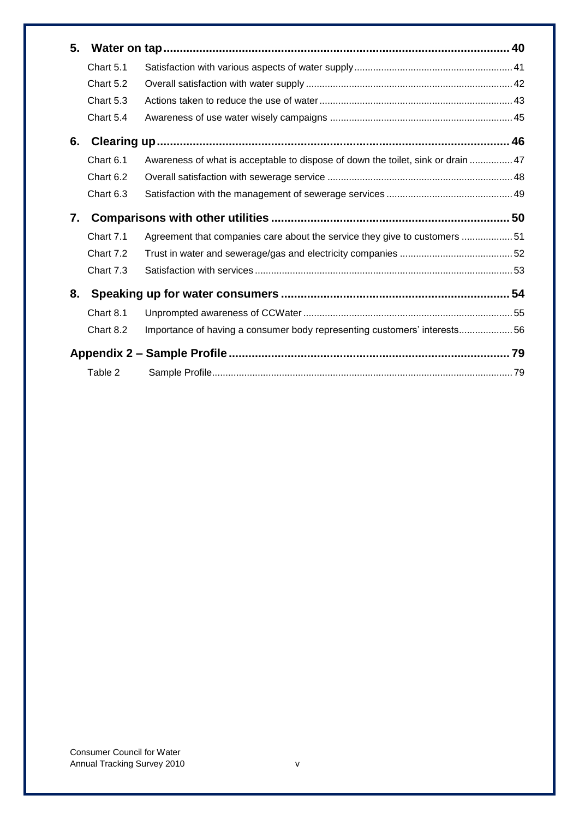| 5. |           |                                                                                  |  |
|----|-----------|----------------------------------------------------------------------------------|--|
|    | Chart 5.1 |                                                                                  |  |
|    | Chart 5.2 |                                                                                  |  |
|    | Chart 5.3 |                                                                                  |  |
|    | Chart 5.4 |                                                                                  |  |
| 6. |           |                                                                                  |  |
|    | Chart 6.1 | Awareness of what is acceptable to dispose of down the toilet, sink or drain  47 |  |
|    | Chart 6.2 |                                                                                  |  |
|    | Chart 6.3 |                                                                                  |  |
|    |           |                                                                                  |  |
| 7. |           |                                                                                  |  |
|    | Chart 7.1 | Agreement that companies care about the service they give to customers 51        |  |
|    | Chart 7.2 |                                                                                  |  |
|    | Chart 7.3 |                                                                                  |  |
| 8. |           |                                                                                  |  |
|    | Chart 8.1 |                                                                                  |  |
|    | Chart 8.2 | Importance of having a consumer body representing customers' interests56         |  |
|    |           |                                                                                  |  |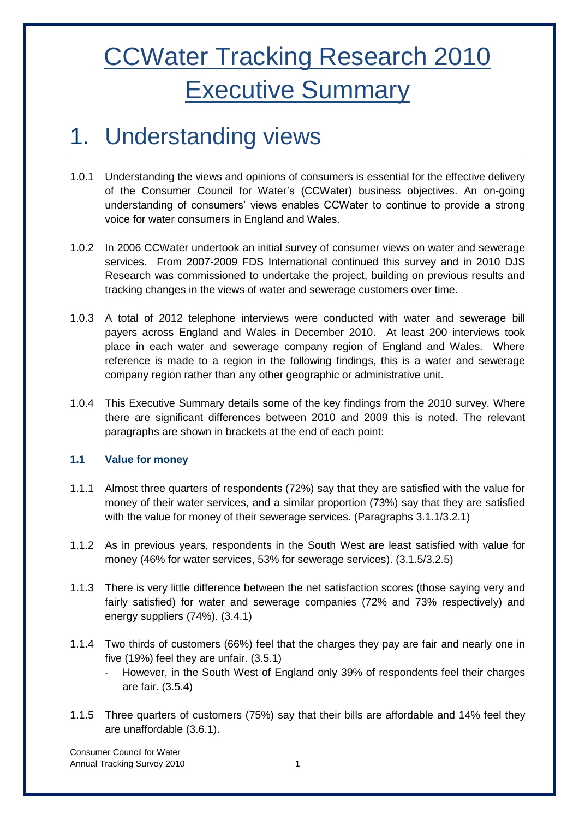# CCWater Tracking Research 2010 Executive Summary

## <span id="page-5-0"></span>1. Understanding views

- 1.0.1 Understanding the views and opinions of consumers is essential for the effective delivery of the Consumer Council for Water"s (CCWater) business objectives. An on-going understanding of consumers' views enables CCWater to continue to provide a strong voice for water consumers in England and Wales.
- 1.0.2 In 2006 CCWater undertook an initial survey of consumer views on water and sewerage services. From 2007-2009 FDS International continued this survey and in 2010 DJS Research was commissioned to undertake the project, building on previous results and tracking changes in the views of water and sewerage customers over time.
- 1.0.3 A total of 2012 telephone interviews were conducted with water and sewerage bill payers across England and Wales in December 2010. At least 200 interviews took place in each water and sewerage company region of England and Wales. Where reference is made to a region in the following findings, this is a water and sewerage company region rather than any other geographic or administrative unit.
- 1.0.4 This Executive Summary details some of the key findings from the 2010 survey. Where there are significant differences between 2010 and 2009 this is noted. The relevant paragraphs are shown in brackets at the end of each point:

#### <span id="page-5-1"></span>**1.1 Value for money**

- 1.1.1 Almost three quarters of respondents (72%) say that they are satisfied with the value for money of their water services, and a similar proportion (73%) say that they are satisfied with the value for money of their sewerage services. (Paragraphs 3.1.1/3.2.1)
- 1.1.2 As in previous years, respondents in the South West are least satisfied with value for money (46% for water services, 53% for sewerage services). (3.1.5/3.2.5)
- 1.1.3 There is very little difference between the net satisfaction scores (those saying very and fairly satisfied) for water and sewerage companies (72% and 73% respectively) and energy suppliers (74%). (3.4.1)
- 1.1.4 Two thirds of customers (66%) feel that the charges they pay are fair and nearly one in five (19%) feel they are unfair. (3.5.1)
	- However, in the South West of England only 39% of respondents feel their charges are fair. (3.5.4)
- 1.1.5 Three quarters of customers (75%) say that their bills are affordable and 14% feel they are unaffordable (3.6.1).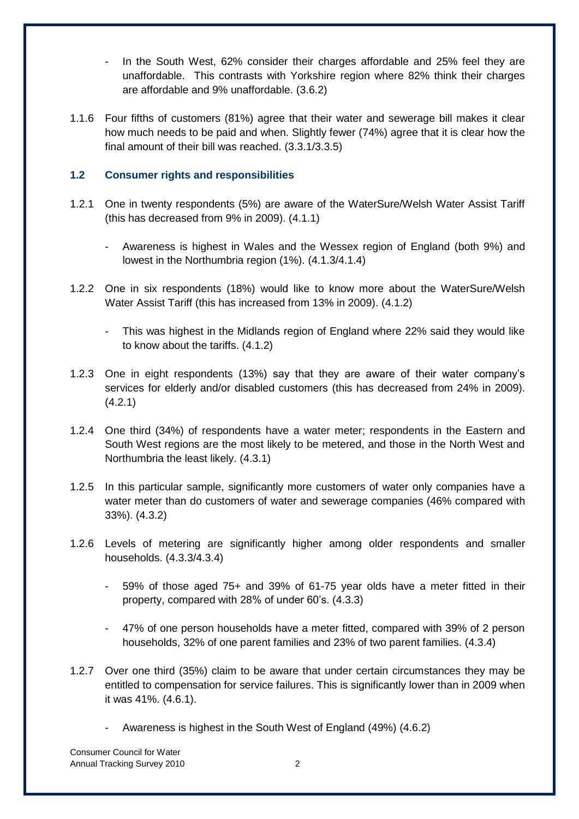- In the South West, 62% consider their charges affordable and 25% feel they are unaffordable. This contrasts with Yorkshire region where 82% think their charges are affordable and 9% unaffordable. (3.6.2)
- 1.1.6 Four fifths of customers (81%) agree that their water and sewerage bill makes it clear how much needs to be paid and when. Slightly fewer (74%) agree that it is clear how the final amount of their bill was reached. (3.3.1/3.3.5)

#### <span id="page-6-0"></span>**1.2 Consumer rights and responsibilities**

- 1.2.1 One in twenty respondents (5%) are aware of the WaterSure/Welsh Water Assist Tariff (this has decreased from 9% in 2009). (4.1.1)
	- Awareness is highest in Wales and the Wessex region of England (both 9%) and lowest in the Northumbria region (1%). (4.1.3/4.1.4)
- 1.2.2 One in six respondents (18%) would like to know more about the WaterSure/Welsh Water Assist Tariff (this has increased from 13% in 2009). (4.1.2)
	- This was highest in the Midlands region of England where 22% said they would like to know about the tariffs. (4.1.2)
- 1.2.3 One in eight respondents (13%) say that they are aware of their water company"s services for elderly and/or disabled customers (this has decreased from 24% in 2009). (4.2.1)
- 1.2.4 One third (34%) of respondents have a water meter; respondents in the Eastern and South West regions are the most likely to be metered, and those in the North West and Northumbria the least likely. (4.3.1)
- 1.2.5 In this particular sample, significantly more customers of water only companies have a water meter than do customers of water and sewerage companies (46% compared with 33%). (4.3.2)
- 1.2.6 Levels of metering are significantly higher among older respondents and smaller households. (4.3.3/4.3.4)
	- 59% of those aged 75+ and 39% of 61-75 year olds have a meter fitted in their property, compared with 28% of under 60"s. (4.3.3)
	- 47% of one person households have a meter fitted, compared with 39% of 2 person households, 32% of one parent families and 23% of two parent families. (4.3.4)
- 1.2.7 Over one third (35%) claim to be aware that under certain circumstances they may be entitled to compensation for service failures. This is significantly lower than in 2009 when it was 41%. (4.6.1).
	- Awareness is highest in the South West of England (49%) (4.6.2)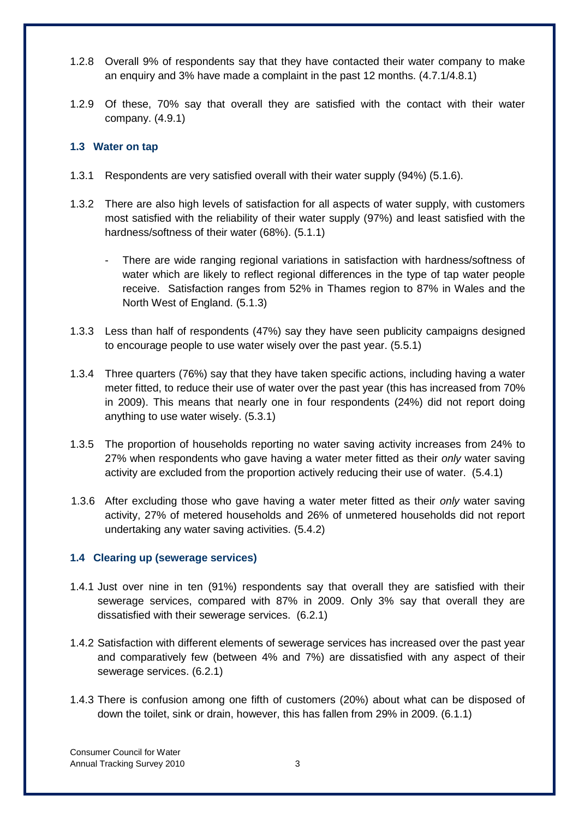- 1.2.8 Overall 9% of respondents say that they have contacted their water company to make an enquiry and 3% have made a complaint in the past 12 months. (4.7.1/4.8.1)
- 1.2.9 Of these, 70% say that overall they are satisfied with the contact with their water company. (4.9.1)

#### <span id="page-7-0"></span>**1.3 Water on tap**

- 1.3.1 Respondents are very satisfied overall with their water supply (94%) (5.1.6).
- 1.3.2 There are also high levels of satisfaction for all aspects of water supply, with customers most satisfied with the reliability of their water supply (97%) and least satisfied with the hardness/softness of their water (68%). (5.1.1)
	- There are wide ranging regional variations in satisfaction with hardness/softness of water which are likely to reflect regional differences in the type of tap water people receive. Satisfaction ranges from 52% in Thames region to 87% in Wales and the North West of England. (5.1.3)
- 1.3.3 Less than half of respondents (47%) say they have seen publicity campaigns designed to encourage people to use water wisely over the past year. (5.5.1)
- 1.3.4 Three quarters (76%) say that they have taken specific actions, including having a water meter fitted, to reduce their use of water over the past year (this has increased from 70% in 2009). This means that nearly one in four respondents (24%) did not report doing anything to use water wisely. (5.3.1)
- 1.3.5 The proportion of households reporting no water saving activity increases from 24% to 27% when respondents who gave having a water meter fitted as their *only* water saving activity are excluded from the proportion actively reducing their use of water. (5.4.1)
- 1.3.6 After excluding those who gave having a water meter fitted as their *only* water saving activity, 27% of metered households and 26% of unmetered households did not report undertaking any water saving activities. (5.4.2)

#### <span id="page-7-1"></span>**1.4 Clearing up (sewerage services)**

- 1.4.1 Just over nine in ten (91%) respondents say that overall they are satisfied with their sewerage services, compared with 87% in 2009. Only 3% say that overall they are dissatisfied with their sewerage services. (6.2.1)
- 1.4.2 Satisfaction with different elements of sewerage services has increased over the past year and comparatively few (between 4% and 7%) are dissatisfied with any aspect of their sewerage services. (6.2.1)
- 1.4.3 There is confusion among one fifth of customers (20%) about what can be disposed of down the toilet, sink or drain, however, this has fallen from 29% in 2009. (6.1.1)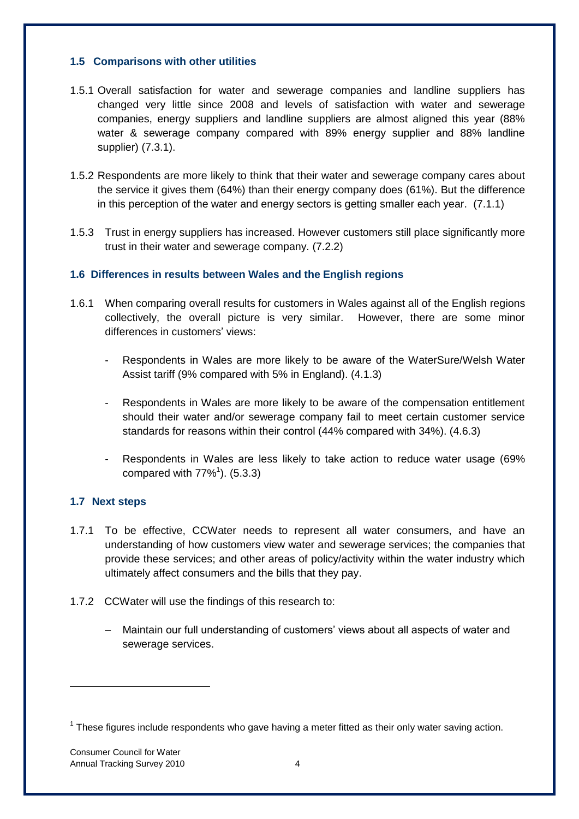#### <span id="page-8-0"></span>**1.5 Comparisons with other utilities**

- 1.5.1 Overall satisfaction for water and sewerage companies and landline suppliers has changed very little since 2008 and levels of satisfaction with water and sewerage companies, energy suppliers and landline suppliers are almost aligned this year (88% water & sewerage company compared with 89% energy supplier and 88% landline supplier) (7.3.1).
- 1.5.2 Respondents are more likely to think that their water and sewerage company cares about the service it gives them (64%) than their energy company does (61%). But the difference in this perception of the water and energy sectors is getting smaller each year. (7.1.1)
- 1.5.3 Trust in energy suppliers has increased. However customers still place significantly more trust in their water and sewerage company. (7.2.2)

#### <span id="page-8-1"></span>**1.6 Differences in results between Wales and the English regions**

- 1.6.1 When comparing overall results for customers in Wales against all of the English regions collectively, the overall picture is very similar. However, there are some minor differences in customers' views:
	- Respondents in Wales are more likely to be aware of the WaterSure/Welsh Water Assist tariff (9% compared with 5% in England). (4.1.3)
	- Respondents in Wales are more likely to be aware of the compensation entitlement should their water and/or sewerage company fail to meet certain customer service standards for reasons within their control (44% compared with 34%). (4.6.3)
	- Respondents in Wales are less likely to take action to reduce water usage (69% compared with  $77\%$ <sup>1</sup>). (5.3.3)

#### <span id="page-8-2"></span>**1.7 Next steps**

- 1.7.1 To be effective, CCWater needs to represent all water consumers, and have an understanding of how customers view water and sewerage services; the companies that provide these services; and other areas of policy/activity within the water industry which ultimately affect consumers and the bills that they pay.
- 1.7.2 CCWater will use the findings of this research to:
	- Maintain our full understanding of customers" views about all aspects of water and sewerage services.

-

 $1$  These figures include respondents who gave having a meter fitted as their only water saving action.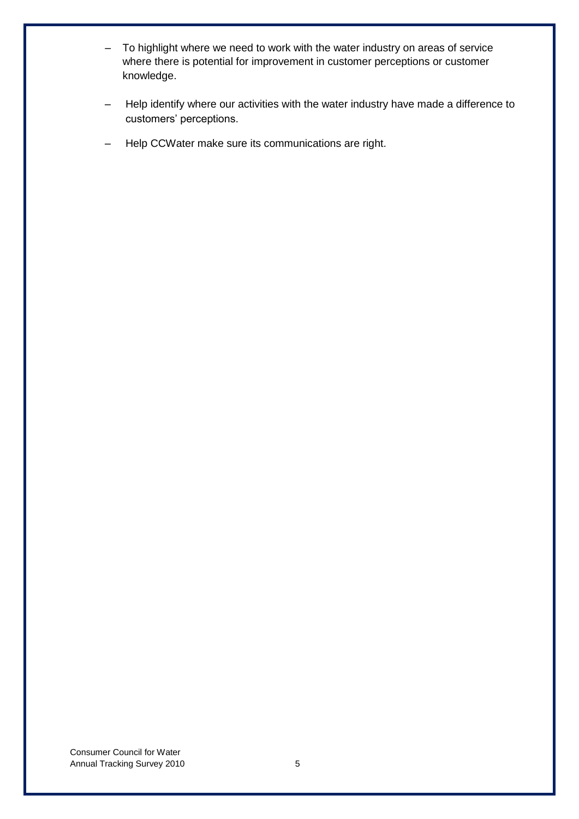- To highlight where we need to work with the water industry on areas of service where there is potential for improvement in customer perceptions or customer knowledge.
- Help identify where our activities with the water industry have made a difference to customers" perceptions.
- Help CCWater make sure its communications are right.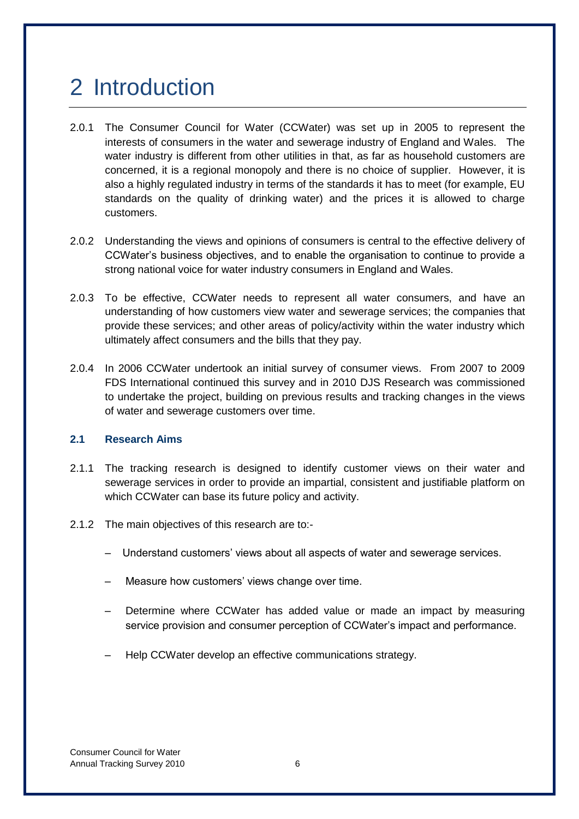# <span id="page-10-2"></span><span id="page-10-0"></span>2 Introduction

- 2.0.1 The Consumer Council for Water (CCWater) was set up in 2005 to represent the interests of consumers in the water and sewerage industry of England and Wales. The water industry is different from other utilities in that, as far as household customers are concerned, it is a regional monopoly and there is no choice of supplier. However, it is also a highly regulated industry in terms of the standards it has to meet (for example, EU standards on the quality of drinking water) and the prices it is allowed to charge customers.
- 2.0.2 Understanding the views and opinions of consumers is central to the effective delivery of CCWater"s business objectives, and to enable the organisation to continue to provide a strong national voice for water industry consumers in England and Wales.
- 2.0.3 To be effective, CCWater needs to represent all water consumers, and have an understanding of how customers view water and sewerage services; the companies that provide these services; and other areas of policy/activity within the water industry which ultimately affect consumers and the bills that they pay.
- 2.0.4 In 2006 CCWater undertook an initial survey of consumer views. From 2007 to 2009 FDS International continued this survey and in 2010 DJS Research was commissioned to undertake the project, building on previous results and tracking changes in the views of water and sewerage customers over time.

#### <span id="page-10-1"></span>**2.1 Research Aims**

- 2.1.1 The tracking research is designed to identify customer views on their water and sewerage services in order to provide an impartial, consistent and justifiable platform on which CCWater can base its future policy and activity.
- 2.1.2 The main objectives of this research are to:-
	- Understand customers" views about all aspects of water and sewerage services.
	- Measure how customers" views change over time.
	- Determine where CCWater has added value or made an impact by measuring service provision and consumer perception of CCWater"s impact and performance.
	- Help CCWater develop an effective communications strategy.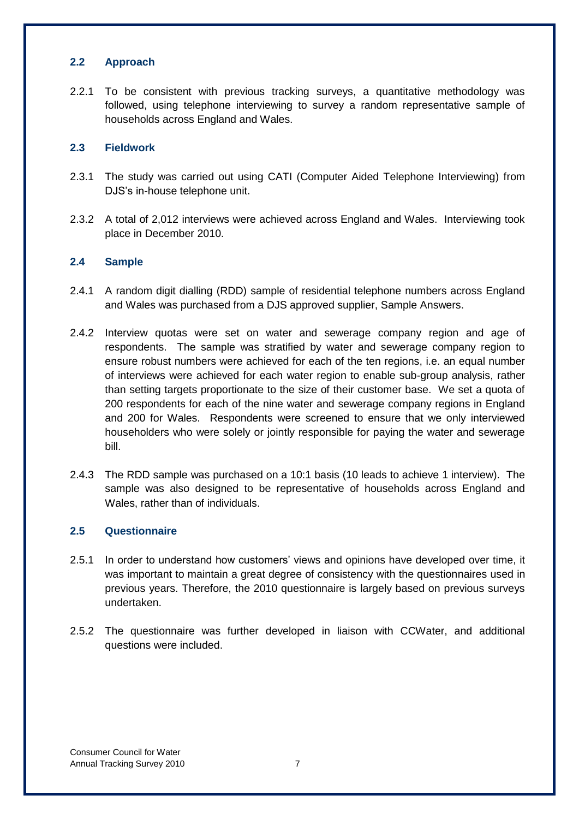#### <span id="page-11-0"></span>**2.2 Approach**

2.2.1 To be consistent with previous tracking surveys, a quantitative methodology was followed, using telephone interviewing to survey a random representative sample of households across England and Wales.

#### <span id="page-11-1"></span>**2.3 Fieldwork**

- 2.3.1 The study was carried out using CATI (Computer Aided Telephone Interviewing) from DJS"s in-house telephone unit.
- 2.3.2 A total of 2,012 interviews were achieved across England and Wales. Interviewing took place in December 2010.

#### <span id="page-11-2"></span>**2.4 Sample**

- 2.4.1 A random digit dialling (RDD) sample of residential telephone numbers across England and Wales was purchased from a DJS approved supplier, Sample Answers.
- 2.4.2 Interview quotas were set on water and sewerage company region and age of respondents. The sample was stratified by water and sewerage company region to ensure robust numbers were achieved for each of the ten regions, i.e. an equal number of interviews were achieved for each water region to enable sub-group analysis, rather than setting targets proportionate to the size of their customer base. We set a quota of 200 respondents for each of the nine water and sewerage company regions in England and 200 for Wales. Respondents were screened to ensure that we only interviewed householders who were solely or jointly responsible for paying the water and sewerage bill.
- 2.4.3 The RDD sample was purchased on a 10:1 basis (10 leads to achieve 1 interview). The sample was also designed to be representative of households across England and Wales, rather than of individuals.

#### <span id="page-11-3"></span>**2.5 Questionnaire**

- 2.5.1 In order to understand how customers" views and opinions have developed over time, it was important to maintain a great degree of consistency with the questionnaires used in previous years. Therefore, the 2010 questionnaire is largely based on previous surveys undertaken.
- 2.5.2 The questionnaire was further developed in liaison with CCWater, and additional questions were included.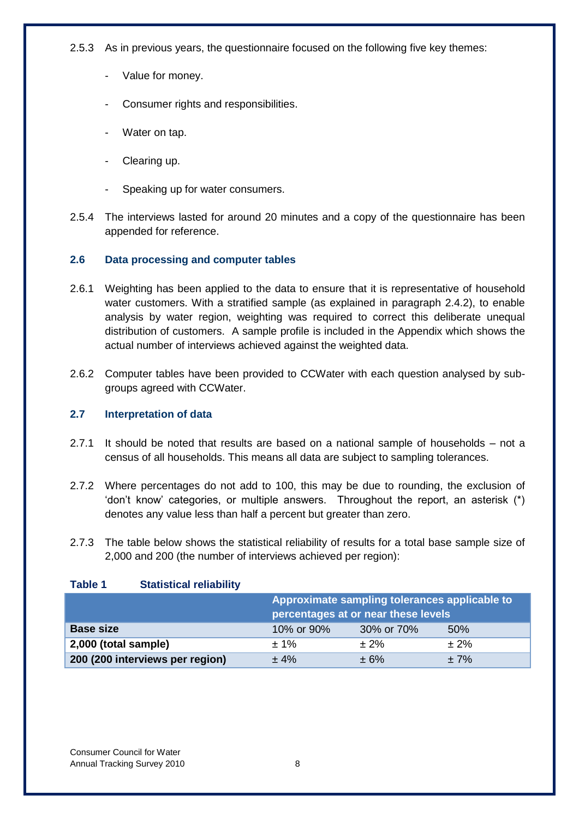2.5.3 As in previous years, the questionnaire focused on the following five key themes:

- Value for money.
- Consumer rights and responsibilities.
- Water on tap.
- Clearing up.
- Speaking up for water consumers.
- 2.5.4 The interviews lasted for around 20 minutes and a copy of the questionnaire has been appended for reference.

#### <span id="page-12-0"></span>**2.6 Data processing and computer tables**

- 2.6.1 Weighting has been applied to the data to ensure that it is representative of household water customers. With a stratified sample (as explained in paragraph 2.4.2), to enable analysis by water region, weighting was required to correct this deliberate unequal distribution of customers. A sample profile is included in the Appendix which shows the actual number of interviews achieved against the weighted data.
- 2.6.2 Computer tables have been provided to CCWater with each question analysed by subgroups agreed with CCWater.

#### <span id="page-12-1"></span>**2.7 Interpretation of data**

- 2.7.1 It should be noted that results are based on a national sample of households not a census of all households. This means all data are subject to sampling tolerances.
- 2.7.2 Where percentages do not add to 100, this may be due to rounding, the exclusion of "don"t know" categories, or multiple answers. Throughout the report, an asterisk (\*) denotes any value less than half a percent but greater than zero.
- 2.7.3 The table below shows the statistical reliability of results for a total base sample size of 2,000 and 200 (the number of interviews achieved per region):

#### <span id="page-12-2"></span>**Table 1 Statistical reliability**

|                                 |            | Approximate sampling tolerances applicable to<br>percentages at or near these levels |           |  |  |  |
|---------------------------------|------------|--------------------------------------------------------------------------------------|-----------|--|--|--|
| <b>Base size</b>                | 10% or 90% | 30% or 70%                                                                           | 50%       |  |  |  |
| 2,000 (total sample)            | $± 1\%$    | $\pm 2\%$                                                                            | $\pm 2\%$ |  |  |  |
| 200 (200 interviews per region) | ± 4%       | $\pm 6\%$                                                                            | $±7\%$    |  |  |  |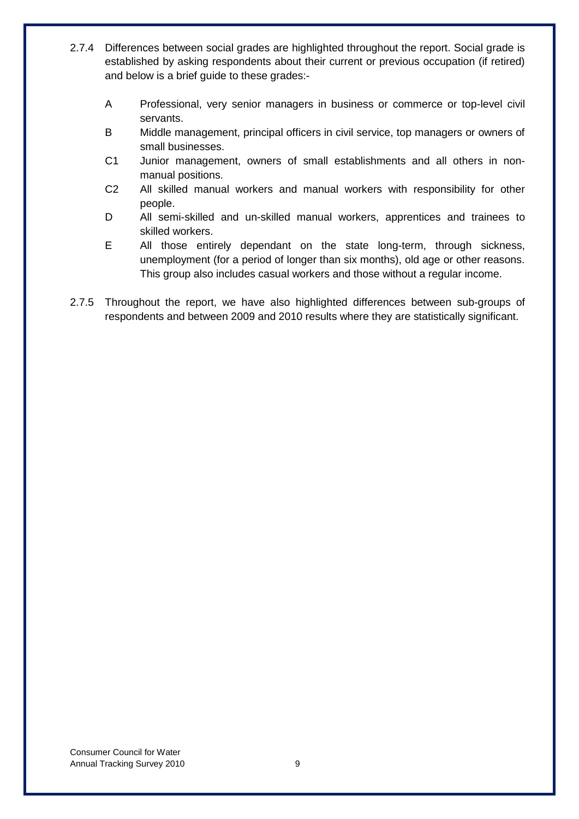- 2.7.4 Differences between social grades are highlighted throughout the report. Social grade is established by asking respondents about their current or previous occupation (if retired) and below is a brief guide to these grades:-
	- A Professional, very senior managers in business or commerce or top-level civil servants.
	- B Middle management, principal officers in civil service, top managers or owners of small businesses.
	- C1 Junior management, owners of small establishments and all others in nonmanual positions.
	- C2 All skilled manual workers and manual workers with responsibility for other people.
	- D All semi-skilled and un-skilled manual workers, apprentices and trainees to skilled workers.
	- E All those entirely dependant on the state long-term, through sickness, unemployment (for a period of longer than six months), old age or other reasons. This group also includes casual workers and those without a regular income.
- 2.7.5 Throughout the report, we have also highlighted differences between sub-groups of respondents and between 2009 and 2010 results where they are statistically significant.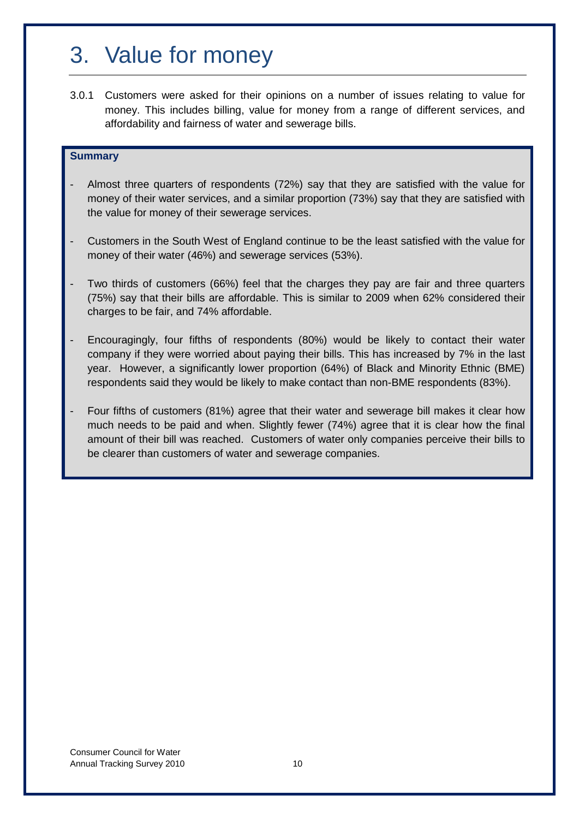## <span id="page-14-0"></span>3. Value for money

3.0.1 Customers were asked for their opinions on a number of issues relating to value for money. This includes billing, value for money from a range of different services, and affordability and fairness of water and sewerage bills.

#### **Summary**

- Almost three quarters of respondents (72%) say that they are satisfied with the value for money of their water services, and a similar proportion (73%) say that they are satisfied with the value for money of their sewerage services.
- Customers in the South West of England continue to be the least satisfied with the value for money of their water (46%) and sewerage services (53%).
- Two thirds of customers (66%) feel that the charges they pay are fair and three quarters (75%) say that their bills are affordable. This is similar to 2009 when 62% considered their charges to be fair, and 74% affordable.
- Encouragingly, four fifths of respondents (80%) would be likely to contact their water company if they were worried about paying their bills. This has increased by 7% in the last year. However, a significantly lower proportion (64%) of Black and Minority Ethnic (BME) respondents said they would be likely to make contact than non-BME respondents (83%).
- Four fifths of customers (81%) agree that their water and sewerage bill makes it clear how much needs to be paid and when. Slightly fewer (74%) agree that it is clear how the final amount of their bill was reached. Customers of water only companies perceive their bills to be clearer than customers of water and sewerage companies.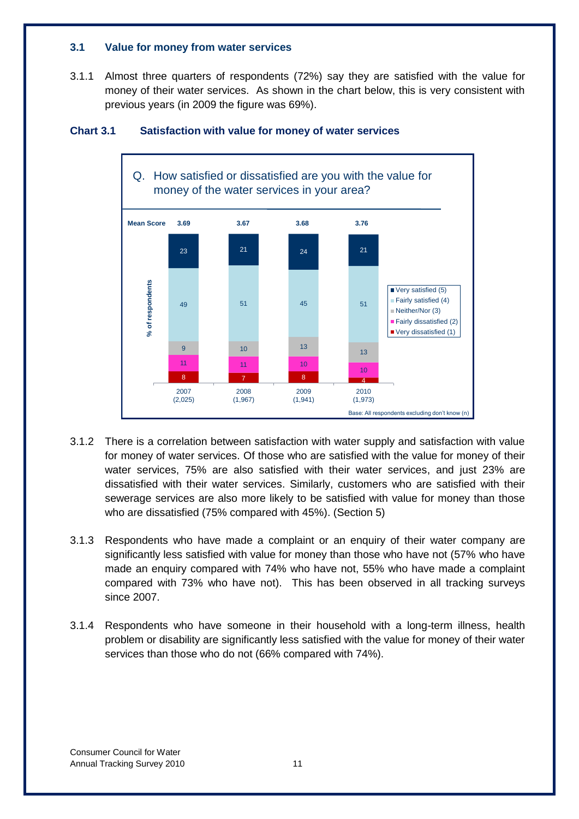#### <span id="page-15-0"></span>**3.1 Value for money from water services**

3.1.1 Almost three quarters of respondents (72%) say they are satisfied with the value for money of their water services. As shown in the chart below, this is very consistent with previous years (in 2009 the figure was 69%).



#### <span id="page-15-1"></span>**Chart 3.1 Satisfaction with value for money of water services**

- 3.1.2 There is a correlation between satisfaction with water supply and satisfaction with value for money of water services. Of those who are satisfied with the value for money of their water services, 75% are also satisfied with their water services, and just 23% are dissatisfied with their water services. Similarly, customers who are satisfied with their sewerage services are also more likely to be satisfied with value for money than those who are dissatisfied (75% compared with 45%). (Section 5)
- 3.1.3 Respondents who have made a complaint or an enquiry of their water company are significantly less satisfied with value for money than those who have not (57% who have made an enquiry compared with 74% who have not, 55% who have made a complaint compared with 73% who have not). This has been observed in all tracking surveys since 2007.
- 3.1.4 Respondents who have someone in their household with a long-term illness, health problem or disability are significantly less satisfied with the value for money of their water services than those who do not (66% compared with 74%).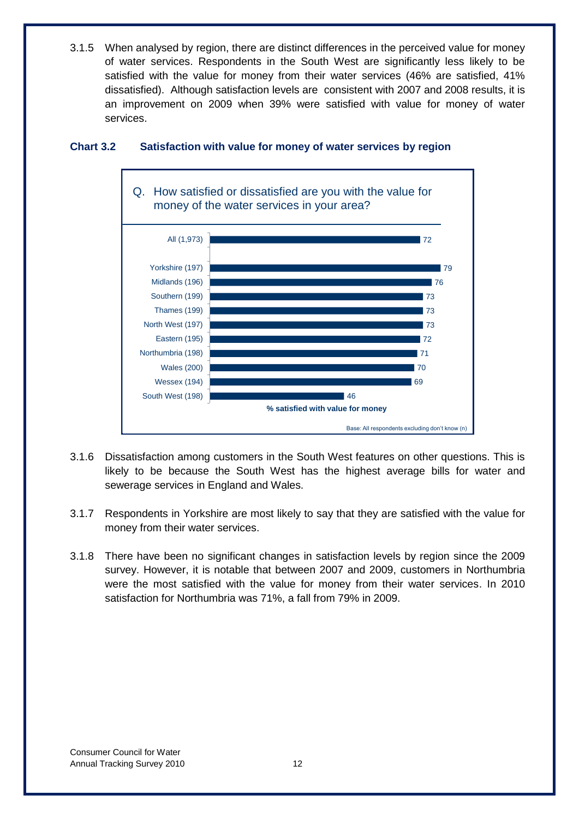3.1.5 When analysed by region, there are distinct differences in the perceived value for money of water services. Respondents in the South West are significantly less likely to be satisfied with the value for money from their water services (46% are satisfied, 41% dissatisfied). Although satisfaction levels are consistent with 2007 and 2008 results, it is an improvement on 2009 when 39% were satisfied with value for money of water services.



#### <span id="page-16-0"></span>**Chart 3.2 Satisfaction with value for money of water services by region**

- 3.1.6 Dissatisfaction among customers in the South West features on other questions. This is likely to be because the South West has the highest average bills for water and sewerage services in England and Wales.
- 3.1.7 Respondents in Yorkshire are most likely to say that they are satisfied with the value for money from their water services.
- 3.1.8 There have been no significant changes in satisfaction levels by region since the 2009 survey. However, it is notable that between 2007 and 2009, customers in Northumbria were the most satisfied with the value for money from their water services. In 2010 satisfaction for Northumbria was 71%, a fall from 79% in 2009.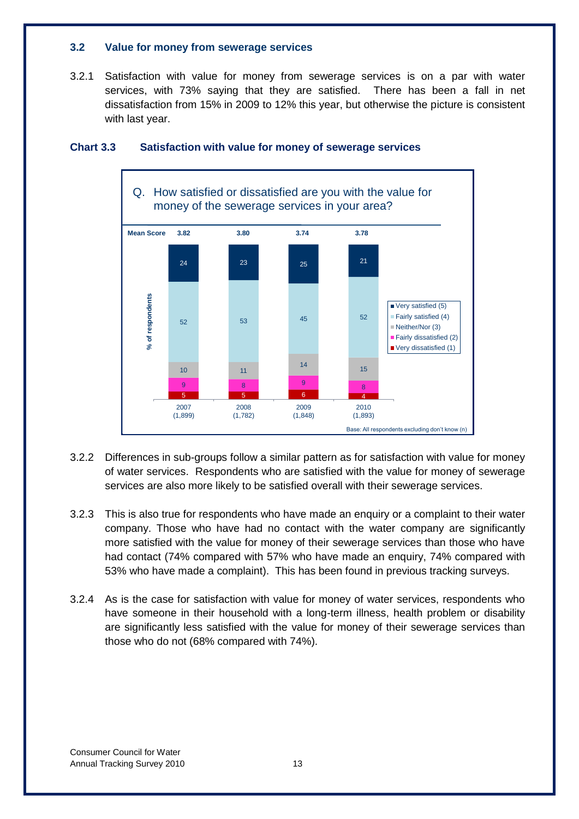#### <span id="page-17-0"></span>**3.2 Value for money from sewerage services**

3.2.1 Satisfaction with value for money from sewerage services is on a par with water services, with 73% saying that they are satisfied. There has been a fall in net dissatisfaction from 15% in 2009 to 12% this year, but otherwise the picture is consistent with last year.



#### <span id="page-17-1"></span>**Chart 3.3 Satisfaction with value for money of sewerage services**

- 3.2.2 Differences in sub-groups follow a similar pattern as for satisfaction with value for money of water services. Respondents who are satisfied with the value for money of sewerage services are also more likely to be satisfied overall with their sewerage services.
- 3.2.3 This is also true for respondents who have made an enquiry or a complaint to their water company. Those who have had no contact with the water company are significantly more satisfied with the value for money of their sewerage services than those who have had contact (74% compared with 57% who have made an enquiry, 74% compared with 53% who have made a complaint). This has been found in previous tracking surveys.
- 3.2.4 As is the case for satisfaction with value for money of water services, respondents who have someone in their household with a long-term illness, health problem or disability are significantly less satisfied with the value for money of their sewerage services than those who do not (68% compared with 74%).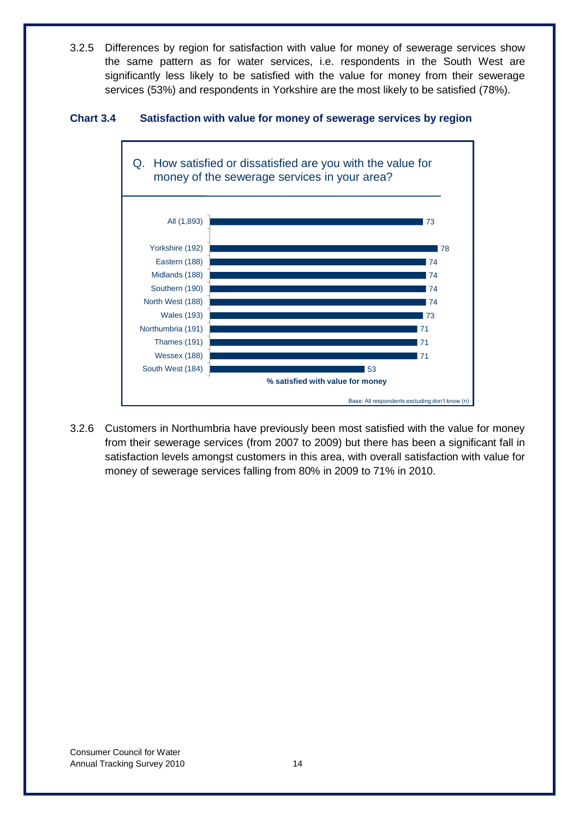3.2.5 Differences by region for satisfaction with value for money of sewerage services show the same pattern as for water services, i.e. respondents in the South West are significantly less likely to be satisfied with the value for money from their sewerage services (53%) and respondents in Yorkshire are the most likely to be satisfied (78%).

#### <span id="page-18-0"></span>**Chart 3.4 Satisfaction with value for money of sewerage services by region**



3.2.6 Customers in Northumbria have previously been most satisfied with the value for money from their sewerage services (from 2007 to 2009) but there has been a significant fall in satisfaction levels amongst customers in this area, with overall satisfaction with value for money of sewerage services falling from 80% in 2009 to 71% in 2010.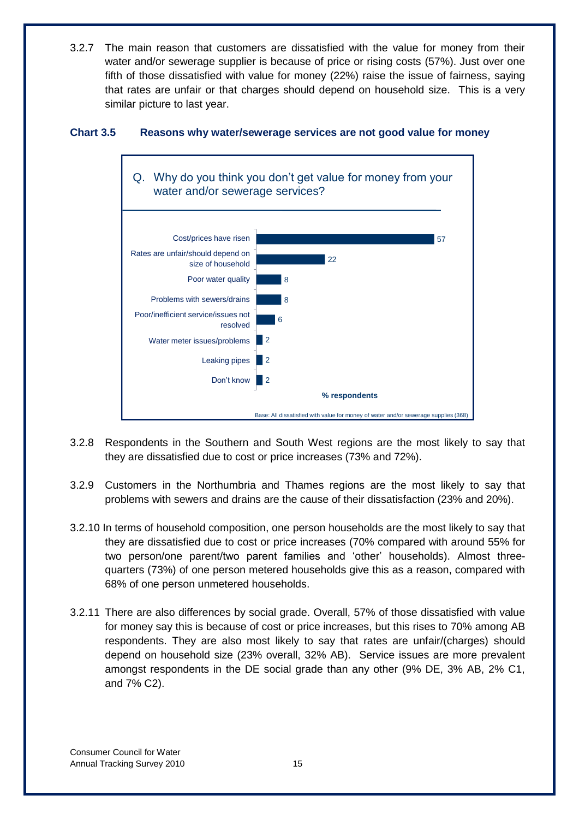3.2.7 The main reason that customers are dissatisfied with the value for money from their water and/or sewerage supplier is because of price or rising costs (57%). Just over one fifth of those dissatisfied with value for money (22%) raise the issue of fairness, saying that rates are unfair or that charges should depend on household size. This is a very similar picture to last year.

<span id="page-19-0"></span>



- 3.2.8 Respondents in the Southern and South West regions are the most likely to say that they are dissatisfied due to cost or price increases (73% and 72%).
- 3.2.9 Customers in the Northumbria and Thames regions are the most likely to say that problems with sewers and drains are the cause of their dissatisfaction (23% and 20%).
- 3.2.10 In terms of household composition, one person households are the most likely to say that they are dissatisfied due to cost or price increases (70% compared with around 55% for two person/one parent/two parent families and "other" households). Almost threequarters (73%) of one person metered households give this as a reason, compared with 68% of one person unmetered households.
- 3.2.11 There are also differences by social grade. Overall, 57% of those dissatisfied with value for money say this is because of cost or price increases, but this rises to 70% among AB respondents. They are also most likely to say that rates are unfair/(charges) should depend on household size (23% overall, 32% AB). Service issues are more prevalent amongst respondents in the DE social grade than any other (9% DE, 3% AB, 2% C1, and 7% C2).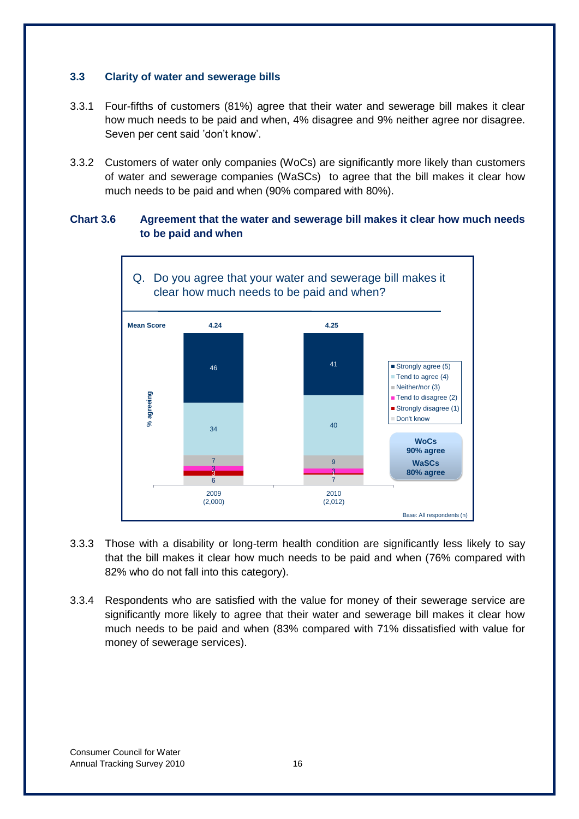#### <span id="page-20-0"></span>**3.3 Clarity of water and sewerage bills**

- 3.3.1 Four-fifths of customers (81%) agree that their water and sewerage bill makes it clear how much needs to be paid and when, 4% disagree and 9% neither agree nor disagree. Seven per cent said "don"t know".
- 3.3.2 Customers of water only companies (WoCs) are significantly more likely than customers of water and sewerage companies (WaSCs) to agree that the bill makes it clear how much needs to be paid and when (90% compared with 80%).

#### <span id="page-20-1"></span>**Chart 3.6 Agreement that the water and sewerage bill makes it clear how much needs to be paid and when**



- 3.3.3 Those with a disability or long-term health condition are significantly less likely to say that the bill makes it clear how much needs to be paid and when (76% compared with 82% who do not fall into this category).
- 3.3.4 Respondents who are satisfied with the value for money of their sewerage service are significantly more likely to agree that their water and sewerage bill makes it clear how much needs to be paid and when (83% compared with 71% dissatisfied with value for money of sewerage services).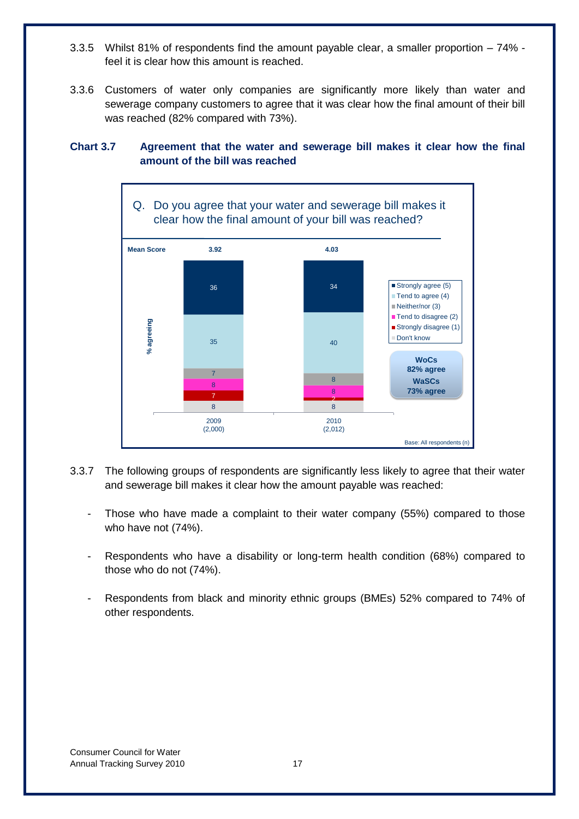- 3.3.5 Whilst 81% of respondents find the amount payable clear, a smaller proportion 74% feel it is clear how this amount is reached.
- 3.3.6 Customers of water only companies are significantly more likely than water and sewerage company customers to agree that it was clear how the final amount of their bill was reached (82% compared with 73%).

#### <span id="page-21-0"></span>**Chart 3.7 Agreement that the water and sewerage bill makes it clear how the final amount of the bill was reached**



- 3.3.7 The following groups of respondents are significantly less likely to agree that their water and sewerage bill makes it clear how the amount payable was reached:
	- Those who have made a complaint to their water company (55%) compared to those who have not (74%).
	- Respondents who have a disability or long-term health condition (68%) compared to those who do not (74%).
	- Respondents from black and minority ethnic groups (BMEs) 52% compared to 74% of other respondents.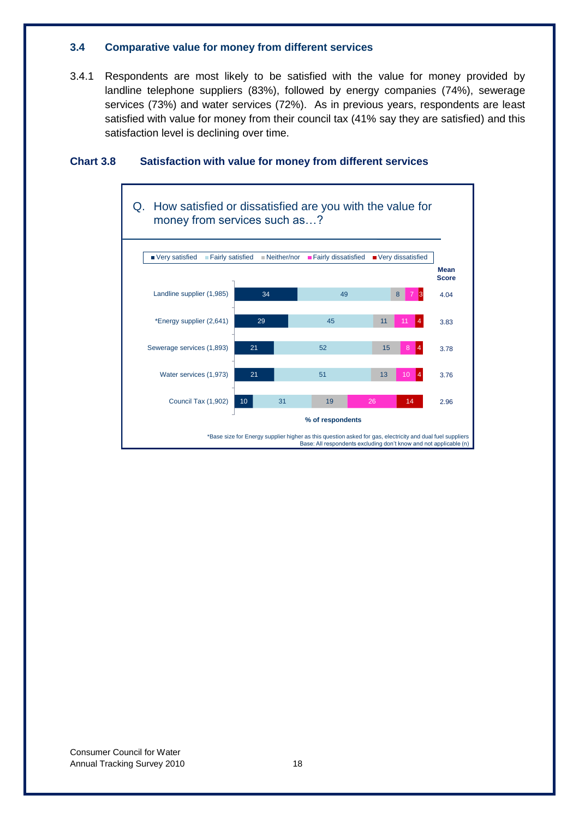#### <span id="page-22-0"></span>**3.4 Comparative value for money from different services**

3.4.1 Respondents are most likely to be satisfied with the value for money provided by landline telephone suppliers (83%), followed by energy companies (74%), sewerage services (73%) and water services (72%). As in previous years, respondents are least satisfied with value for money from their council tax (41% say they are satisfied) and this satisfaction level is declining over time.

<span id="page-22-1"></span>

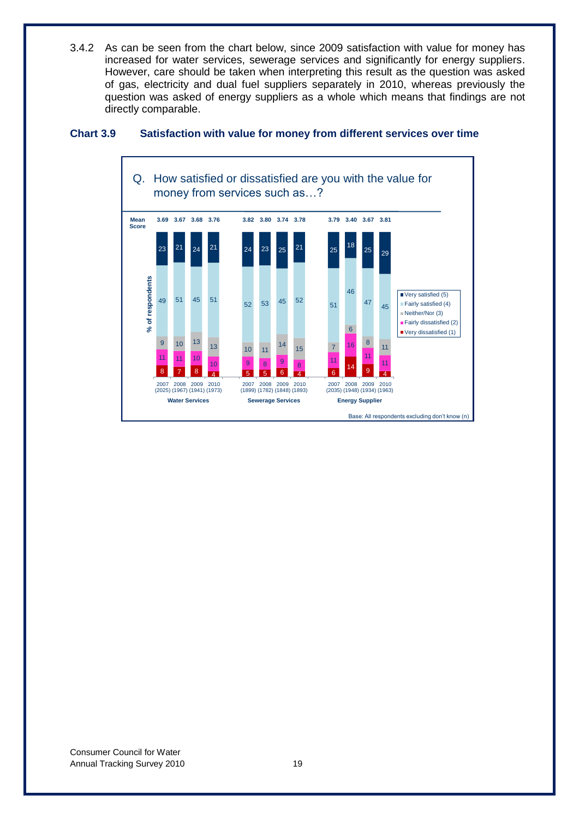3.4.2 As can be seen from the chart below, since 2009 satisfaction with value for money has increased for water services, sewerage services and significantly for energy suppliers. However, care should be taken when interpreting this result as the question was asked of gas, electricity and dual fuel suppliers separately in 2010, whereas previously the question was asked of energy suppliers as a whole which means that findings are not directly comparable.

#### <span id="page-23-0"></span>**Chart 3.9 Satisfaction with value for money from different services over time**

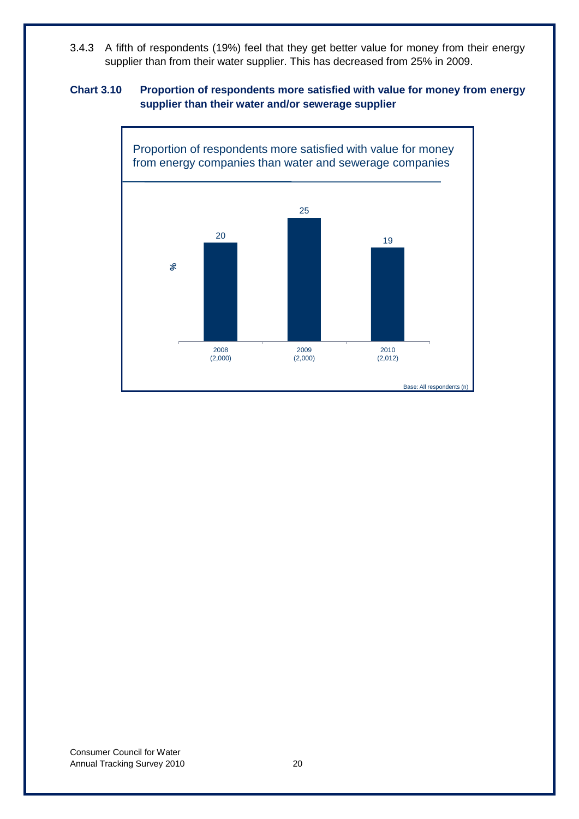3.4.3 A fifth of respondents (19%) feel that they get better value for money from their energy supplier than from their water supplier. This has decreased from 25% in 2009.

#### <span id="page-24-0"></span>**Chart 3.10 Proportion of respondents more satisfied with value for money from energy supplier than their water and/or sewerage supplier**

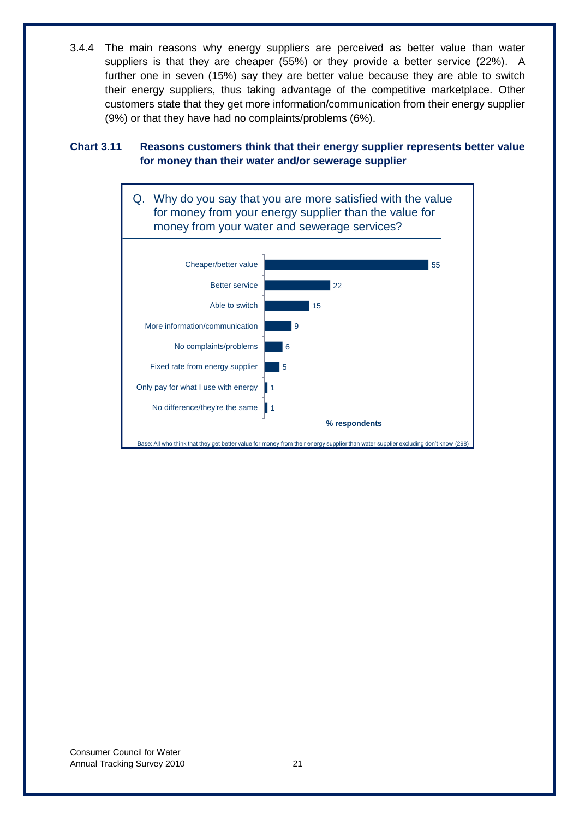3.4.4 The main reasons why energy suppliers are perceived as better value than water suppliers is that they are cheaper (55%) or they provide a better service (22%). A further one in seven (15%) say they are better value because they are able to switch their energy suppliers, thus taking advantage of the competitive marketplace. Other customers state that they get more information/communication from their energy supplier (9%) or that they have had no complaints/problems (6%).

#### <span id="page-25-0"></span>**Chart 3.11 Reasons customers think that their energy supplier represents better value for money than their water and/or sewerage supplier**

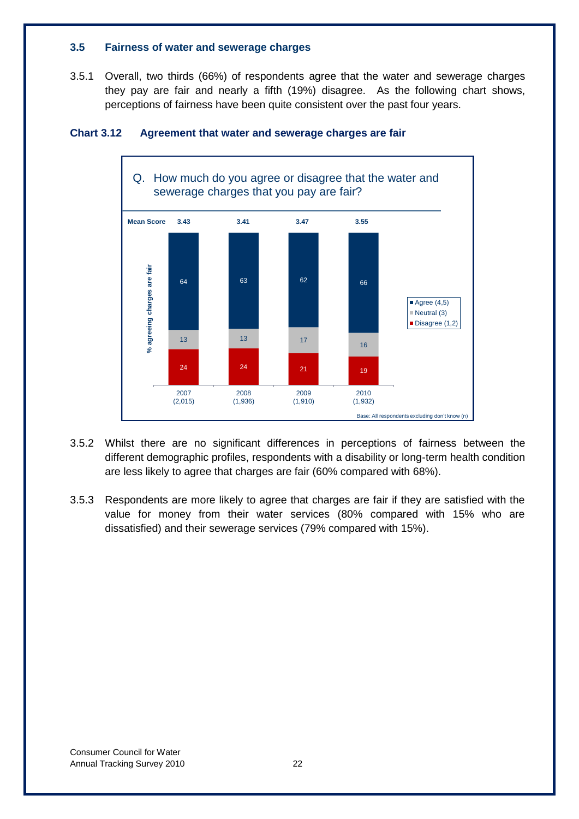#### <span id="page-26-0"></span>**3.5 Fairness of water and sewerage charges**

3.5.1 Overall, two thirds (66%) of respondents agree that the water and sewerage charges they pay are fair and nearly a fifth (19%) disagree. As the following chart shows, perceptions of fairness have been quite consistent over the past four years.



#### <span id="page-26-1"></span>**Chart 3.12 Agreement that water and sewerage charges are fair**

- 3.5.2 Whilst there are no significant differences in perceptions of fairness between the different demographic profiles, respondents with a disability or long-term health condition are less likely to agree that charges are fair (60% compared with 68%).
- 3.5.3 Respondents are more likely to agree that charges are fair if they are satisfied with the value for money from their water services (80% compared with 15% who are dissatisfied) and their sewerage services (79% compared with 15%).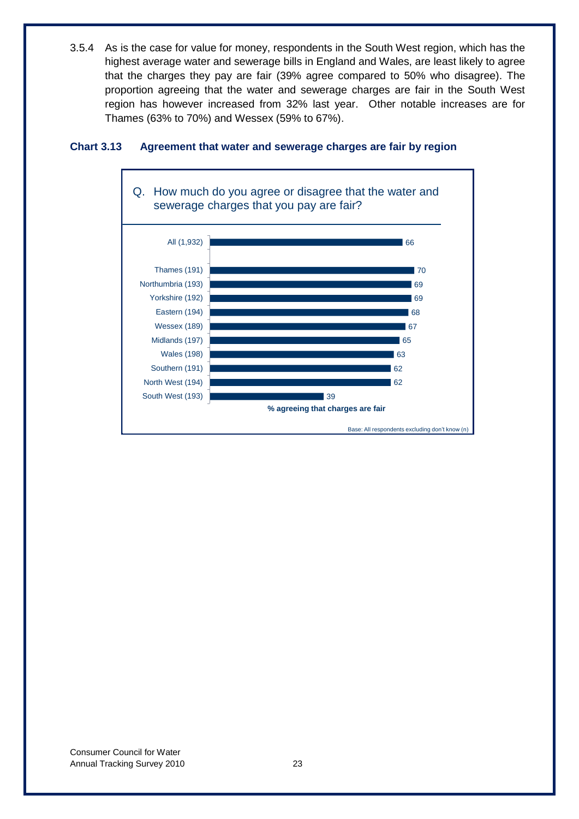3.5.4 As is the case for value for money, respondents in the South West region, which has the highest average water and sewerage bills in England and Wales, are least likely to agree that the charges they pay are fair (39% agree compared to 50% who disagree). The proportion agreeing that the water and sewerage charges are fair in the South West region has however increased from 32% last year. Other notable increases are for Thames (63% to 70%) and Wessex (59% to 67%).



#### <span id="page-27-0"></span>**Chart 3.13 Agreement that water and sewerage charges are fair by region**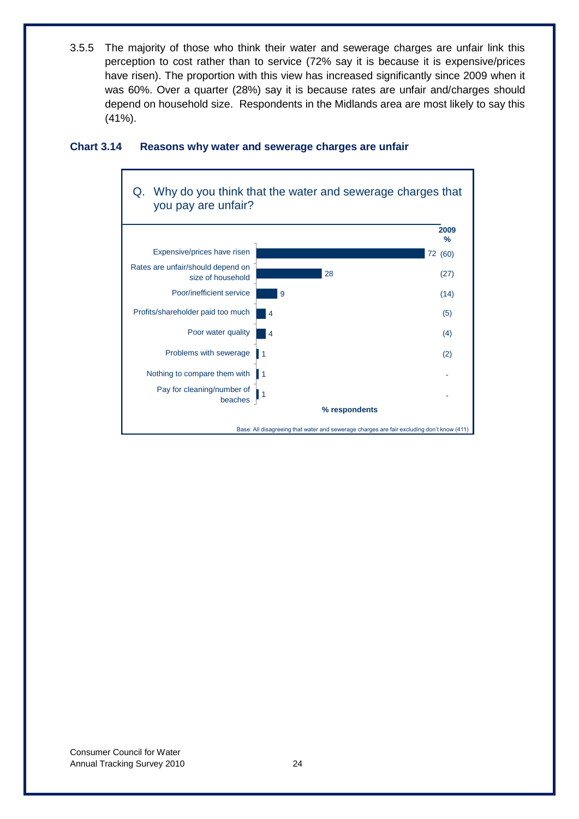3.5.5 The majority of those who think their water and sewerage charges are unfair link this perception to cost rather than to service (72% say it is because it is expensive/prices have risen). The proportion with this view has increased significantly since 2009 when it was 60%. Over a quarter (28%) say it is because rates are unfair and/charges should depend on household size. Respondents in the Midlands area are most likely to say this (41%).



#### <span id="page-28-0"></span>**Chart 3.14 Reasons why water and sewerage charges are unfair**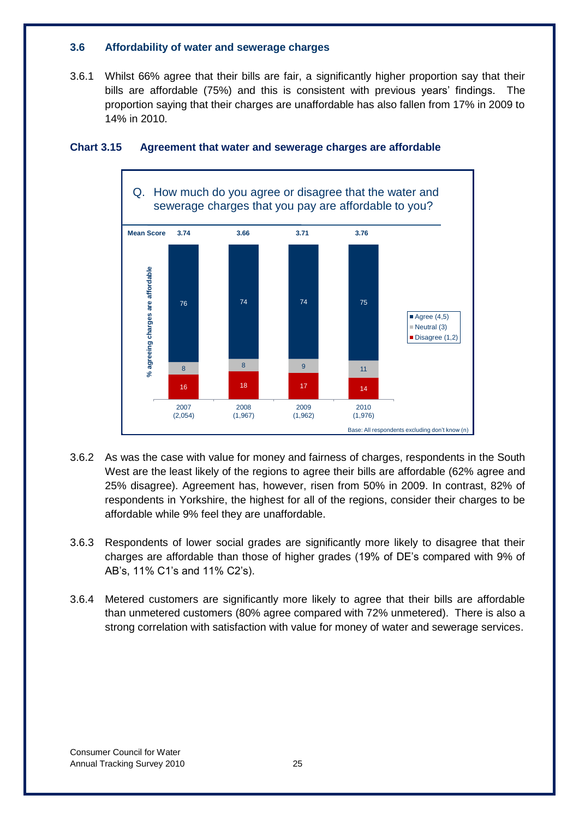#### <span id="page-29-0"></span>**3.6 Affordability of water and sewerage charges**

3.6.1 Whilst 66% agree that their bills are fair, a significantly higher proportion say that their bills are affordable (75%) and this is consistent with previous years' findings. The proportion saying that their charges are unaffordable has also fallen from 17% in 2009 to 14% in 2010.



#### <span id="page-29-1"></span>**Chart 3.15 Agreement that water and sewerage charges are affordable**

- 3.6.2 As was the case with value for money and fairness of charges, respondents in the South West are the least likely of the regions to agree their bills are affordable (62% agree and 25% disagree). Agreement has, however, risen from 50% in 2009. In contrast, 82% of respondents in Yorkshire, the highest for all of the regions, consider their charges to be affordable while 9% feel they are unaffordable.
- 3.6.3 Respondents of lower social grades are significantly more likely to disagree that their charges are affordable than those of higher grades (19% of DE"s compared with 9% of AB"s, 11% C1"s and 11% C2"s).
- 3.6.4 Metered customers are significantly more likely to agree that their bills are affordable than unmetered customers (80% agree compared with 72% unmetered). There is also a strong correlation with satisfaction with value for money of water and sewerage services.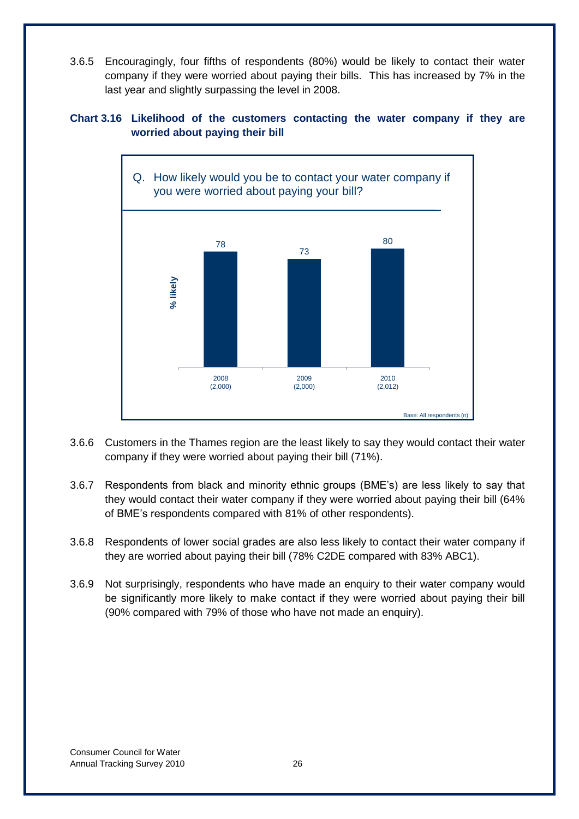3.6.5 Encouragingly, four fifths of respondents (80%) would be likely to contact their water company if they were worried about paying their bills. This has increased by 7% in the last year and slightly surpassing the level in 2008.

#### <span id="page-30-0"></span>**Chart 3.16 Likelihood of the customers contacting the water company if they are worried about paying their bill**



- 3.6.6 Customers in the Thames region are the least likely to say they would contact their water company if they were worried about paying their bill (71%).
- 3.6.7 Respondents from black and minority ethnic groups (BME"s) are less likely to say that they would contact their water company if they were worried about paying their bill (64% of BME"s respondents compared with 81% of other respondents).
- 3.6.8 Respondents of lower social grades are also less likely to contact their water company if they are worried about paying their bill (78% C2DE compared with 83% ABC1).
- 3.6.9 Not surprisingly, respondents who have made an enquiry to their water company would be significantly more likely to make contact if they were worried about paying their bill (90% compared with 79% of those who have not made an enquiry).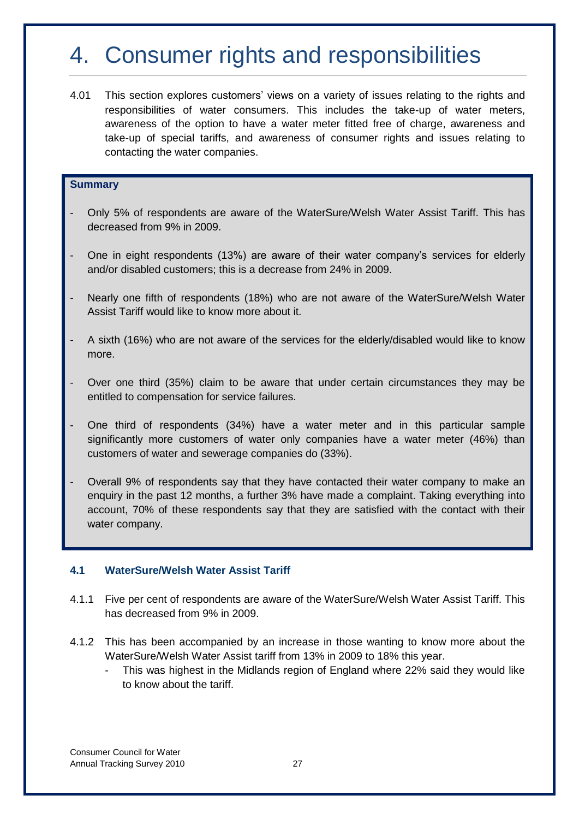# <span id="page-31-0"></span>4. Consumer rights and responsibilities

4.01 This section explores customers" views on a variety of issues relating to the rights and responsibilities of water consumers. This includes the take-up of water meters, awareness of the option to have a water meter fitted free of charge, awareness and take-up of special tariffs, and awareness of consumer rights and issues relating to contacting the water companies.

#### **Summary**

- Only 5% of respondents are aware of the WaterSure/Welsh Water Assist Tariff. This has decreased from 9% in 2009.
- One in eight respondents (13%) are aware of their water company's services for elderly and/or disabled customers; this is a decrease from 24% in 2009.
- Nearly one fifth of respondents (18%) who are not aware of the WaterSure/Welsh Water Assist Tariff would like to know more about it.
- A sixth (16%) who are not aware of the services for the elderly/disabled would like to know more.
- Over one third (35%) claim to be aware that under certain circumstances they may be entitled to compensation for service failures.
- One third of respondents (34%) have a water meter and in this particular sample significantly more customers of water only companies have a water meter (46%) than customers of water and sewerage companies do (33%).
- Overall 9% of respondents say that they have contacted their water company to make an enquiry in the past 12 months, a further 3% have made a complaint. Taking everything into account, 70% of these respondents say that they are satisfied with the contact with their water company.

#### <span id="page-31-1"></span>**4.1 WaterSure/Welsh Water Assist Tariff**

- 4.1.1 Five per cent of respondents are aware of the WaterSure/Welsh Water Assist Tariff. This has decreased from 9% in 2009.
- 4.1.2 This has been accompanied by an increase in those wanting to know more about the WaterSure/Welsh Water Assist tariff from 13% in 2009 to 18% this year.
	- This was highest in the Midlands region of England where 22% said they would like to know about the tariff.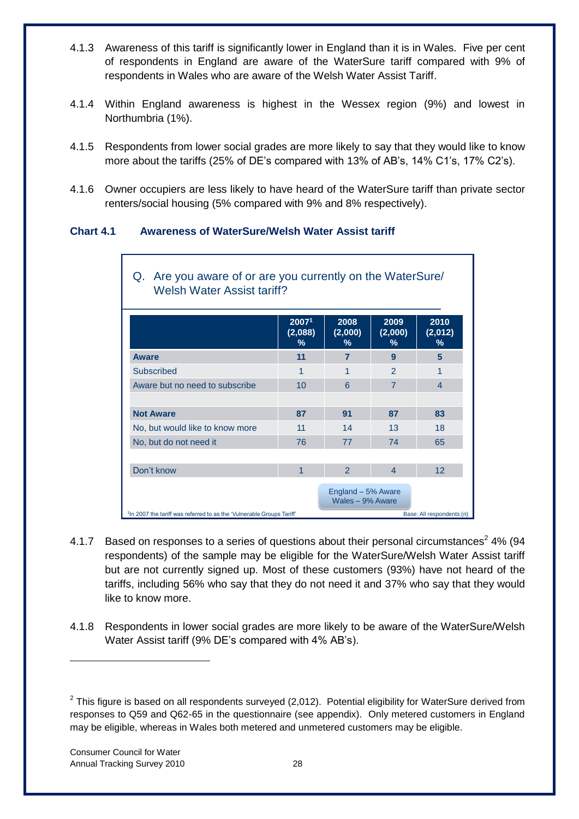- 4.1.3 Awareness of this tariff is significantly lower in England than it is in Wales. Five per cent of respondents in England are aware of the WaterSure tariff compared with 9% of respondents in Wales who are aware of the Welsh Water Assist Tariff.
- 4.1.4 Within England awareness is highest in the Wessex region (9%) and lowest in Northumbria (1%).
- 4.1.5 Respondents from lower social grades are more likely to say that they would like to know more about the tariffs (25% of DE's compared with 13% of AB's, 14% C1's, 17% C2's).
- 4.1.6 Owner occupiers are less likely to have heard of the WaterSure tariff than private sector renters/social housing (5% compared with 9% and 8% respectively).

#### <span id="page-32-0"></span>**Chart 4.1 Awareness of WaterSure/Welsh Water Assist tariff**

|                                 | 20071<br>(2,088)<br>% | 2008<br>(2,000)<br>%                   | 2009<br>(2,000)<br>% | 2010<br>(2,012)<br>% |
|---------------------------------|-----------------------|----------------------------------------|----------------------|----------------------|
| Aware                           | 11                    | $\overline{7}$                         | 9                    | 5                    |
| Subscribed                      | 1                     | 1                                      | $\mathfrak{p}$       | 1                    |
| Aware but no need to subscribe  | 10                    | 6                                      | $\overline{7}$       | $\overline{4}$       |
| <b>Not Aware</b>                | 87                    | 91                                     | 87                   | 83                   |
| No, but would like to know more | 11                    | 14                                     | 13                   | 18                   |
| No, but do not need it          | 76                    | 77                                     | 74                   | 65                   |
|                                 | 1                     | $\mathcal{P}$                          | 4                    | 12                   |
| Don't know                      |                       | England - 5% Aware<br>Wales - 9% Aware |                      |                      |

- 4.1.7 Based on responses to a series of questions about their personal circumstances<sup>2</sup> 4% (94 respondents) of the sample may be eligible for the WaterSure/Welsh Water Assist tariff but are not currently signed up. Most of these customers (93%) have not heard of the tariffs, including 56% who say that they do not need it and 37% who say that they would like to know more.
- 4.1.8 Respondents in lower social grades are more likely to be aware of the WaterSure/Welsh Water Assist tariff (9% DE's compared with 4% AB's).

Г

-

 $2$  This figure is based on all respondents surveyed (2,012). Potential eligibility for WaterSure derived from responses to Q59 and Q62-65 in the questionnaire (see appendix). Only metered customers in England may be eligible, whereas in Wales both metered and unmetered customers may be eligible.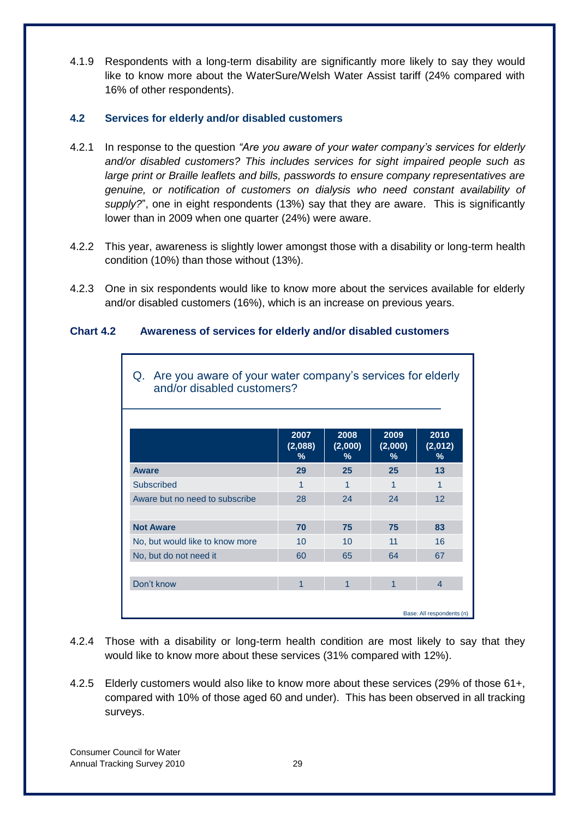4.1.9 Respondents with a long-term disability are significantly more likely to say they would like to know more about the WaterSure/Welsh Water Assist tariff (24% compared with 16% of other respondents).

#### <span id="page-33-0"></span>**4.2 Services for elderly and/or disabled customers**

- 4.2.1 In response to the question *"Are you aware of your water company's services for elderly and/or disabled customers? This includes services for sight impaired people such as large print or Braille leaflets and bills, passwords to ensure company representatives are genuine, or notification of customers on dialysis who need constant availability of supply?*", one in eight respondents (13%) say that they are aware. This is significantly lower than in 2009 when one quarter (24%) were aware.
- 4.2.2 This year, awareness is slightly lower amongst those with a disability or long-term health condition (10%) than those without (13%).
- 4.2.3 One in six respondents would like to know more about the services available for elderly and/or disabled customers (16%), which is an increase on previous years.

#### <span id="page-33-2"></span>**Chart 4.2 Awareness of services for elderly and/or disabled customers**

| Are you aware of your water company's services for elderly<br>Q.<br>and/or disabled customers? |                      |                      |                      |                           |
|------------------------------------------------------------------------------------------------|----------------------|----------------------|----------------------|---------------------------|
|                                                                                                | 2007<br>(2,088)<br>% | 2008<br>(2,000)<br>% | 2009<br>(2,000)<br>% | 2010<br>(2,012)<br>℅      |
| <b>Aware</b>                                                                                   | 29                   | 25                   | 25                   | 13                        |
| <b>Subscribed</b>                                                                              | 1                    | 1                    | 1                    | 1                         |
| Aware but no need to subscribe                                                                 | 28                   | 24                   | 24                   | 12                        |
|                                                                                                |                      |                      |                      |                           |
| <b>Not Aware</b>                                                                               | 70                   | 75                   | 75                   | 83                        |
| No, but would like to know more                                                                | 10                   | 10                   | 11                   | 16                        |
| No, but do not need it                                                                         | 60                   | 65                   | 64                   | 67                        |
|                                                                                                |                      |                      |                      |                           |
| Don't know                                                                                     | 1                    | 1                    | 1                    | $\overline{4}$            |
|                                                                                                |                      |                      |                      | Base: All respondents (n) |

Q. Are you aware of your water company"s services for elderly

- 4.2.4 Those with a disability or long-term health condition are most likely to say that they would like to know more about these services (31% compared with 12%).
- <span id="page-33-1"></span>4.2.5 Elderly customers would also like to know more about these services (29% of those 61+, compared with 10% of those aged 60 and under). This has been observed in all tracking surveys.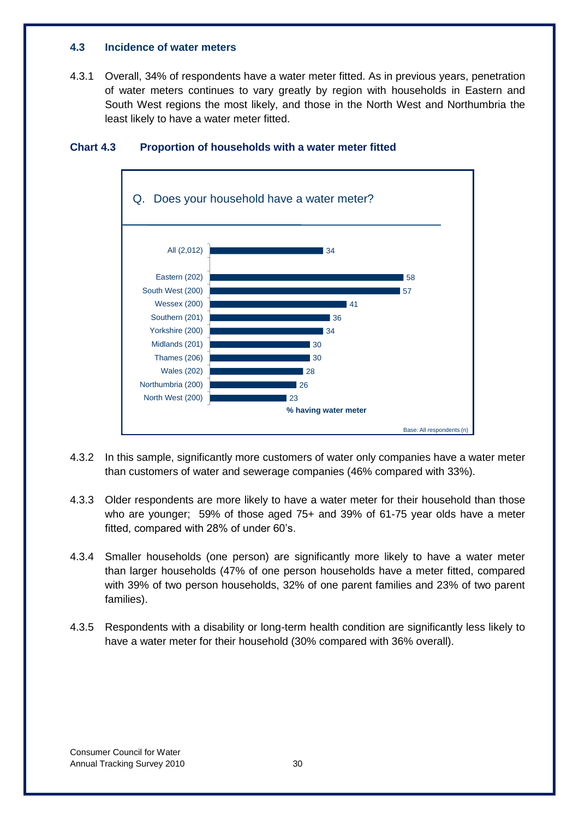#### **4.3 Incidence of water meters**

4.3.1 Overall, 34% of respondents have a water meter fitted. As in previous years, penetration of water meters continues to vary greatly by region with households in Eastern and South West regions the most likely, and those in the North West and Northumbria the least likely to have a water meter fitted.



#### <span id="page-34-1"></span>**Chart 4.3 Proportion of households with a water meter fitted**

- 4.3.2 In this sample, significantly more customers of water only companies have a water meter than customers of water and sewerage companies (46% compared with 33%).
- 4.3.3 Older respondents are more likely to have a water meter for their household than those who are younger; 59% of those aged 75+ and 39% of 61-75 year olds have a meter fitted, compared with 28% of under 60's.
- 4.3.4 Smaller households (one person) are significantly more likely to have a water meter than larger households (47% of one person households have a meter fitted, compared with 39% of two person households, 32% of one parent families and 23% of two parent families).
- <span id="page-34-0"></span>4.3.5 Respondents with a disability or long-term health condition are significantly less likely to have a water meter for their household (30% compared with 36% overall).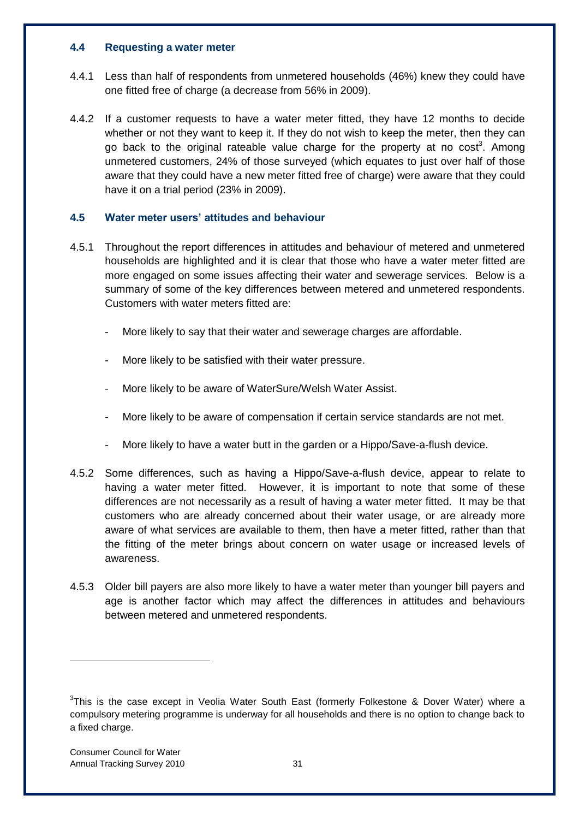#### **4.4 Requesting a water meter**

- 4.4.1 Less than half of respondents from unmetered households (46%) knew they could have one fitted free of charge (a decrease from 56% in 2009).
- 4.4.2 If a customer requests to have a water meter fitted, they have 12 months to decide whether or not they want to keep it. If they do not wish to keep the meter, then they can go back to the original rateable value charge for the property at no cost<sup>3</sup>. Among unmetered customers, 24% of those surveyed (which equates to just over half of those aware that they could have a new meter fitted free of charge) were aware that they could have it on a trial period (23% in 2009).

#### <span id="page-35-0"></span>**4.5 Water meter users' attitudes and behaviour**

- 4.5.1 Throughout the report differences in attitudes and behaviour of metered and unmetered households are highlighted and it is clear that those who have a water meter fitted are more engaged on some issues affecting their water and sewerage services. Below is a summary of some of the key differences between metered and unmetered respondents. Customers with water meters fitted are:
	- More likely to say that their water and sewerage charges are affordable.
	- More likely to be satisfied with their water pressure.
	- More likely to be aware of WaterSure/Welsh Water Assist.
	- More likely to be aware of compensation if certain service standards are not met.
	- More likely to have a water butt in the garden or a Hippo/Save-a-flush device.
- 4.5.2 Some differences, such as having a Hippo/Save-a-flush device, appear to relate to having a water meter fitted. However, it is important to note that some of these differences are not necessarily as a result of having a water meter fitted. It may be that customers who are already concerned about their water usage, or are already more aware of what services are available to them, then have a meter fitted, rather than that the fitting of the meter brings about concern on water usage or increased levels of awareness.
- 4.5.3 Older bill payers are also more likely to have a water meter than younger bill payers and age is another factor which may affect the differences in attitudes and behaviours between metered and unmetered respondents.

-

 $3$ This is the case except in Veolia Water South East (formerly Folkestone & Dover Water) where a compulsory metering programme is underway for all households and there is no option to change back to a fixed charge.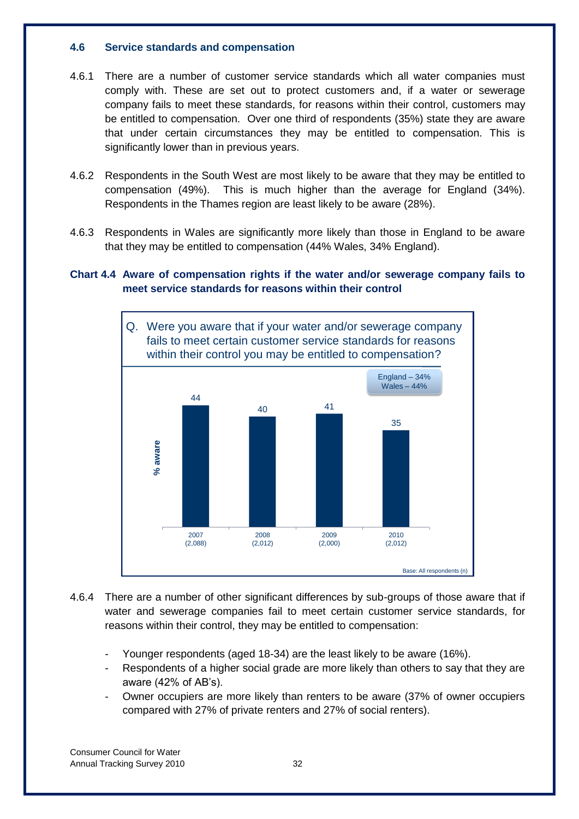## **4.6 Service standards and compensation**

- 4.6.1 There are a number of customer service standards which all water companies must comply with. These are set out to protect customers and, if a water or sewerage company fails to meet these standards, for reasons within their control, customers may be entitled to compensation. Over one third of respondents (35%) state they are aware that under certain circumstances they may be entitled to compensation. This is significantly lower than in previous years.
- 4.6.2 Respondents in the South West are most likely to be aware that they may be entitled to compensation (49%). This is much higher than the average for England (34%). Respondents in the Thames region are least likely to be aware (28%).
- 4.6.3 Respondents in Wales are significantly more likely than those in England to be aware that they may be entitled to compensation (44% Wales, 34% England).

# **Chart 4.4 Aware of compensation rights if the water and/or sewerage company fails to meet service standards for reasons within their control**



- 4.6.4 There are a number of other significant differences by sub-groups of those aware that if water and sewerage companies fail to meet certain customer service standards, for reasons within their control, they may be entitled to compensation:
	- Younger respondents (aged 18-34) are the least likely to be aware (16%).
	- Respondents of a higher social grade are more likely than others to say that they are aware (42% of AB's).
	- Owner occupiers are more likely than renters to be aware (37% of owner occupiers compared with 27% of private renters and 27% of social renters).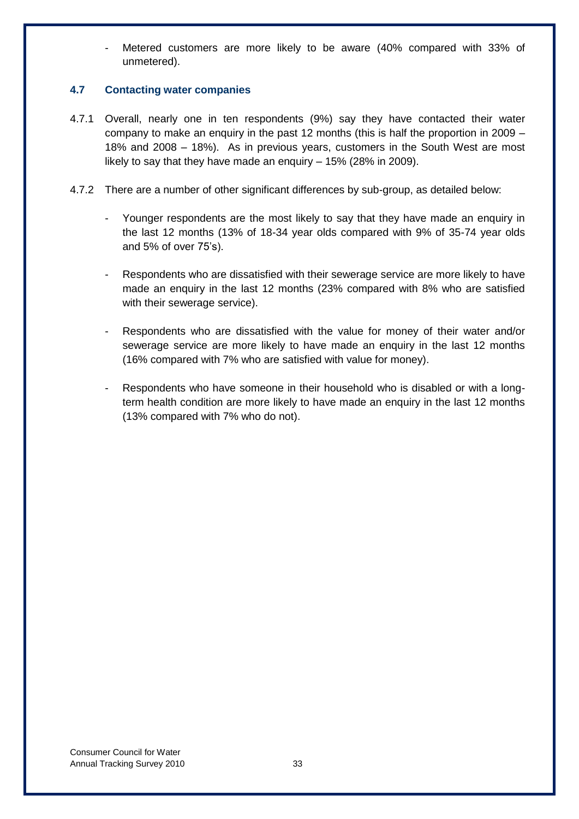Metered customers are more likely to be aware (40% compared with 33% of unmetered).

# **4.7 Contacting water companies**

- 4.7.1 Overall, nearly one in ten respondents (9%) say they have contacted their water company to make an enquiry in the past 12 months (this is half the proportion in 2009 – 18% and 2008 – 18%). As in previous years, customers in the South West are most likely to say that they have made an enquiry – 15% (28% in 2009).
- 4.7.2 There are a number of other significant differences by sub-group, as detailed below:
	- Younger respondents are the most likely to say that they have made an enquiry in the last 12 months (13% of 18-34 year olds compared with 9% of 35-74 year olds and 5% of over 75"s).
	- Respondents who are dissatisfied with their sewerage service are more likely to have made an enquiry in the last 12 months (23% compared with 8% who are satisfied with their sewerage service).
	- Respondents who are dissatisfied with the value for money of their water and/or sewerage service are more likely to have made an enquiry in the last 12 months (16% compared with 7% who are satisfied with value for money).
	- Respondents who have someone in their household who is disabled or with a longterm health condition are more likely to have made an enquiry in the last 12 months (13% compared with 7% who do not).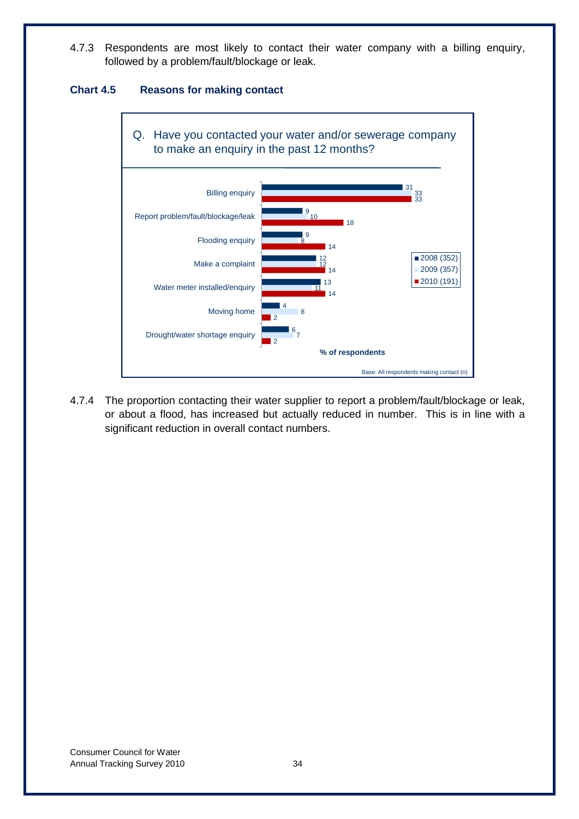4.7.3 Respondents are most likely to contact their water company with a billing enquiry, followed by a problem/fault/blockage or leak.

# **Chart 4.5 Reasons for making contact**



4.7.4 The proportion contacting their water supplier to report a problem/fault/blockage or leak, or about a flood, has increased but actually reduced in number. This is in line with a significant reduction in overall contact numbers.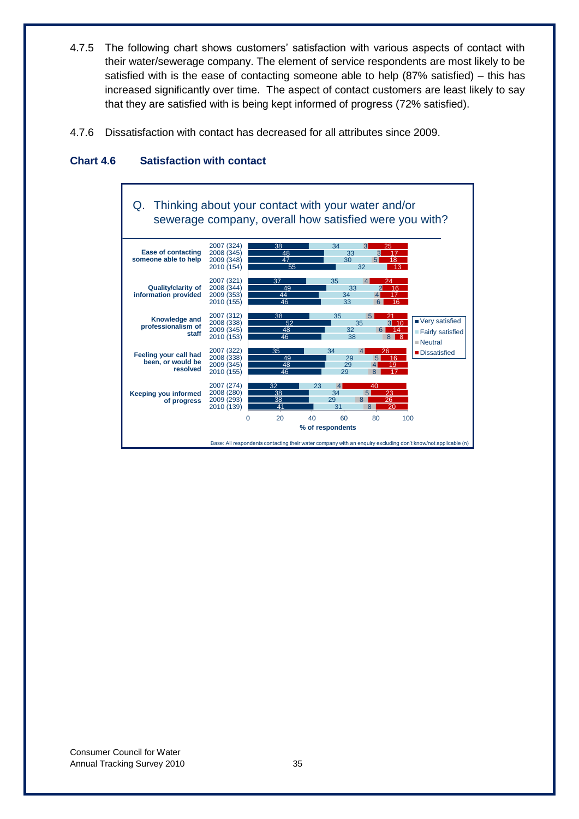- 4.7.5 The following chart shows customers' satisfaction with various aspects of contact with their water/sewerage company. The element of service respondents are most likely to be satisfied with is the ease of contacting someone able to help (87% satisfied) – this has increased significantly over time. The aspect of contact customers are least likely to say that they are satisfied with is being kept informed of progress (72% satisfied).
- 4.7.6 Dissatisfaction with contact has decreased for all attributes since 2009.



# **Chart 4.6 Satisfaction with contact**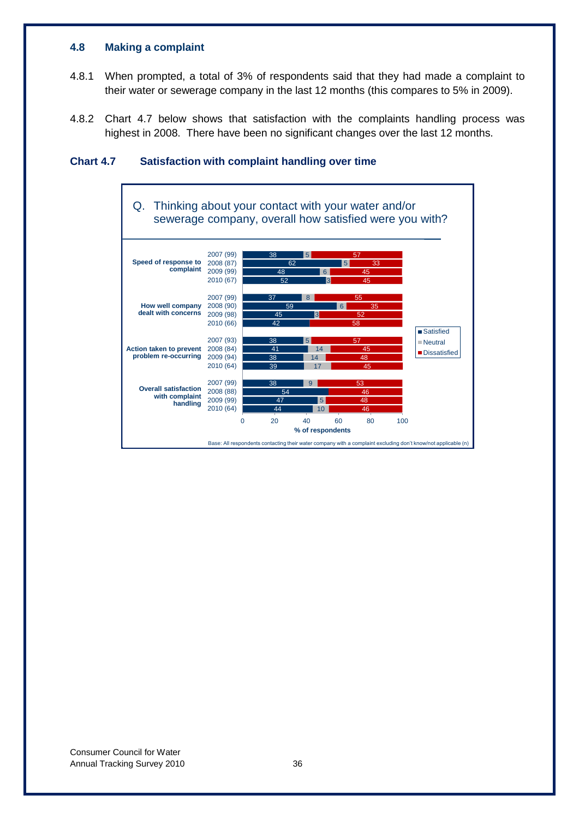## **4.8 Making a complaint**

- 4.8.1 When prompted, a total of 3% of respondents said that they had made a complaint to their water or sewerage company in the last 12 months (this compares to 5% in 2009).
- 4.8.2 Chart 4.7 below shows that satisfaction with the complaints handling process was highest in 2008. There have been no significant changes over the last 12 months.



# **Chart 4.7 Satisfaction with complaint handling over time**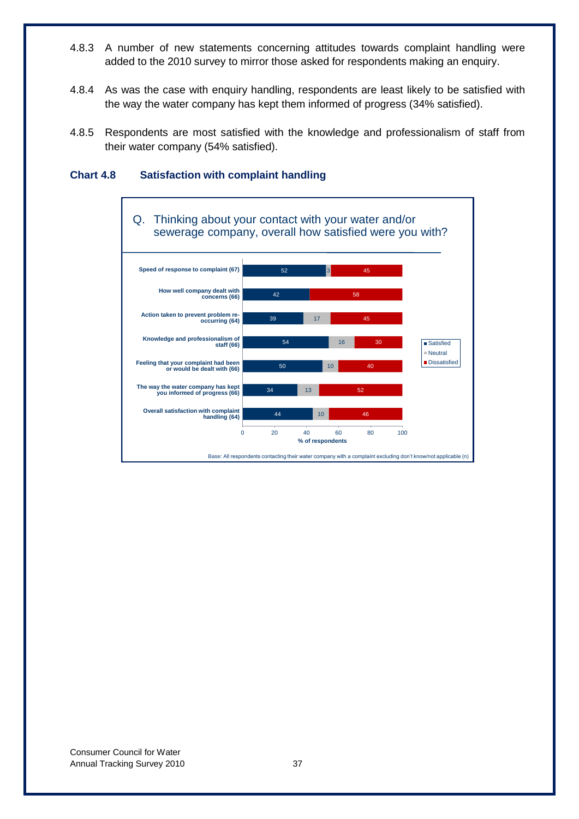- 4.8.3 A number of new statements concerning attitudes towards complaint handling were added to the 2010 survey to mirror those asked for respondents making an enquiry.
- 4.8.4 As was the case with enquiry handling, respondents are least likely to be satisfied with the way the water company has kept them informed of progress (34% satisfied).
- 4.8.5 Respondents are most satisfied with the knowledge and professionalism of staff from their water company (54% satisfied).



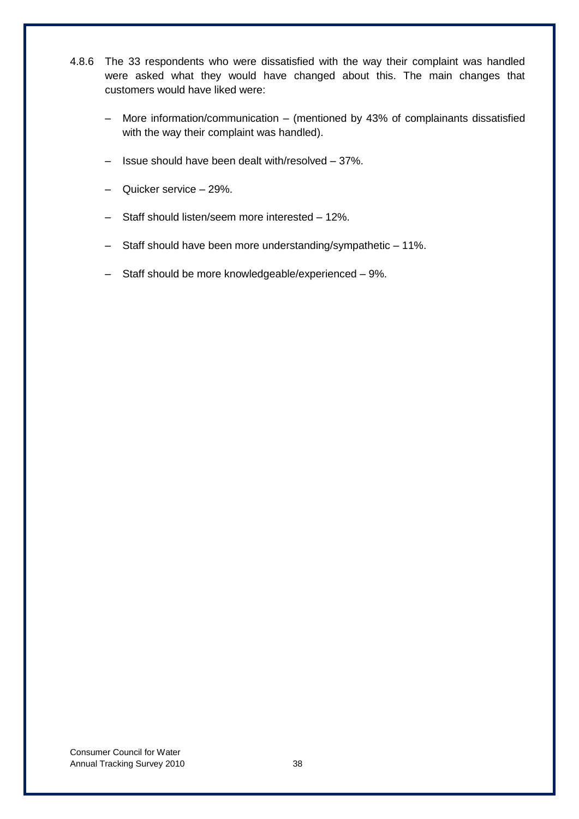- 4.8.6 The 33 respondents who were dissatisfied with the way their complaint was handled were asked what they would have changed about this. The main changes that customers would have liked were:
	- More information/communication (mentioned by 43% of complainants dissatisfied with the way their complaint was handled).
	- Issue should have been dealt with/resolved 37%.
	- Quicker service 29%.
	- Staff should listen/seem more interested 12%.
	- Staff should have been more understanding/sympathetic 11%.
	- Staff should be more knowledgeable/experienced 9%.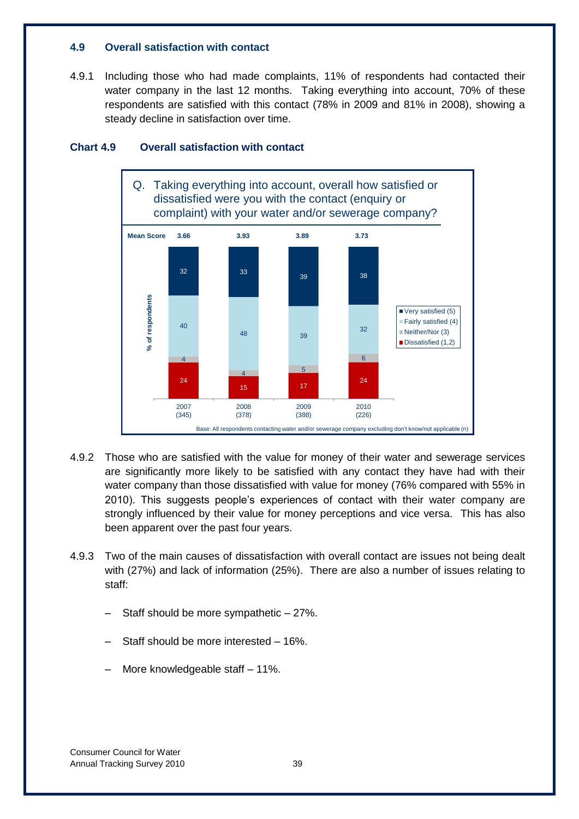## **4.9 Overall satisfaction with contact**

4.9.1 Including those who had made complaints, 11% of respondents had contacted their water company in the last 12 months. Taking everything into account, 70% of these respondents are satisfied with this contact (78% in 2009 and 81% in 2008), showing a steady decline in satisfaction over time.



# **Chart 4.9 Overall satisfaction with contact**

- 4.9.2 Those who are satisfied with the value for money of their water and sewerage services are significantly more likely to be satisfied with any contact they have had with their water company than those dissatisfied with value for money (76% compared with 55% in 2010). This suggests people"s experiences of contact with their water company are strongly influenced by their value for money perceptions and vice versa. This has also been apparent over the past four years.
- 4.9.3 Two of the main causes of dissatisfaction with overall contact are issues not being dealt with (27%) and lack of information (25%). There are also a number of issues relating to staff:
	- Staff should be more sympathetic  $-27\%$ .
	- Staff should be more interested 16%.
	- More knowledgeable staff 11%.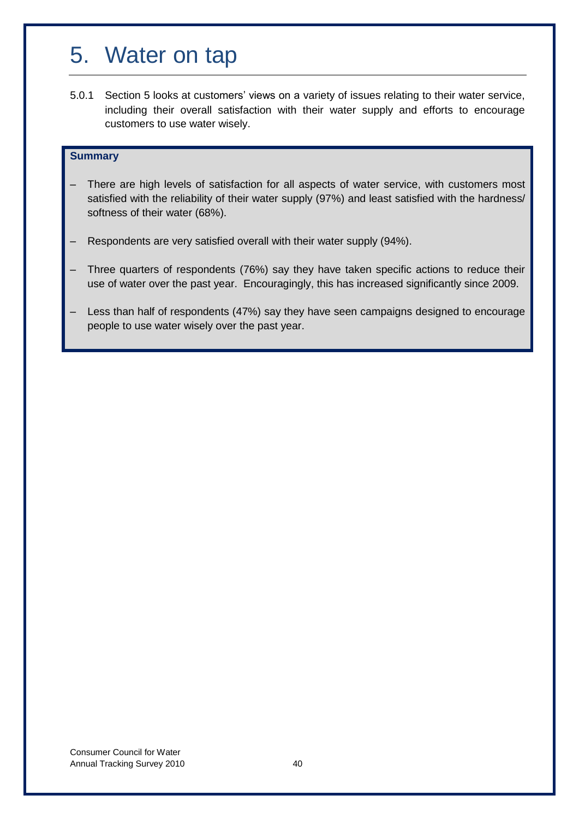# 5. Water on tap

5.0.1 Section 5 looks at customers' views on a variety of issues relating to their water service, including their overall satisfaction with their water supply and efforts to encourage customers to use water wisely.

## **Summary**

- There are high levels of satisfaction for all aspects of water service, with customers most satisfied with the reliability of their water supply (97%) and least satisfied with the hardness/ softness of their water (68%).
- Respondents are very satisfied overall with their water supply (94%).
- Three quarters of respondents (76%) say they have taken specific actions to reduce their use of water over the past year. Encouragingly, this has increased significantly since 2009.
- Less than half of respondents (47%) say they have seen campaigns designed to encourage people to use water wisely over the past year.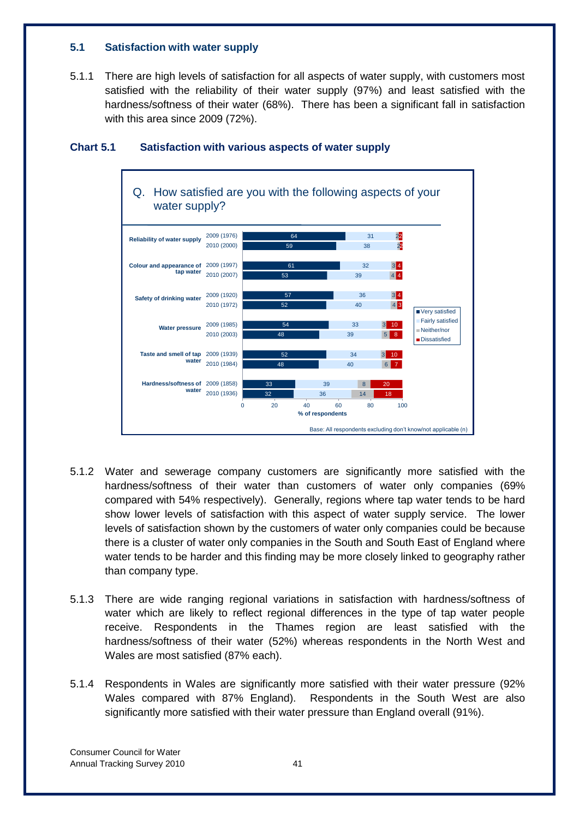# **5.1 Satisfaction with water supply**

5.1.1 There are high levels of satisfaction for all aspects of water supply, with customers most satisfied with the reliability of their water supply (97%) and least satisfied with the hardness/softness of their water (68%). There has been a significant fall in satisfaction with this area since 2009 (72%).



# **Chart 5.1 Satisfaction with various aspects of water supply**

- 5.1.2 Water and sewerage company customers are significantly more satisfied with the hardness/softness of their water than customers of water only companies (69% compared with 54% respectively). Generally, regions where tap water tends to be hard show lower levels of satisfaction with this aspect of water supply service. The lower levels of satisfaction shown by the customers of water only companies could be because there is a cluster of water only companies in the South and South East of England where water tends to be harder and this finding may be more closely linked to geography rather than company type.
- 5.1.3 There are wide ranging regional variations in satisfaction with hardness/softness of water which are likely to reflect regional differences in the type of tap water people receive. Respondents in the Thames region are least satisfied with the hardness/softness of their water (52%) whereas respondents in the North West and Wales are most satisfied (87% each).
- 5.1.4 Respondents in Wales are significantly more satisfied with their water pressure (92% Wales compared with 87% England). Respondents in the South West are also significantly more satisfied with their water pressure than England overall (91%).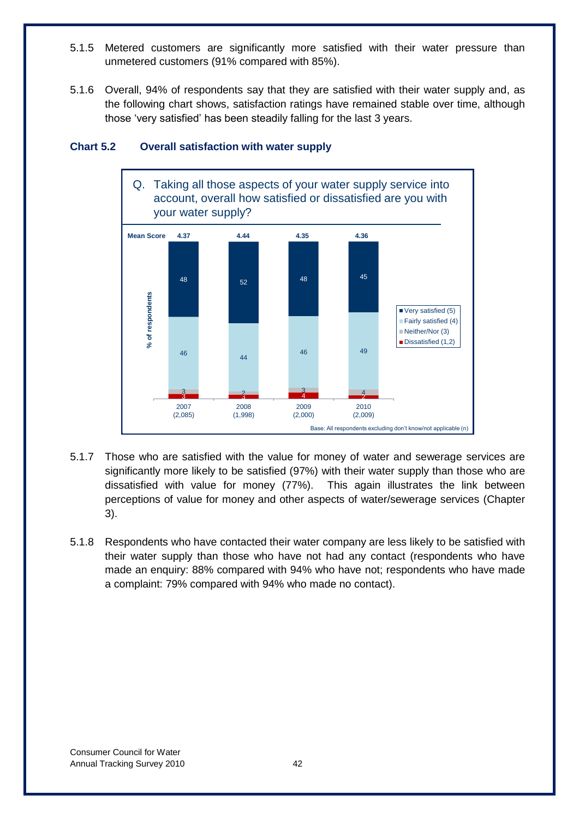- 5.1.5 Metered customers are significantly more satisfied with their water pressure than unmetered customers (91% compared with 85%).
- 5.1.6 Overall, 94% of respondents say that they are satisfied with their water supply and, as the following chart shows, satisfaction ratings have remained stable over time, although those "very satisfied" has been steadily falling for the last 3 years.



# **Chart 5.2 Overall satisfaction with water supply**

- 5.1.7 Those who are satisfied with the value for money of water and sewerage services are significantly more likely to be satisfied (97%) with their water supply than those who are dissatisfied with value for money (77%). This again illustrates the link between perceptions of value for money and other aspects of water/sewerage services (Chapter 3).
- 5.1.8 Respondents who have contacted their water company are less likely to be satisfied with their water supply than those who have not had any contact (respondents who have made an enquiry: 88% compared with 94% who have not; respondents who have made a complaint: 79% compared with 94% who made no contact).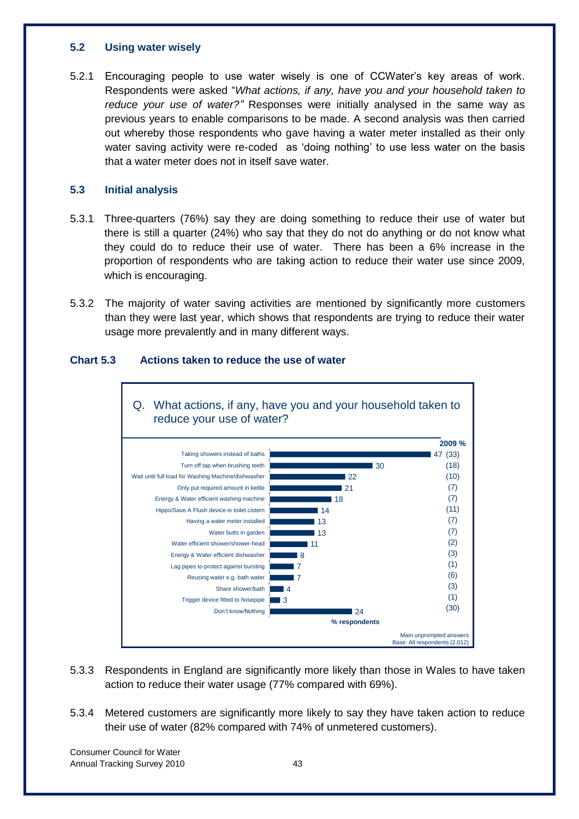## **5.2 Using water wisely**

5.2.1 Encouraging people to use water wisely is one of CCWater"s key areas of work. Respondents were asked "*What actions, if any, have you and your household taken to reduce your use of water?"* Responses were initially analysed in the same way as previous years to enable comparisons to be made. A second analysis was then carried out whereby those respondents who gave having a water meter installed as their only water saving activity were re-coded as 'doing nothing' to use less water on the basis that a water meter does not in itself save water.

# **5.3 Initial analysis**

- 5.3.1 Three-quarters (76%) say they are doing something to reduce their use of water but there is still a quarter (24%) who say that they do not do anything or do not know what they could do to reduce their use of water. There has been a 6% increase in the proportion of respondents who are taking action to reduce their water use since 2009, which is encouraging.
- 5.3.2 The majority of water saving activities are mentioned by significantly more customers than they were last year, which shows that respondents are trying to reduce their water usage more prevalently and in many different ways.



# **Chart 5.3 Actions taken to reduce the use of water**

- 5.3.3 Respondents in England are significantly more likely than those in Wales to have taken action to reduce their water usage (77% compared with 69%).
- 5.3.4 Metered customers are significantly more likely to say they have taken action to reduce their use of water (82% compared with 74% of unmetered customers).

Consumer Council for Water Annual Tracking Survey 2010 **120 120 13 13 13 143**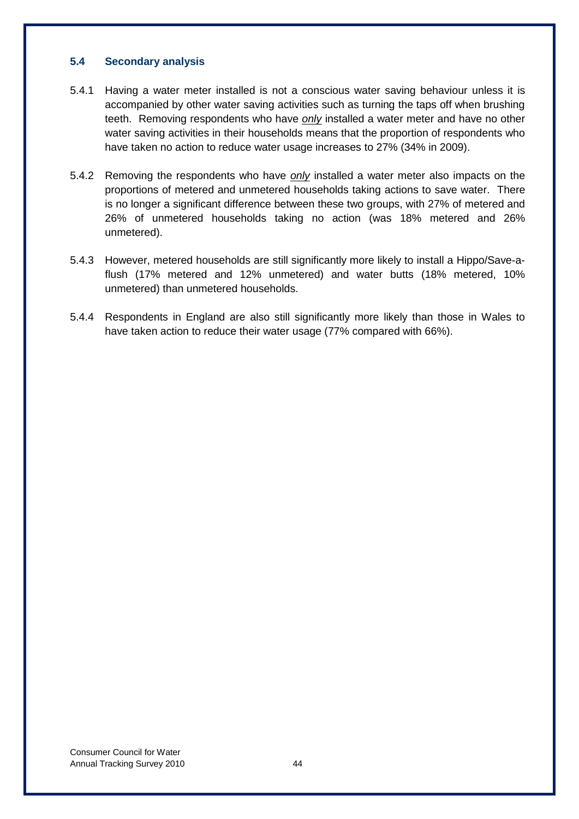# **5.4 Secondary analysis**

- 5.4.1 Having a water meter installed is not a conscious water saving behaviour unless it is accompanied by other water saving activities such as turning the taps off when brushing teeth. Removing respondents who have *only* installed a water meter and have no other water saving activities in their households means that the proportion of respondents who have taken no action to reduce water usage increases to 27% (34% in 2009).
- 5.4.2 Removing the respondents who have *only* installed a water meter also impacts on the proportions of metered and unmetered households taking actions to save water. There is no longer a significant difference between these two groups, with 27% of metered and 26% of unmetered households taking no action (was 18% metered and 26% unmetered).
- 5.4.3 However, metered households are still significantly more likely to install a Hippo/Save-aflush (17% metered and 12% unmetered) and water butts (18% metered, 10% unmetered) than unmetered households.
- 5.4.4 Respondents in England are also still significantly more likely than those in Wales to have taken action to reduce their water usage (77% compared with 66%).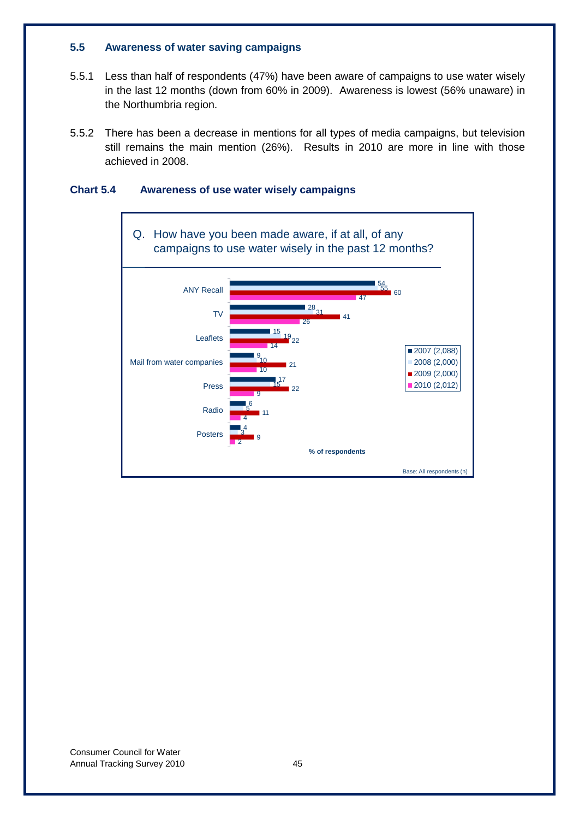# **5.5 Awareness of water saving campaigns**

- 5.5.1 Less than half of respondents (47%) have been aware of campaigns to use water wisely in the last 12 months (down from 60% in 2009). Awareness is lowest (56% unaware) in the Northumbria region.
- 5.5.2 There has been a decrease in mentions for all types of media campaigns, but television still remains the main mention (26%). Results in 2010 are more in line with those achieved in 2008.

# **Chart 5.4 Awareness of use water wisely campaigns**

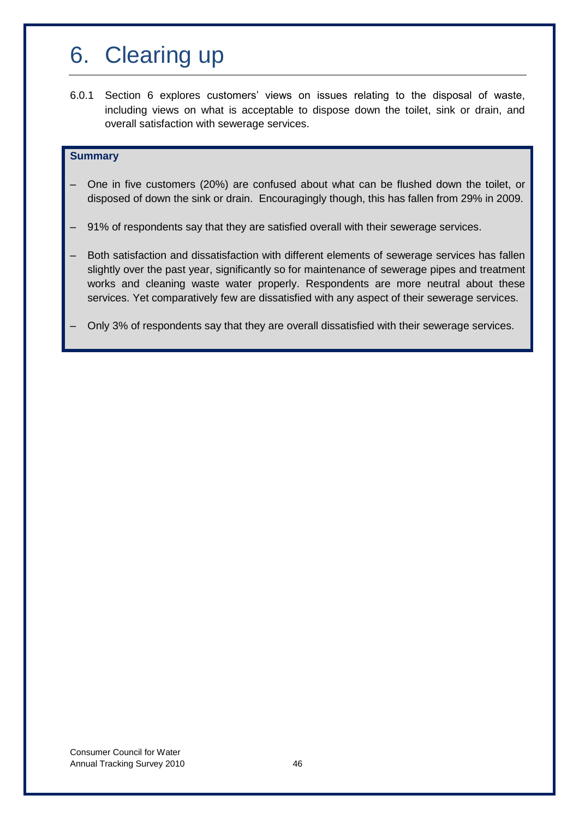# 6. Clearing up

6.0.1 Section 6 explores customers" views on issues relating to the disposal of waste, including views on what is acceptable to dispose down the toilet, sink or drain, and overall satisfaction with sewerage services.

## **Summary**

- One in five customers (20%) are confused about what can be flushed down the toilet, or disposed of down the sink or drain. Encouragingly though, this has fallen from 29% in 2009.
- 91% of respondents say that they are satisfied overall with their sewerage services.
- Both satisfaction and dissatisfaction with different elements of sewerage services has fallen slightly over the past year, significantly so for maintenance of sewerage pipes and treatment works and cleaning waste water properly. Respondents are more neutral about these services. Yet comparatively few are dissatisfied with any aspect of their sewerage services.
- Only 3% of respondents say that they are overall dissatisfied with their sewerage services.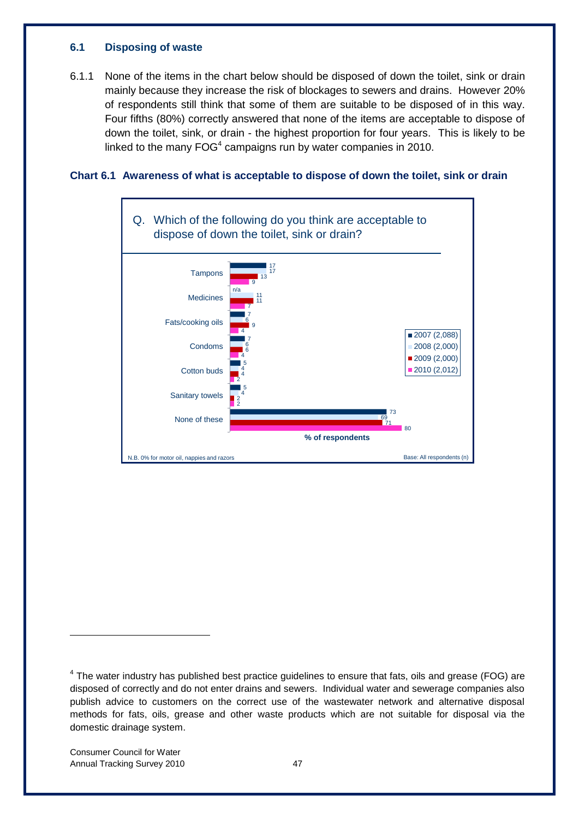## **6.1 Disposing of waste**

6.1.1 None of the items in the chart below should be disposed of down the toilet, sink or drain mainly because they increase the risk of blockages to sewers and drains. However 20% of respondents still think that some of them are suitable to be disposed of in this way. Four fifths (80%) correctly answered that none of the items are acceptable to dispose of down the toilet, sink, or drain - the highest proportion for four years. This is likely to be linked to the many  $FOG<sup>4</sup>$  campaigns run by water companies in 2010.

# **Chart 6.1 Awareness of what is acceptable to dispose of down the toilet, sink or drain**



-

 $4$  The water industry has published best practice guidelines to ensure that fats, oils and grease (FOG) are disposed of correctly and do not enter drains and sewers. Individual water and sewerage companies also publish advice to customers on the correct use of the wastewater network and alternative disposal methods for fats, oils, grease and other waste products which are not suitable for disposal via the domestic drainage system.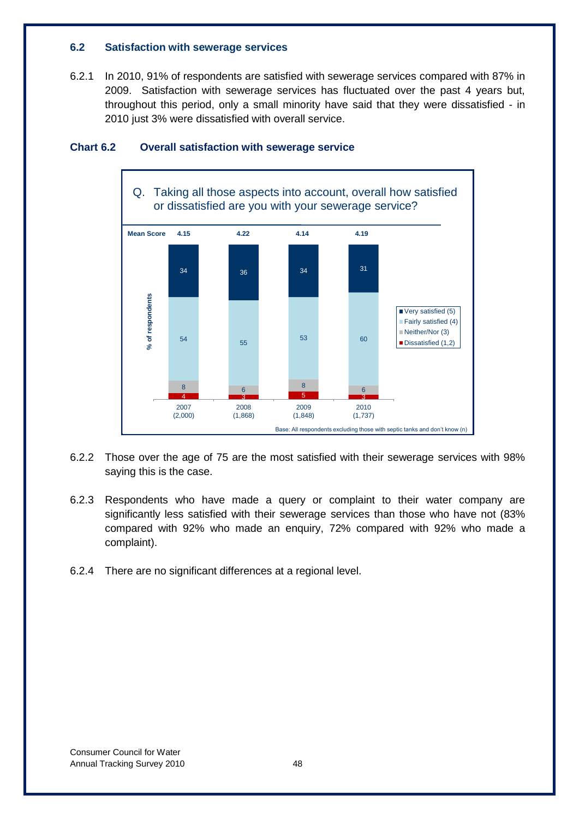## **6.2 Satisfaction with sewerage services**

6.2.1 In 2010, 91% of respondents are satisfied with sewerage services compared with 87% in 2009. Satisfaction with sewerage services has fluctuated over the past 4 years but, throughout this period, only a small minority have said that they were dissatisfied - in 2010 just 3% were dissatisfied with overall service.



# **Chart 6.2 Overall satisfaction with sewerage service**

- 6.2.2 Those over the age of 75 are the most satisfied with their sewerage services with 98% saying this is the case.
- 6.2.3 Respondents who have made a query or complaint to their water company are significantly less satisfied with their sewerage services than those who have not (83% compared with 92% who made an enquiry, 72% compared with 92% who made a complaint).
- 6.2.4 There are no significant differences at a regional level.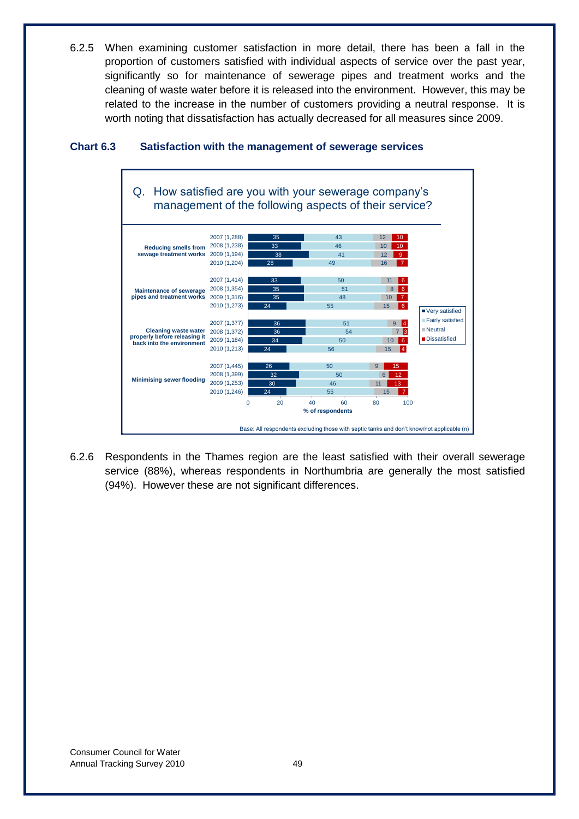6.2.5 When examining customer satisfaction in more detail, there has been a fall in the proportion of customers satisfied with individual aspects of service over the past year, significantly so for maintenance of sewerage pipes and treatment works and the cleaning of waste water before it is released into the environment. However, this may be related to the increase in the number of customers providing a neutral response. It is worth noting that dissatisfaction has actually decreased for all measures since 2009.



# **Chart 6.3 Satisfaction with the management of sewerage services**

6.2.6 Respondents in the Thames region are the least satisfied with their overall sewerage service (88%), whereas respondents in Northumbria are generally the most satisfied (94%). However these are not significant differences.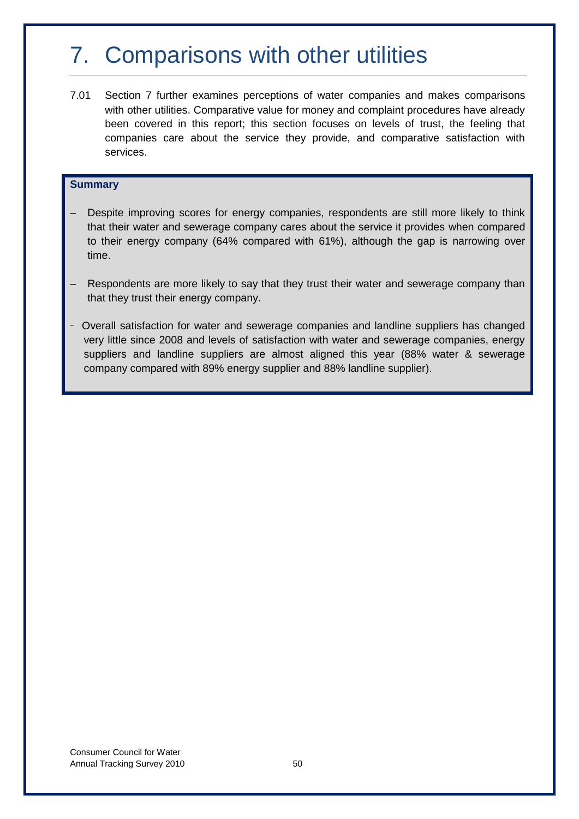# 7. Comparisons with other utilities

7.01 Section 7 further examines perceptions of water companies and makes comparisons with other utilities. Comparative value for money and complaint procedures have already been covered in this report; this section focuses on levels of trust, the feeling that companies care about the service they provide, and comparative satisfaction with services.

# **Summary**

- Despite improving scores for energy companies, respondents are still more likely to think that their water and sewerage company cares about the service it provides when compared to their energy company (64% compared with 61%), although the gap is narrowing over time.
- Respondents are more likely to say that they trust their water and sewerage company than that they trust their energy company.
- \_ Overall satisfaction for water and sewerage companies and landline suppliers has changed very little since 2008 and levels of satisfaction with water and sewerage companies, energy suppliers and landline suppliers are almost aligned this year (88% water & sewerage company compared with 89% energy supplier and 88% landline supplier).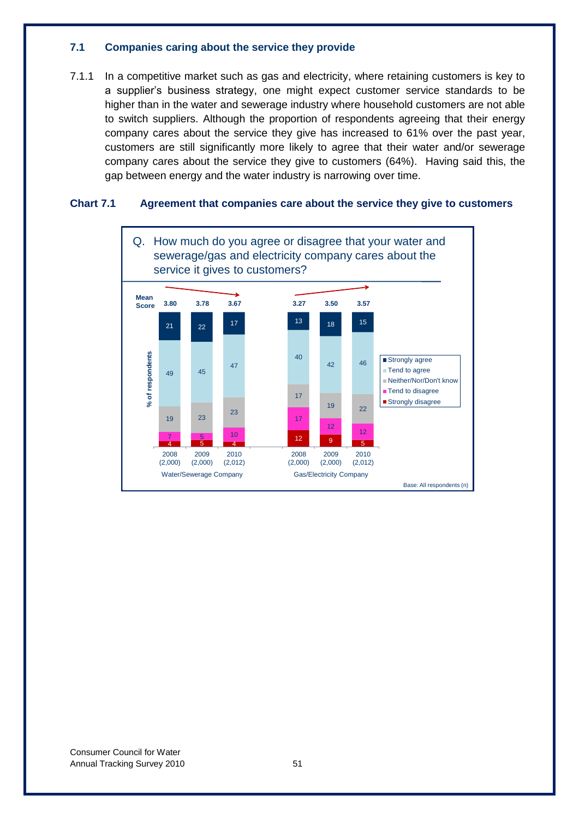## **7.1 Companies caring about the service they provide**

7.1.1 In a competitive market such as gas and electricity, where retaining customers is key to a supplier"s business strategy, one might expect customer service standards to be higher than in the water and sewerage industry where household customers are not able to switch suppliers. Although the proportion of respondents agreeing that their energy company cares about the service they give has increased to 61% over the past year, customers are still significantly more likely to agree that their water and/or sewerage company cares about the service they give to customers (64%). Having said this, the gap between energy and the water industry is narrowing over time.

# **Chart 7.1 Agreement that companies care about the service they give to customers**

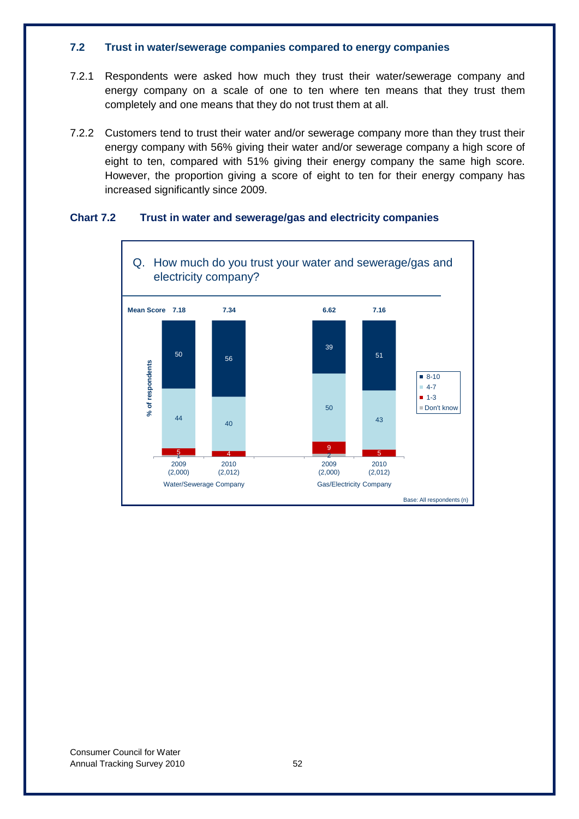## **7.2 Trust in water/sewerage companies compared to energy companies**

- 7.2.1 Respondents were asked how much they trust their water/sewerage company and energy company on a scale of one to ten where ten means that they trust them completely and one means that they do not trust them at all.
- 7.2.2 Customers tend to trust their water and/or sewerage company more than they trust their energy company with 56% giving their water and/or sewerage company a high score of eight to ten, compared with 51% giving their energy company the same high score. However, the proportion giving a score of eight to ten for their energy company has increased significantly since 2009.

# **Chart 7.2 Trust in water and sewerage/gas and electricity companies**

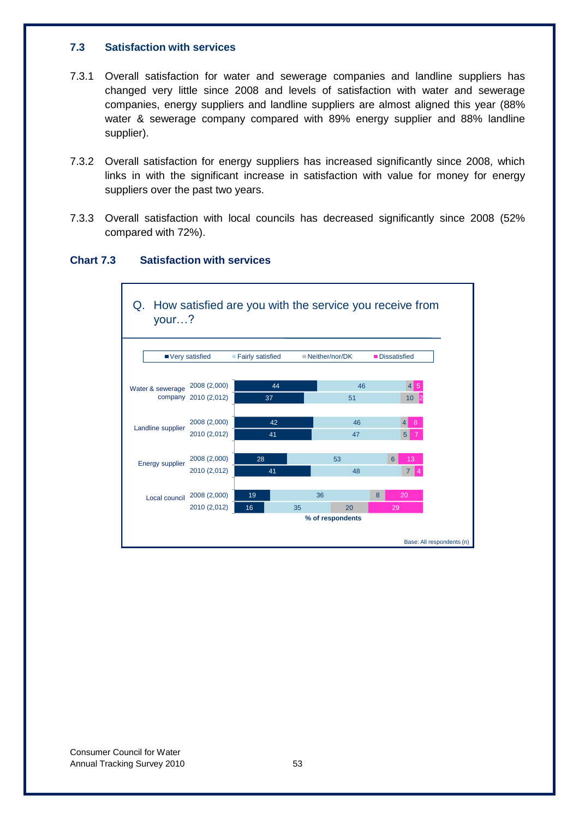## **7.3 Satisfaction with services**

- 7.3.1 Overall satisfaction for water and sewerage companies and landline suppliers has changed very little since 2008 and levels of satisfaction with water and sewerage companies, energy suppliers and landline suppliers are almost aligned this year (88% water & sewerage company compared with 89% energy supplier and 88% landline supplier).
- 7.3.2 Overall satisfaction for energy suppliers has increased significantly since 2008, which links in with the significant increase in satisfaction with value for money for energy suppliers over the past two years.
- 7.3.3 Overall satisfaction with local councils has decreased significantly since 2008 (52% compared with 72%).



## **Chart 7.3 Satisfaction with services**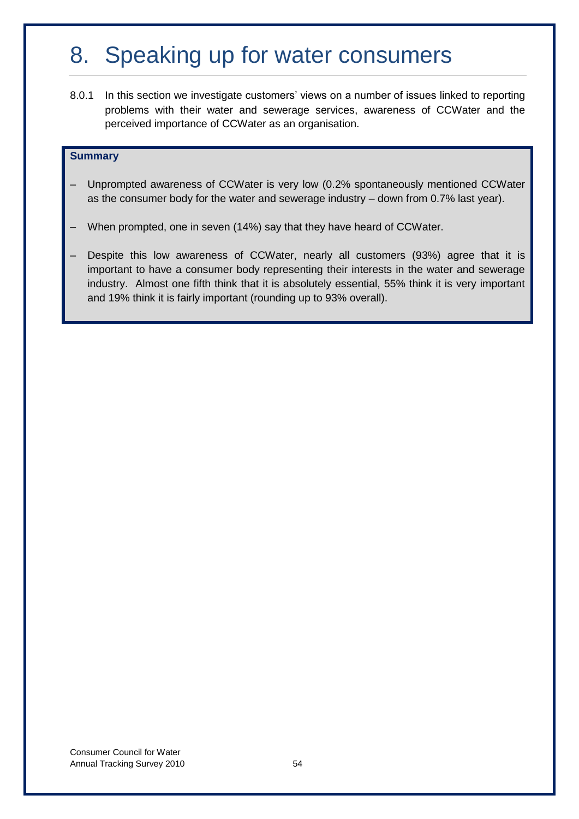# 8. Speaking up for water consumers

8.0.1 In this section we investigate customers' views on a number of issues linked to reporting problems with their water and sewerage services, awareness of CCWater and the perceived importance of CCWater as an organisation.

## **Summary**

- Unprompted awareness of CCWater is very low (0.2% spontaneously mentioned CCWater as the consumer body for the water and sewerage industry – down from 0.7% last year).
- When prompted, one in seven (14%) say that they have heard of CCWater.
- Despite this low awareness of CCWater, nearly all customers (93%) agree that it is important to have a consumer body representing their interests in the water and sewerage industry. Almost one fifth think that it is absolutely essential, 55% think it is very important and 19% think it is fairly important (rounding up to 93% overall).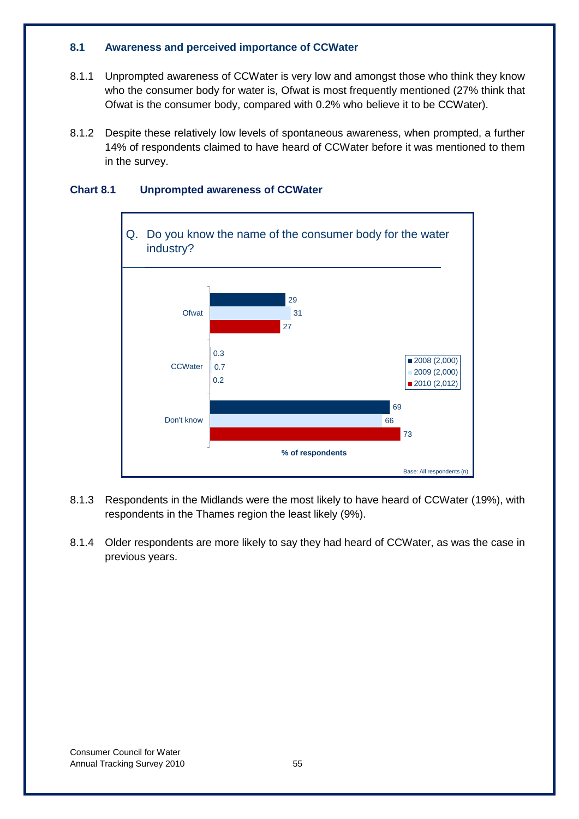# **8.1 Awareness and perceived importance of CCWater**

- 8.1.1 Unprompted awareness of CCWater is very low and amongst those who think they know who the consumer body for water is, Ofwat is most frequently mentioned (27% think that Ofwat is the consumer body, compared with 0.2% who believe it to be CCWater).
- 8.1.2 Despite these relatively low levels of spontaneous awareness, when prompted, a further 14% of respondents claimed to have heard of CCWater before it was mentioned to them in the survey.



# **Chart 8.1 Unprompted awareness of CCWater**

- 8.1.3 Respondents in the Midlands were the most likely to have heard of CCWater (19%), with respondents in the Thames region the least likely (9%).
- 8.1.4 Older respondents are more likely to say they had heard of CCWater, as was the case in previous years.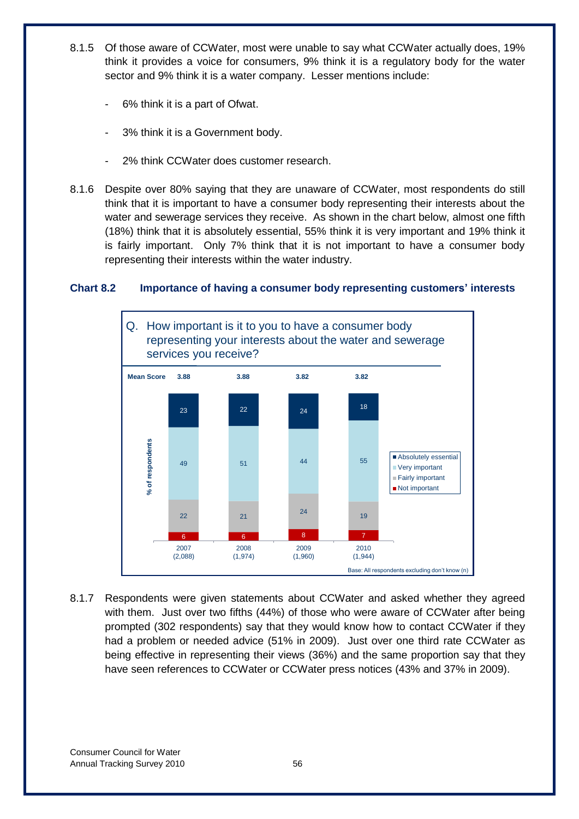- 8.1.5 Of those aware of CCWater, most were unable to say what CCWater actually does, 19% think it provides a voice for consumers, 9% think it is a regulatory body for the water sector and 9% think it is a water company. Lesser mentions include:
	- 6% think it is a part of Ofwat.
	- 3% think it is a Government body.
	- 2% think CCWater does customer research.
- 8.1.6 Despite over 80% saying that they are unaware of CCWater, most respondents do still think that it is important to have a consumer body representing their interests about the water and sewerage services they receive. As shown in the chart below, almost one fifth (18%) think that it is absolutely essential, 55% think it is very important and 19% think it is fairly important. Only 7% think that it is not important to have a consumer body representing their interests within the water industry.

# **Chart 8.2 Importance of having a consumer body representing customers' interests**



8.1.7 Respondents were given statements about CCWater and asked whether they agreed with them. Just over two fifths (44%) of those who were aware of CCWater after being prompted (302 respondents) say that they would know how to contact CCWater if they had a problem or needed advice (51% in 2009). Just over one third rate CCWater as being effective in representing their views (36%) and the same proportion say that they have seen references to CCWater or CCWater press notices (43% and 37% in 2009).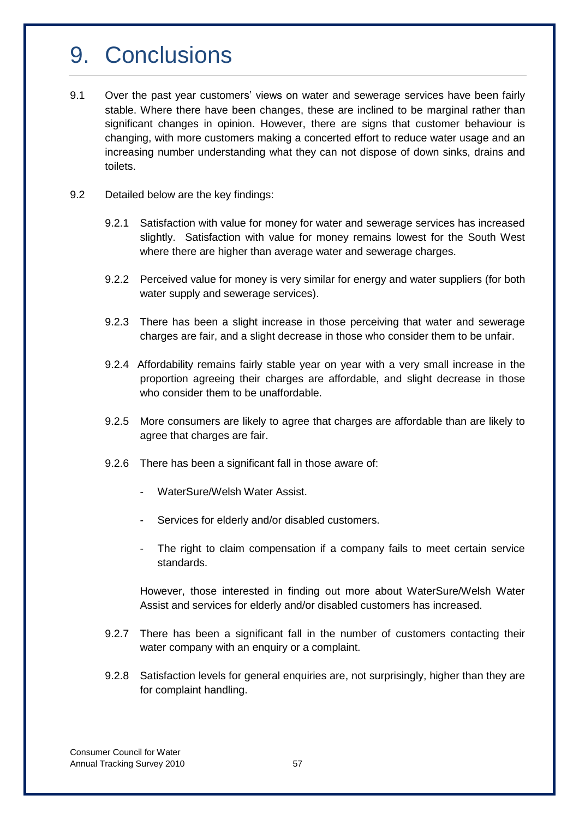# 9. Conclusions

- 9.1 Over the past year customers" views on water and sewerage services have been fairly stable. Where there have been changes, these are inclined to be marginal rather than significant changes in opinion. However, there are signs that customer behaviour is changing, with more customers making a concerted effort to reduce water usage and an increasing number understanding what they can not dispose of down sinks, drains and toilets.
- 9.2 Detailed below are the key findings:
	- 9.2.1 Satisfaction with value for money for water and sewerage services has increased slightly. Satisfaction with value for money remains lowest for the South West where there are higher than average water and sewerage charges.
	- 9.2.2 Perceived value for money is very similar for energy and water suppliers (for both water supply and sewerage services).
	- 9.2.3 There has been a slight increase in those perceiving that water and sewerage charges are fair, and a slight decrease in those who consider them to be unfair.
	- 9.2.4 Affordability remains fairly stable year on year with a very small increase in the proportion agreeing their charges are affordable, and slight decrease in those who consider them to be unaffordable.
	- 9.2.5 More consumers are likely to agree that charges are affordable than are likely to agree that charges are fair.
	- 9.2.6 There has been a significant fall in those aware of:
		- WaterSure/Welsh Water Assist.
		- Services for elderly and/or disabled customers.
		- The right to claim compensation if a company fails to meet certain service standards.

However, those interested in finding out more about WaterSure/Welsh Water Assist and services for elderly and/or disabled customers has increased.

- 9.2.7 There has been a significant fall in the number of customers contacting their water company with an enquiry or a complaint.
- 9.2.8 Satisfaction levels for general enquiries are, not surprisingly, higher than they are for complaint handling.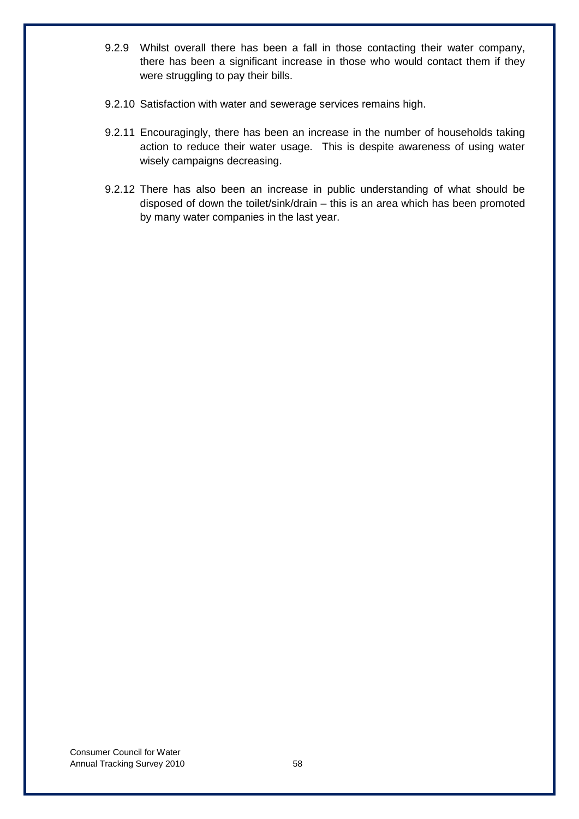- 9.2.9 Whilst overall there has been a fall in those contacting their water company, there has been a significant increase in those who would contact them if they were struggling to pay their bills.
- 9.2.10 Satisfaction with water and sewerage services remains high.
- 9.2.11 Encouragingly, there has been an increase in the number of households taking action to reduce their water usage. This is despite awareness of using water wisely campaigns decreasing.
- 9.2.12 There has also been an increase in public understanding of what should be disposed of down the toilet/sink/drain – this is an area which has been promoted by many water companies in the last year.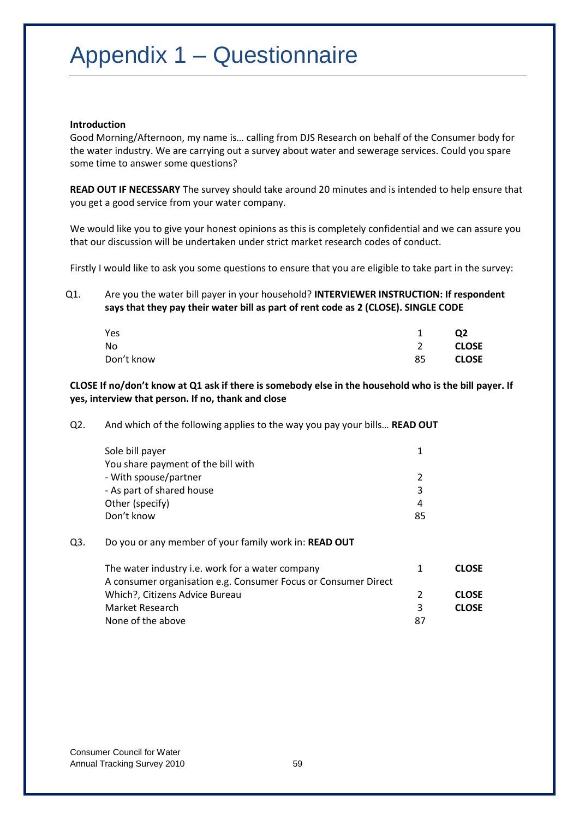# Appendix 1 – Questionnaire

#### **Introduction**

Good Morning/Afternoon, my name is… calling from DJS Research on behalf of the Consumer body for the water industry. We are carrying out a survey about water and sewerage services. Could you spare some time to answer some questions?

**READ OUT IF NECESSARY** The survey should take around 20 minutes and is intended to help ensure that you get a good service from your water company.

We would like you to give your honest opinions as this is completely confidential and we can assure you that our discussion will be undertaken under strict market research codes of conduct.

Firstly I would like to ask you some questions to ensure that you are eligible to take part in the survey:

Q1. Are you the water bill payer in your household? **INTERVIEWER INSTRUCTION: If respondent says that they pay their water bill as part of rent code as 2 (CLOSE). SINGLE CODE**

| Yes        |    | Q <sub>2</sub> |
|------------|----|----------------|
| No         |    | <b>CLOSE</b>   |
| Don't know | 85 | <b>CLOSE</b>   |

## **CLOSE If no/don't know at Q1 ask if there is somebody else in the household who is the bill payer. If yes, interview that person. If no, thank and close**

| Q2. | And which of the following applies to the way you pay your bills READ OUT |  |
|-----|---------------------------------------------------------------------------|--|
|-----|---------------------------------------------------------------------------|--|

| Sole bill payer<br>You share payment of the bill with |    |
|-------------------------------------------------------|----|
|                                                       |    |
| - With spouse/partner                                 |    |
| - As part of shared house                             | 3  |
| Other (specify)                                       | 4  |
| Don't know                                            | 85 |
|                                                       |    |

## Q3. Do you or any member of your family work in: **READ OUT**

| The water industry i.e. work for a water company               |               | <b>CLOSE</b> |
|----------------------------------------------------------------|---------------|--------------|
| A consumer organisation e.g. Consumer Focus or Consumer Direct |               |              |
| Which?, Citizens Advice Bureau                                 | $\mathcal{L}$ | <b>CLOSE</b> |
| Market Research                                                | ર             | <b>CLOSE</b> |
| None of the above                                              | 87            |              |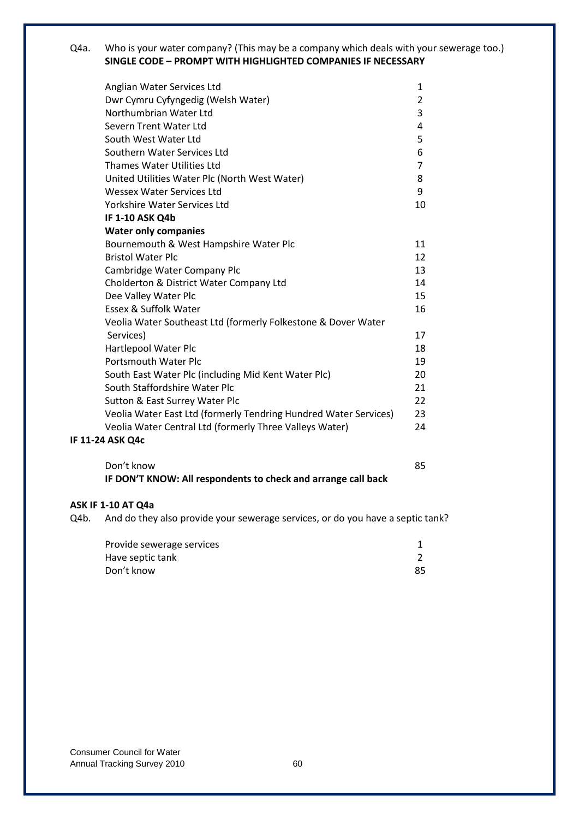## Q4a. Who is your water company? (This may be a company which deals with your sewerage too.) **SINGLE CODE – PROMPT WITH HIGHLIGHTED COMPANIES IF NECESSARY**

|                                                                  | 1  |
|------------------------------------------------------------------|----|
| Anglian Water Services Ltd                                       |    |
| Dwr Cymru Cyfyngedig (Welsh Water)                               | 2  |
| Northumbrian Water Ltd                                           | 3  |
| Severn Trent Water Ltd                                           | 4  |
| South West Water Ltd                                             | 5  |
| Southern Water Services Ltd                                      | 6  |
| Thames Water Utilities Ltd                                       | 7  |
| United Utilities Water Plc (North West Water)                    | 8  |
| Wessex Water Services Ltd                                        | 9  |
| Yorkshire Water Services Ltd                                     | 10 |
| <b>IF 1-10 ASK Q4b</b>                                           |    |
| <b>Water only companies</b>                                      |    |
| Bournemouth & West Hampshire Water Plc                           | 11 |
| <b>Bristol Water Plc</b>                                         | 12 |
| Cambridge Water Company Plc                                      | 13 |
| Cholderton & District Water Company Ltd                          | 14 |
| Dee Valley Water Plc                                             | 15 |
| Essex & Suffolk Water                                            | 16 |
| Veolia Water Southeast Ltd (formerly Folkestone & Dover Water    |    |
| Services)                                                        | 17 |
| Hartlepool Water Plc                                             | 18 |
| <b>Portsmouth Water Plc</b>                                      | 19 |
| South East Water Plc (including Mid Kent Water Plc)              | 20 |
| South Staffordshire Water Plc                                    | 21 |
| Sutton & East Surrey Water Plc                                   | 22 |
| Veolia Water East Ltd (formerly Tendring Hundred Water Services) | 23 |
| Veolia Water Central Ltd (formerly Three Valleys Water)          | 24 |
| IF 11-24 ASK Q4c                                                 |    |
|                                                                  |    |

Don't know 85 **IF DON'T KNOW: All respondents to check and arrange call back**

# **ASK IF 1-10 AT Q4a**

Q4b. And do they also provide your sewerage services, or do you have a septic tank?

| Provide sewerage services |    |
|---------------------------|----|
| Have septic tank          |    |
| Don't know                | 85 |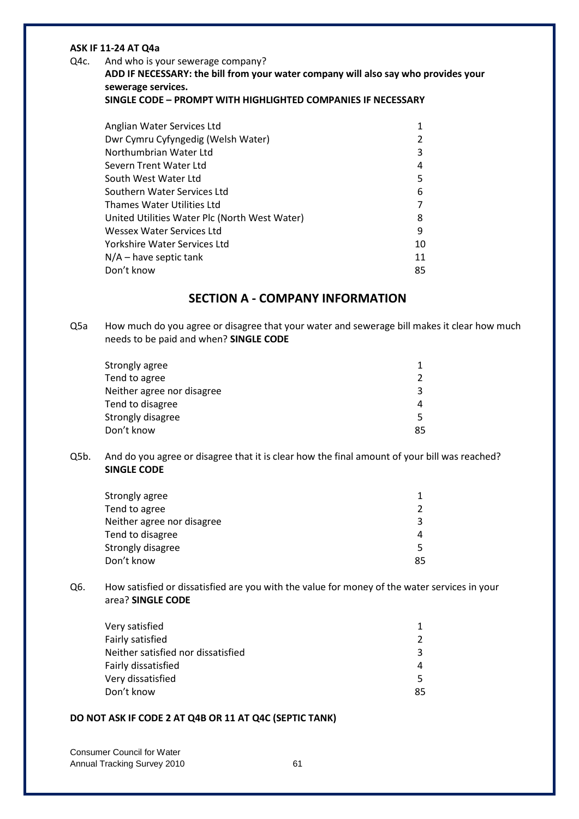## **ASK IF 11-24 AT Q4a**

#### Q4c. And who is your sewerage company?

**ADD IF NECESSARY: the bill from your water company will also say who provides your sewerage services.**

**SINGLE CODE – PROMPT WITH HIGHLIGHTED COMPANIES IF NECESSARY**

| Anglian Water Services Ltd                    |    |
|-----------------------------------------------|----|
| Dwr Cymru Cyfyngedig (Welsh Water)            |    |
| Northumbrian Water Ltd                        | 3  |
| Severn Trent Water Ltd                        | 4  |
| South West Water Ltd                          | 5  |
| Southern Water Services Ltd                   | 6  |
| Thames Water Utilities Ltd                    |    |
| United Utilities Water Plc (North West Water) | 8  |
| Wessex Water Services Ltd                     | 9  |
| Yorkshire Water Services Ltd                  | 10 |
| N/A – have septic tank                        | 11 |
| Don't know                                    | 85 |
|                                               |    |

# **SECTION A - COMPANY INFORMATION**

Q5a How much do you agree or disagree that your water and sewerage bill makes it clear how much needs to be paid and when? **SINGLE CODE**

| Strongly agree             |               |
|----------------------------|---------------|
| Tend to agree              | $\mathcal{P}$ |
| Neither agree nor disagree | ર             |
| Tend to disagree           | 4             |
| Strongly disagree          | 5.            |
| Don't know                 | 85            |
|                            |               |

Q5b. And do you agree or disagree that it is clear how the final amount of your bill was reached? **SINGLE CODE**

| Strongly agree             |               |
|----------------------------|---------------|
| Tend to agree              | $\mathcal{P}$ |
| Neither agree nor disagree | ર             |
| Tend to disagree           | 4             |
| Strongly disagree          | 5.            |
| Don't know                 | 85            |
|                            |               |

Q6. How satisfied or dissatisfied are you with the value for money of the water services in your area? **SINGLE CODE**

| ີຊ |
|----|
|    |
|    |
| 85 |
|    |

## **DO NOT ASK IF CODE 2 AT Q4B OR 11 AT Q4C (SEPTIC TANK)**

| <b>Consumer Council for Water</b> |    |
|-----------------------------------|----|
| Annual Tracking Survey 2010       | 61 |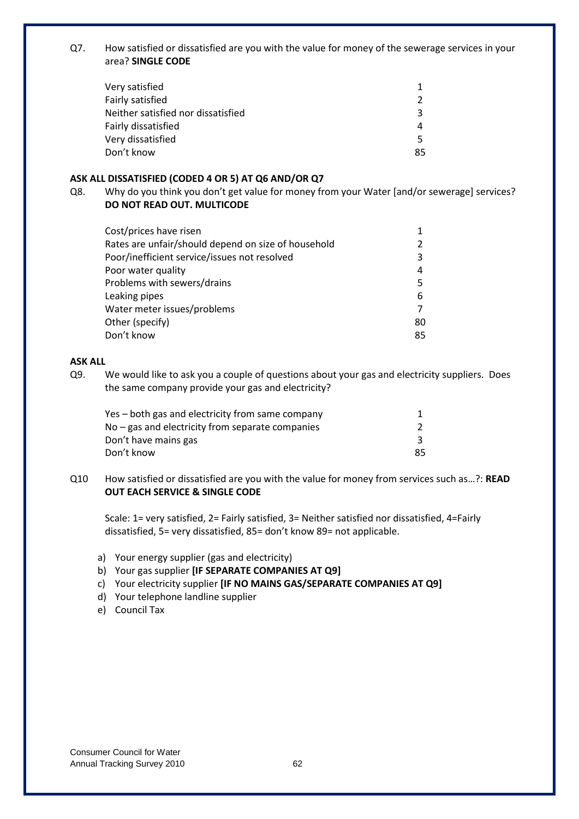Q7. How satisfied or dissatisfied are you with the value for money of the sewerage services in your area? **SINGLE CODE**

| Very satisfied                     |               |
|------------------------------------|---------------|
| Fairly satisfied                   | $\mathcal{P}$ |
| Neither satisfied nor dissatisfied | ₹             |
| Fairly dissatisfied                | 4             |
| Very dissatisfied                  | 5.            |
| Don't know                         | 85            |
|                                    |               |

## **ASK ALL DISSATISFIED (CODED 4 OR 5) AT Q6 AND/OR Q7**

Q8. Why do you think you don't get value for money from your Water [and/or sewerage] services? **DO NOT READ OUT. MULTICODE**

| Cost/prices have risen                              |               |
|-----------------------------------------------------|---------------|
| Rates are unfair/should depend on size of household | $\mathcal{P}$ |
| Poor/inefficient service/issues not resolved        | 3             |
| Poor water quality                                  | 4             |
| Problems with sewers/drains                         | 5             |
| Leaking pipes                                       | 6             |
| Water meter issues/problems                         | 7             |
| Other (specify)                                     | 80            |
| Don't know                                          | 85            |

# **ASK ALL**

Q9. We would like to ask you a couple of questions about your gas and electricity suppliers. Does the same company provide your gas and electricity?

| Yes – both gas and electricity from same company |    |
|--------------------------------------------------|----|
| No – gas and electricity from separate companies |    |
| Don't have mains gas                             |    |
| Don't know                                       | 85 |

Q10 How satisfied or dissatisfied are you with the value for money from services such as…?: **READ OUT EACH SERVICE & SINGLE CODE**

Scale: 1= very satisfied, 2= Fairly satisfied, 3= Neither satisfied nor dissatisfied, 4=Fairly dissatisfied, 5= very dissatisfied, 85= don't know 89= not applicable.

- a) Your energy supplier (gas and electricity)
- b) Your gas supplier **[IF SEPARATE COMPANIES AT Q9]**
- c) Your electricity supplier **[IF NO MAINS GAS/SEPARATE COMPANIES AT Q9]**
- d) Your telephone landline supplier
- e) Council Tax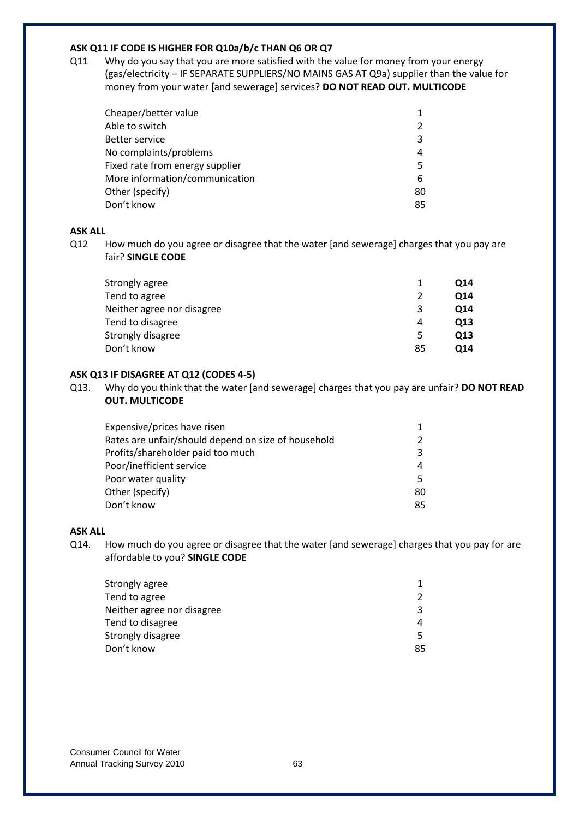## **ASK Q11 IF CODE IS HIGHER FOR Q10a/b/c THAN Q6 OR Q7**

Q11 Why do you say that you are more satisfied with the value for money from your energy (gas/electricity – IF SEPARATE SUPPLIERS/NO MAINS GAS AT Q9a) supplier than the value for money from your water [and sewerage] services? **DO NOT READ OUT. MULTICODE**

| Cheaper/better value            |               |
|---------------------------------|---------------|
| Able to switch                  | $\mathcal{P}$ |
| Better service                  | 3             |
| No complaints/problems          | 4             |
| Fixed rate from energy supplier | 5.            |
| More information/communication  | 6             |
| Other (specify)                 | 80            |
| Don't know                      | 85            |

# **ASK ALL**

Q12 How much do you agree or disagree that the water [and sewerage] charges that you pay are fair? **SINGLE CODE**

| Strongly agree             | 014 |
|----------------------------|-----|
| Tend to agree              | O14 |
| Neither agree nor disagree | O14 |
| Tend to disagree<br>4      | Q13 |
| Strongly disagree<br>5     | Q13 |
| Don't know<br>85           | 014 |

### **ASK Q13 IF DISAGREE AT Q12 (CODES 4-5)**

Q13. Why do you think that the water [and sewerage] charges that you pay are unfair? **DO NOT READ OUT. MULTICODE**

| Expensive/prices have risen                         |               |
|-----------------------------------------------------|---------------|
| Rates are unfair/should depend on size of household | $\mathcal{P}$ |
| Profits/shareholder paid too much                   | 3             |
| Poor/inefficient service                            | 4             |
| Poor water quality                                  | 5.            |
| Other (specify)                                     | 80            |
| Don't know                                          | 85            |
|                                                     |               |

# **ASK ALL**

Q14. How much do you agree or disagree that the water [and sewerage] charges that you pay for are affordable to you? **SINGLE CODE**

| Strongly agree             |               |
|----------------------------|---------------|
| Tend to agree              | $\mathcal{P}$ |
| Neither agree nor disagree | ર             |
| Tend to disagree           | 4             |
| Strongly disagree          |               |
| Don't know                 | 85            |
|                            |               |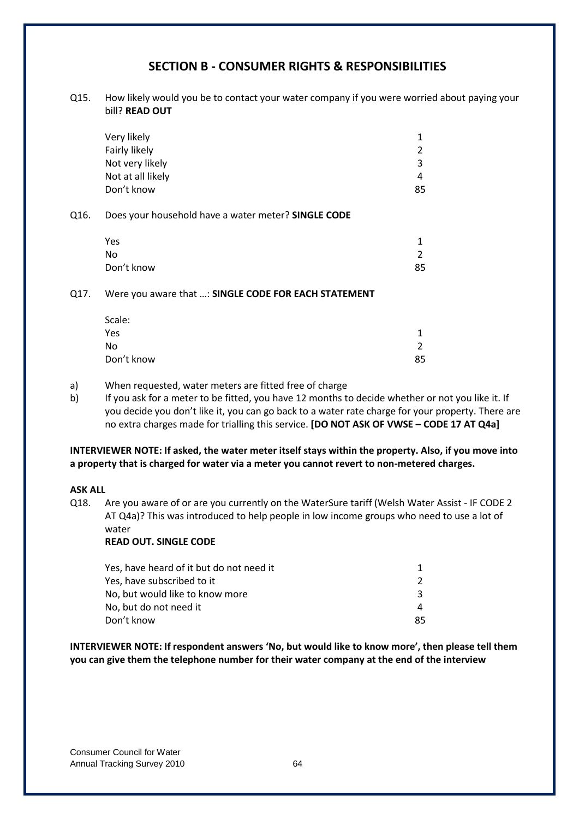# **SECTION B - CONSUMER RIGHTS & RESPONSIBILITIES**

Q15. How likely would you be to contact your water company if you were worried about paying your bill? **READ OUT**

|      | Very likely                                         | 1  |
|------|-----------------------------------------------------|----|
|      | Fairly likely                                       | 2  |
|      | Not very likely                                     | 3  |
|      | Not at all likely                                   | 4  |
|      | Don't know                                          | 85 |
| Q16. | Does your household have a water meter? SINGLE CODE |    |
|      | Yes                                                 | 1  |
|      | No                                                  | 2  |
|      | Don't know                                          | 85 |
|      |                                                     |    |

### Q17. Were you aware that …: **SINGLE CODE FOR EACH STATEMENT**

| Scale:     |    |
|------------|----|
| Yes        |    |
| No         | ົ  |
| Don't know | 85 |

- a) When requested, water meters are fitted free of charge
- b) If you ask for a meter to be fitted, you have 12 months to decide whether or not you like it. If you decide you don't like it, you can go back to a water rate charge for your property. There are no extra charges made for trialling this service. **[DO NOT ASK OF VWSE – CODE 17 AT Q4a]**

## **INTERVIEWER NOTE: If asked, the water meter itself stays within the property. Also, if you move into a property that is charged for water via a meter you cannot revert to non-metered charges.**

## **ASK ALL**

Q18. Are you aware of or are you currently on the WaterSure tariff (Welsh Water Assist - IF CODE 2 AT Q4a)? This was introduced to help people in low income groups who need to use a lot of water

# **READ OUT. SINGLE CODE**

| Yes, have heard of it but do not need it |    |
|------------------------------------------|----|
| Yes, have subscribed to it               |    |
| No, but would like to know more          |    |
| No, but do not need it                   | 4  |
| Don't know                               | 85 |

**INTERVIEWER NOTE: If respondent answers 'No, but would like to know more', then please tell them you can give them the telephone number for their water company at the end of the interview**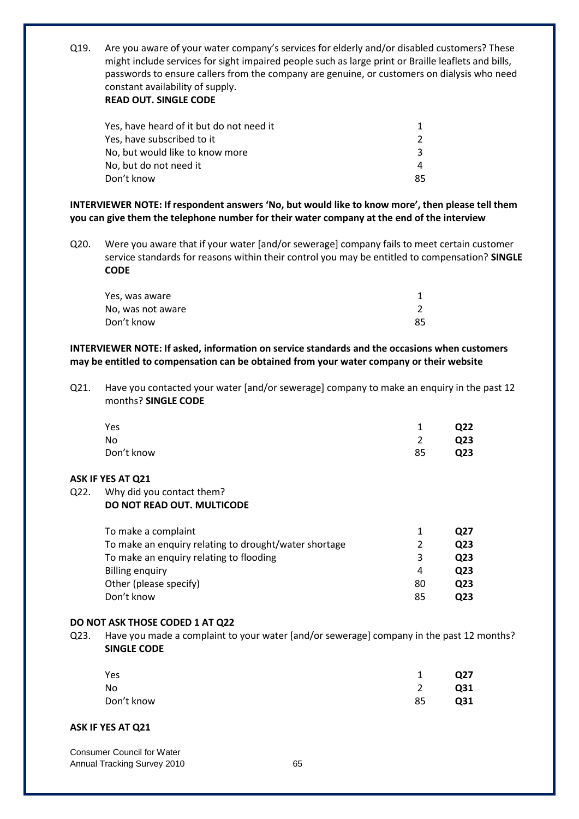Q19. Are you aware of your water company's services for elderly and/or disabled customers? These might include services for sight impaired people such as large print or Braille leaflets and bills, passwords to ensure callers from the company are genuine, or customers on dialysis who need constant availability of supply.

## **READ OUT. SINGLE CODE**

| Yes, have heard of it but do not need it |    |
|------------------------------------------|----|
| Yes, have subscribed to it               |    |
| No, but would like to know more          | ર  |
| No, but do not need it                   | 4  |
| Don't know                               | 85 |

**INTERVIEWER NOTE: If respondent answers 'No, but would like to know more', then please tell them you can give them the telephone number for their water company at the end of the interview**

Q20. Were you aware that if your water [and/or sewerage] company fails to meet certain customer service standards for reasons within their control you may be entitled to compensation? **SINGLE CODE**

| Yes, was aware    |    |
|-------------------|----|
| No, was not aware |    |
| Don't know        | 85 |

## **INTERVIEWER NOTE: If asked, information on service standards and the occasions when customers may be entitled to compensation can be obtained from your water company or their website**

Q21. Have you contacted your water [and/or sewerage] company to make an enquiry in the past 12 months? **SINGLE CODE**

| Yes        |    | Q <sub>22</sub> |
|------------|----|-----------------|
| No         |    | Q <sub>23</sub> |
| Don't know | 85 | Q <sub>23</sub> |

## **ASK IF YES AT Q21**

### Q22. Why did you contact them? **DO NOT READ OUT. MULTICODE**

| 1             | O27 |
|---------------|-----|
| $\mathcal{L}$ | Q23 |
| 3             | Q23 |
| 4             | Q23 |
| 80            | Q23 |
| 85            | Q23 |
|               |     |

# **DO NOT ASK THOSE CODED 1 AT Q22**

Q23. Have you made a complaint to your water [and/or sewerage] company in the past 12 months? **SINGLE CODE**

| Yes        | $\mathbf{1}$   | Q27 |
|------------|----------------|-----|
| No         | $\overline{2}$ | Q31 |
| Don't know | 85             | Q31 |

## **ASK IF YES AT Q21**

Consumer Council for Water Annual Tracking Survey 2010 **65**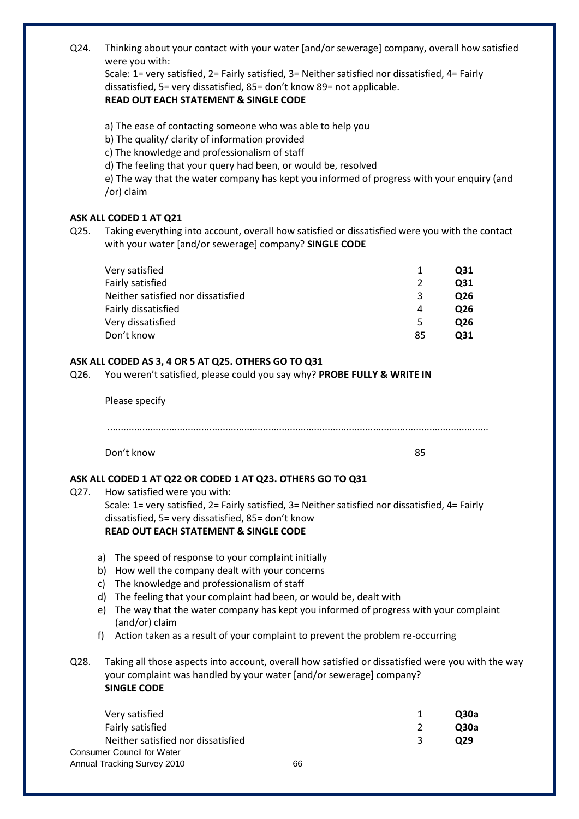Q24. Thinking about your contact with your water [and/or sewerage] company, overall how satisfied were you with:

Scale: 1= very satisfied, 2= Fairly satisfied, 3= Neither satisfied nor dissatisfied, 4= Fairly dissatisfied, 5= very dissatisfied, 85= don't know 89= not applicable. **READ OUT EACH STATEMENT & SINGLE CODE**

a) The ease of contacting someone who was able to help you

b) The quality/ clarity of information provided

c) The knowledge and professionalism of staff

d) The feeling that your query had been, or would be, resolved

e) The way that the water company has kept you informed of progress with your enquiry (and /or) claim

## **ASK ALL CODED 1 AT Q21**

Q25. Taking everything into account, overall how satisfied or dissatisfied were you with the contact with your water [and/or sewerage] company? **SINGLE CODE**

| Very satisfied                     | 1  | Q31 |
|------------------------------------|----|-----|
| Fairly satisfied                   |    | Q31 |
| Neither satisfied nor dissatisfied | 3  | Q26 |
| Fairly dissatisfied                | 4  | Q26 |
| Very dissatisfied                  | 5  | Q26 |
| Don't know                         | 85 | 031 |

## **ASK ALL CODED AS 3, 4 OR 5 AT Q25. OTHERS GO TO Q31**

Q26. You weren't satisfied, please could you say why? **PROBE FULLY & WRITE IN**

Please specify .............................................................................................................................................. Don't know 85

# **ASK ALL CODED 1 AT Q22 OR CODED 1 AT Q23. OTHERS GO TO Q31**

- Q27. How satisfied were you with: Scale: 1= very satisfied, 2= Fairly satisfied, 3= Neither satisfied nor dissatisfied, 4= Fairly dissatisfied, 5= very dissatisfied, 85= don't know **READ OUT EACH STATEMENT & SINGLE CODE** a) The speed of response to your complaint initially b) How well the company dealt with your concerns c) The knowledge and professionalism of staff d) The feeling that your complaint had been, or would be, dealt with e) The way that the water company has kept you informed of progress with your complaint (and/or) claim f) Action taken as a result of your complaint to prevent the problem re-occurring
- Q28. Taking all those aspects into account, overall how satisfied or dissatisfied were you with the way your complaint was handled by your water [and/or sewerage] company? **SINGLE CODE**

| Very satisfied                     |    |   | <b>O30a</b> |
|------------------------------------|----|---|-------------|
| Fairly satisfied                   |    |   | <b>O30a</b> |
| Neither satisfied nor dissatisfied |    | ર | O29         |
| <b>Consumer Council for Water</b>  |    |   |             |
| Annual Tracking Survey 2010        | 66 |   |             |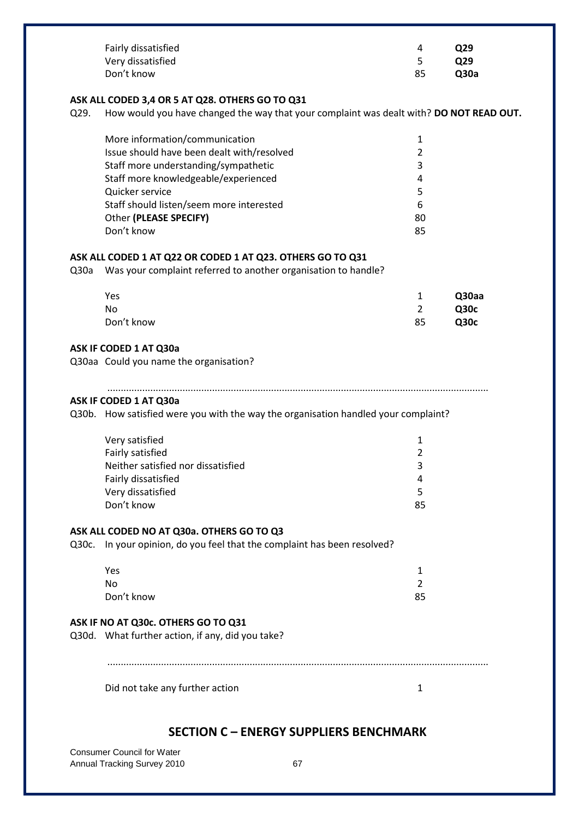|                                                                                                                                                    | Fairly dissatisfied<br>Very dissatisfied<br>Don't know                                                                                                                                                                                                              | 4<br>5<br>85                                        | Q29<br>Q29<br>Q30a                  |  |
|----------------------------------------------------------------------------------------------------------------------------------------------------|---------------------------------------------------------------------------------------------------------------------------------------------------------------------------------------------------------------------------------------------------------------------|-----------------------------------------------------|-------------------------------------|--|
| ASK ALL CODED 3,4 OR 5 AT Q28. OTHERS GO TO Q31<br>How would you have changed the way that your complaint was dealt with? DO NOT READ OUT.<br>Q29. |                                                                                                                                                                                                                                                                     |                                                     |                                     |  |
|                                                                                                                                                    | More information/communication<br>Issue should have been dealt with/resolved<br>Staff more understanding/sympathetic<br>Staff more knowledgeable/experienced<br>Quicker service<br>Staff should listen/seem more interested<br>Other (PLEASE SPECIFY)<br>Don't know | 1<br>$\overline{2}$<br>3<br>4<br>5<br>6<br>80<br>85 |                                     |  |
| Q30a                                                                                                                                               | ASK ALL CODED 1 AT Q22 OR CODED 1 AT Q23. OTHERS GO TO Q31<br>Was your complaint referred to another organisation to handle?                                                                                                                                        |                                                     |                                     |  |
|                                                                                                                                                    | Yes<br><b>No</b><br>Don't know                                                                                                                                                                                                                                      | $\mathbf{1}$<br>$\overline{2}$<br>85                | Q30aa<br><b>Q30c</b><br><b>Q30c</b> |  |
|                                                                                                                                                    | ASK IF CODED 1 AT Q30a<br>Q30aa Could you name the organisation?                                                                                                                                                                                                    |                                                     |                                     |  |
|                                                                                                                                                    | ASK IF CODED 1 AT Q30a<br>Q30b. How satisfied were you with the way the organisation handled your complaint?                                                                                                                                                        |                                                     |                                     |  |
|                                                                                                                                                    | Very satisfied<br>Fairly satisfied<br>Neither satisfied nor dissatisfied<br>Fairly dissatisfied<br>Very dissatisfied<br>Don't know                                                                                                                                  | $\mathbf{1}$<br>2<br>3<br>4<br>5<br>85              |                                     |  |
|                                                                                                                                                    | ASK ALL CODED NO AT Q30a. OTHERS GO TO Q3<br>Q30c. In your opinion, do you feel that the complaint has been resolved?                                                                                                                                               |                                                     |                                     |  |
|                                                                                                                                                    | Yes<br><b>No</b><br>Don't know                                                                                                                                                                                                                                      | 1<br>$\overline{2}$<br>85                           |                                     |  |
|                                                                                                                                                    | ASK IF NO AT Q30c. OTHERS GO TO Q31<br>Q30d. What further action, if any, did you take?                                                                                                                                                                             |                                                     |                                     |  |
|                                                                                                                                                    | Did not take any further action                                                                                                                                                                                                                                     | 1                                                   |                                     |  |
|                                                                                                                                                    |                                                                                                                                                                                                                                                                     |                                                     |                                     |  |

# **SECTION C – ENERGY SUPPLIERS BENCHMARK**

Consumer Council for Water Annual Tracking Survey 2010 **67**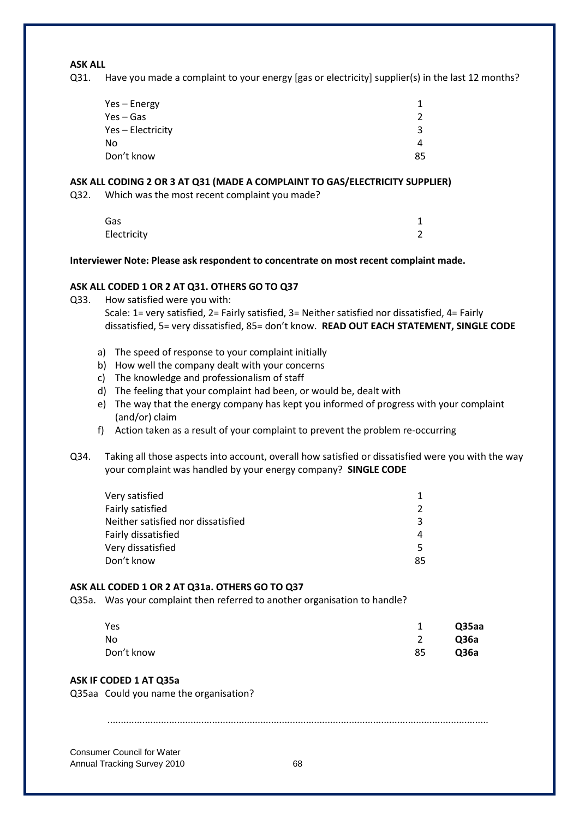#### **ASK ALL**

Q31. Have you made a complaint to your energy [gas or electricity] supplier(s) in the last 12 months?

| Yes – Energy      |    |
|-------------------|----|
| Yes – Gas         | Ο. |
| Yes - Electricity | ર  |
| No                | 4  |
| Don't know        | 85 |

#### **ASK ALL CODING 2 OR 3 AT Q31 (MADE A COMPLAINT TO GAS/ELECTRICITY SUPPLIER)**

Q32. Which was the most recent complaint you made?

| Gas         |   |
|-------------|---|
| Electricity | 2 |

#### **Interviewer Note: Please ask respondent to concentrate on most recent complaint made.**

#### **ASK ALL CODED 1 OR 2 AT Q31. OTHERS GO TO Q37**

Q33. How satisfied were you with:

Scale: 1= very satisfied, 2= Fairly satisfied, 3= Neither satisfied nor dissatisfied, 4= Fairly dissatisfied, 5= very dissatisfied, 85= don't know. **READ OUT EACH STATEMENT, SINGLE CODE**

- a) The speed of response to your complaint initially
- b) How well the company dealt with your concerns
- c) The knowledge and professionalism of staff
- d) The feeling that your complaint had been, or would be, dealt with
- e) The way that the energy company has kept you informed of progress with your complaint (and/or) claim
- f) Action taken as a result of your complaint to prevent the problem re-occurring
- Q34. Taking all those aspects into account, overall how satisfied or dissatisfied were you with the way your complaint was handled by your energy company? **SINGLE CODE**

| Very satisfied                     |               |
|------------------------------------|---------------|
| Fairly satisfied                   | $\mathcal{P}$ |
| Neither satisfied nor dissatisfied | ₹             |
| Fairly dissatisfied                | 4             |
| Very dissatisfied                  | 5.            |
| Don't know                         | 85            |
|                                    |               |

#### **ASK ALL CODED 1 OR 2 AT Q31a. OTHERS GO TO Q37**

Q35a. Was your complaint then referred to another organisation to handle?

| Yes        | 1  | Q35aa |
|------------|----|-------|
| No         | 2  | Q36a  |
| Don't know | 85 | Q36a  |

#### **ASK IF CODED 1 AT Q35a**

Q35aa Could you name the organisation?

..............................................................................................................................................

Consumer Council for Water Annual Tracking Survey 2010 **68**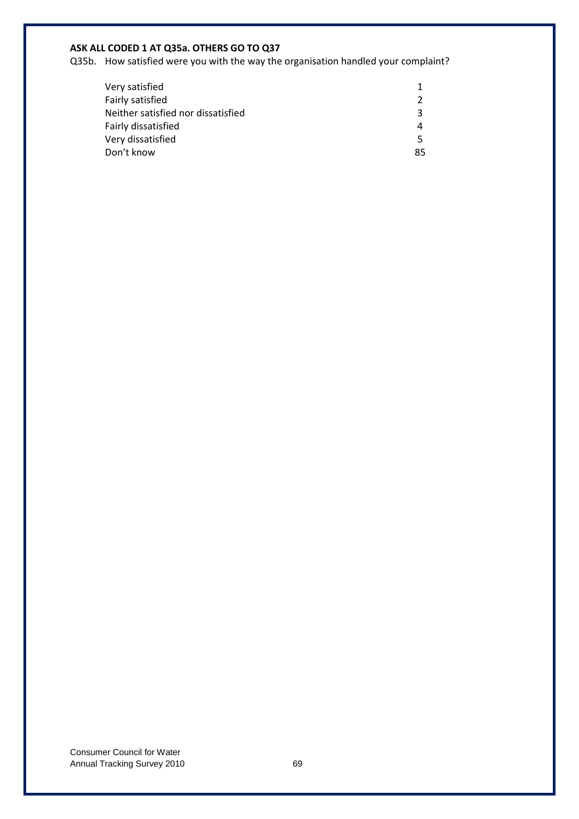# **ASK ALL CODED 1 AT Q35a. OTHERS GO TO Q37**

Q35b. How satisfied were you with the way the organisation handled your complaint?

| Very satisfied                     |               |
|------------------------------------|---------------|
| Fairly satisfied                   | $\mathcal{P}$ |
| Neither satisfied nor dissatisfied | ₹             |
| Fairly dissatisfied                | 4             |
| Very dissatisfied                  | 5.            |
| Don't know                         | 85            |
|                                    |               |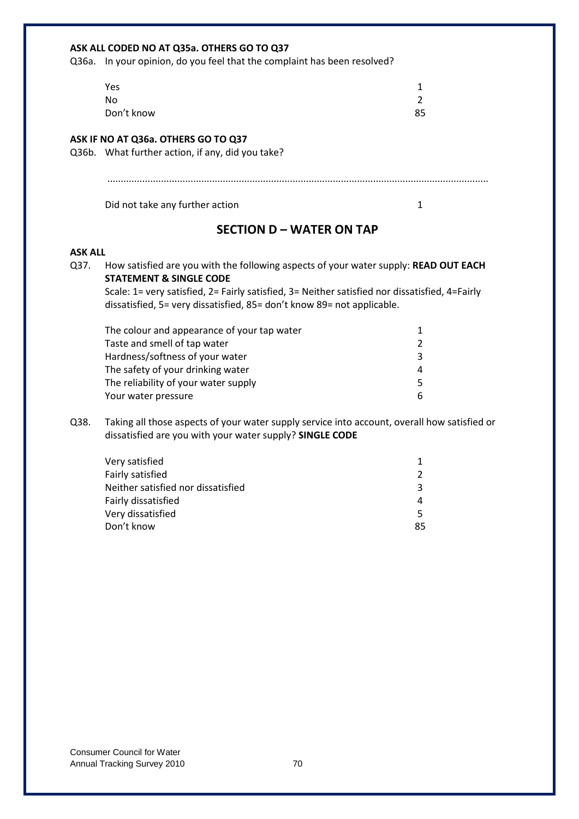| ASK ALL CODED NO AT Q35a. OTHERS GO TO Q37 |                                                                                                                                                                          |                |
|--------------------------------------------|--------------------------------------------------------------------------------------------------------------------------------------------------------------------------|----------------|
|                                            | Q36a. In your opinion, do you feel that the complaint has been resolved?                                                                                                 |                |
|                                            | Yes                                                                                                                                                                      | 1              |
|                                            | <b>No</b>                                                                                                                                                                | $\overline{2}$ |
|                                            | Don't know                                                                                                                                                               | 85             |
|                                            |                                                                                                                                                                          |                |
|                                            | ASK IF NO AT Q36a. OTHERS GO TO Q37                                                                                                                                      |                |
|                                            | Q36b. What further action, if any, did you take?                                                                                                                         |                |
|                                            |                                                                                                                                                                          |                |
|                                            |                                                                                                                                                                          |                |
|                                            | Did not take any further action                                                                                                                                          | $\mathbf{1}$   |
|                                            | <b>SECTION D - WATER ON TAP</b>                                                                                                                                          |                |
| <b>ASK ALL</b>                             |                                                                                                                                                                          |                |
| Q37.                                       | How satisfied are you with the following aspects of your water supply: READ OUT EACH<br><b>STATEMENT &amp; SINGLE CODE</b>                                               |                |
|                                            | Scale: 1= very satisfied, 2= Fairly satisfied, 3= Neither satisfied nor dissatisfied, 4=Fairly<br>dissatisfied, 5= very dissatisfied, 85= don't know 89= not applicable. |                |
|                                            | The colour and appearance of your tap water                                                                                                                              | 1              |
|                                            | Taste and smell of tap water                                                                                                                                             | 2              |
|                                            | Hardness/softness of your water                                                                                                                                          | 3              |
|                                            | The safety of your drinking water                                                                                                                                        | 4              |
|                                            | The reliability of your water supply                                                                                                                                     | 5              |
|                                            | Your water pressure                                                                                                                                                      | 6              |
| Q38.                                       | Taking all those aspects of your water supply service into account, overall how satisfied or                                                                             |                |
|                                            | dissatisfied are you with your water supply? SINGLE CODE                                                                                                                 |                |
|                                            | Very satisfied                                                                                                                                                           | $\mathbf{1}$   |
|                                            | Fairly satisfied                                                                                                                                                         | 2              |
|                                            | Neither satisfied nor dissatisfied                                                                                                                                       | 3              |
|                                            | Fairly dissatisfied                                                                                                                                                      | 4              |
|                                            | Very dissatisfied                                                                                                                                                        | 5              |
|                                            | Don't know                                                                                                                                                               | 85             |
|                                            |                                                                                                                                                                          |                |
|                                            |                                                                                                                                                                          |                |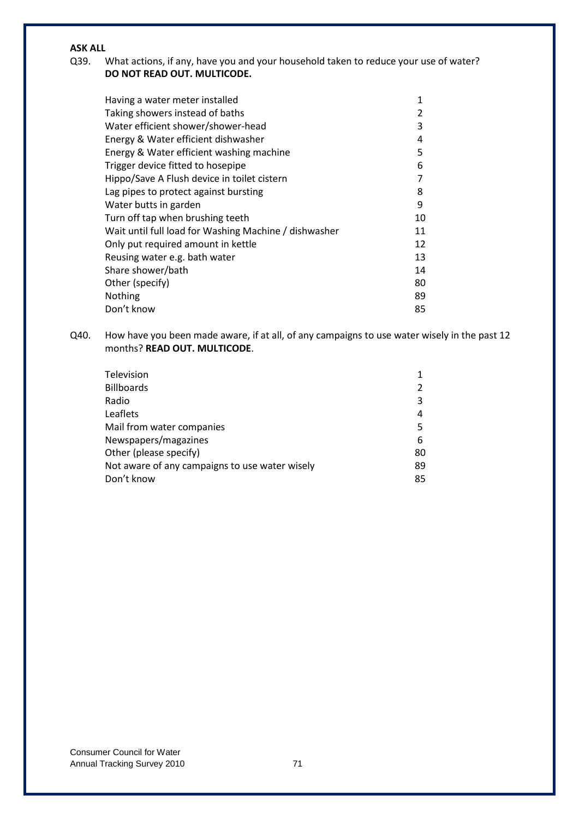## **ASK ALL**

## Q39. What actions, if any, have you and your household taken to reduce your use of water? **DO NOT READ OUT. MULTICODE.**

| Having a water meter installed                        | 1  |
|-------------------------------------------------------|----|
| Taking showers instead of baths                       | 2  |
| Water efficient shower/shower-head                    | 3  |
| Energy & Water efficient dishwasher                   | 4  |
| Energy & Water efficient washing machine              | 5  |
| Trigger device fitted to hosepipe                     | 6  |
| Hippo/Save A Flush device in toilet cistern           | 7  |
| Lag pipes to protect against bursting                 | 8  |
| Water butts in garden                                 | 9  |
| Turn off tap when brushing teeth                      | 10 |
| Wait until full load for Washing Machine / dishwasher | 11 |
| Only put required amount in kettle                    | 12 |
| Reusing water e.g. bath water                         | 13 |
| Share shower/bath                                     | 14 |
| Other (specify)                                       | 80 |
| Nothing                                               | 89 |
| Don't know                                            | 85 |

Q40. How have you been made aware, if at all, of any campaigns to use water wisely in the past 12 months? **READ OUT. MULTICODE**.

| Television                                     |    |
|------------------------------------------------|----|
| <b>Billboards</b>                              | 2  |
| Radio                                          | 3  |
| Leaflets                                       | 4  |
| Mail from water companies                      | 5  |
| Newspapers/magazines                           | 6  |
| Other (please specify)                         | 80 |
| Not aware of any campaigns to use water wisely | 89 |
| Don't know                                     | 85 |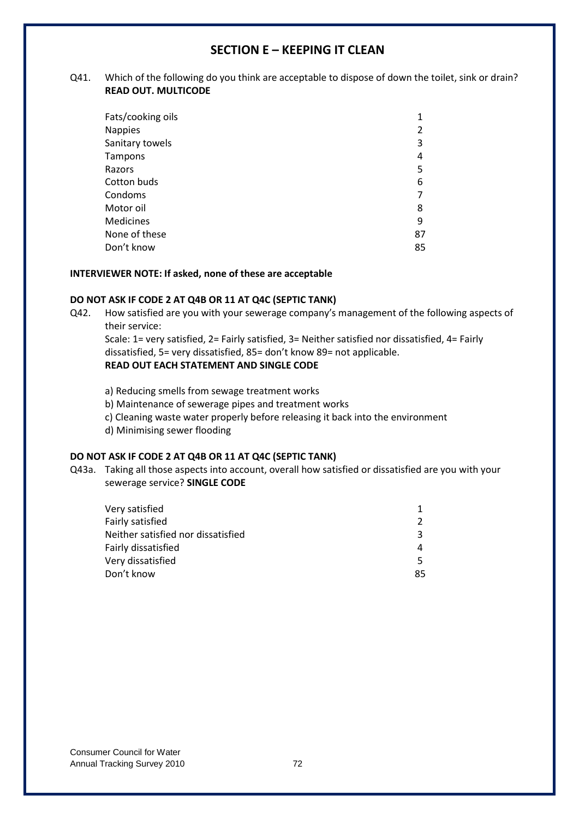## **SECTION E – KEEPING IT CLEAN**

#### Q41. Which of the following do you think are acceptable to dispose of down the toilet, sink or drain? **READ OUT. MULTICODE**

| 1  |
|----|
| 2  |
| 3  |
| 4  |
| 5  |
| 6  |
| 7  |
| 8  |
| 9  |
| 87 |
| 85 |
|    |

#### **INTERVIEWER NOTE: If asked, none of these are acceptable**

#### **DO NOT ASK IF CODE 2 AT Q4B OR 11 AT Q4C (SEPTIC TANK)**

Q42. How satisfied are you with your sewerage company's management of the following aspects of their service:

Scale: 1= very satisfied, 2= Fairly satisfied, 3= Neither satisfied nor dissatisfied, 4= Fairly dissatisfied, 5= very dissatisfied, 85= don't know 89= not applicable. **READ OUT EACH STATEMENT AND SINGLE CODE**

- a) Reducing smells from sewage treatment works
- b) Maintenance of sewerage pipes and treatment works
- c) Cleaning waste water properly before releasing it back into the environment
- d) Minimising sewer flooding

## **DO NOT ASK IF CODE 2 AT Q4B OR 11 AT Q4C (SEPTIC TANK)**

Q43a. Taking all those aspects into account, overall how satisfied or dissatisfied are you with your sewerage service? **SINGLE CODE**

| Very satisfied                     |               |
|------------------------------------|---------------|
| Fairly satisfied                   | $\mathcal{P}$ |
| Neither satisfied nor dissatisfied | 3             |
| Fairly dissatisfied                | 4             |
| Very dissatisfied                  | 5.            |
| Don't know                         | 85            |
|                                    |               |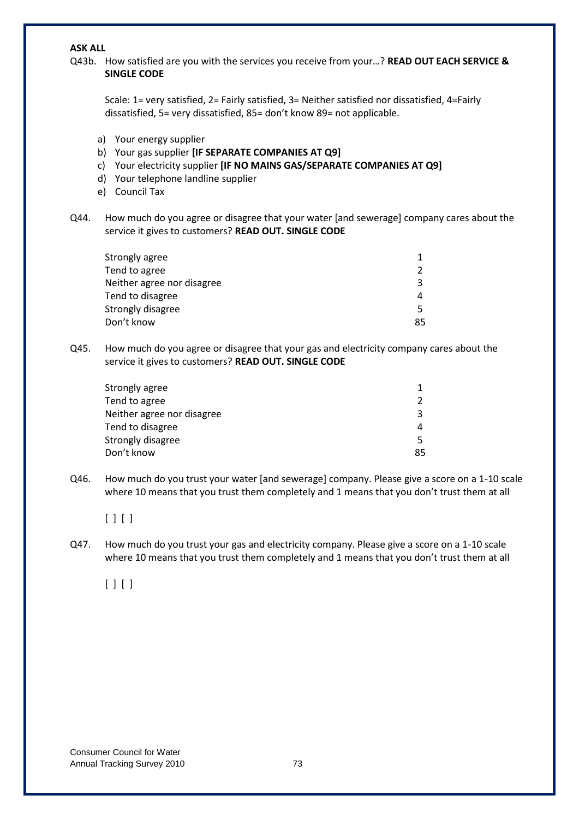#### **ASK ALL**

Q43b. How satisfied are you with the services you receive from your…? **READ OUT EACH SERVICE & SINGLE CODE**

| Scale: 1= very satisfied, 2= Fairly satisfied, 3= Neither satisfied nor dissatisfied, 4=Fairly |
|------------------------------------------------------------------------------------------------|
| dissatisfied, 5= very dissatisfied, 85= don't know 89= not applicable.                         |

- a) Your energy supplier
- b) Your gas supplier **[IF SEPARATE COMPANIES AT Q9]**
- c) Your electricity supplier **[IF NO MAINS GAS/SEPARATE COMPANIES AT Q9]**
- d) Your telephone landline supplier
- e) Council Tax
- Q44. How much do you agree or disagree that your water [and sewerage] company cares about the service it gives to customers? **READ OUT. SINGLE CODE**

| $\mathcal{P}$ |
|---------------|
| ર             |
| 4             |
|               |
| 85            |
|               |

Q45. How much do you agree or disagree that your gas and electricity company cares about the service it gives to customers? **READ OUT. SINGLE CODE**

| $\mathcal{P}$ |
|---------------|
| ર             |
| 4             |
| 5.            |
| 85            |
|               |

Q46. How much do you trust your water [and sewerage] company. Please give a score on a 1-10 scale where 10 means that you trust them completely and 1 means that you don't trust them at all

#### $[ ] [ ]$

Q47. How much do you trust your gas and electricity company. Please give a score on a 1-10 scale where 10 means that you trust them completely and 1 means that you don't trust them at all

 $[ ] [ ]$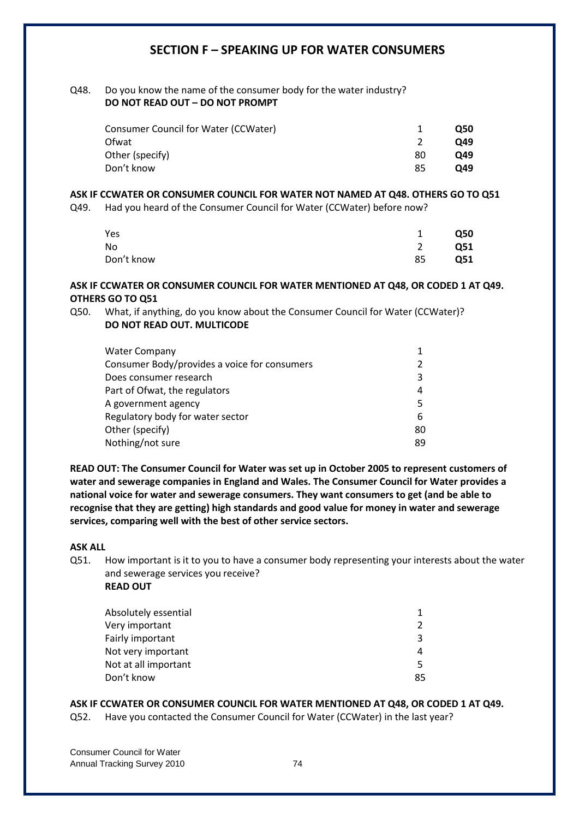## **SECTION F – SPEAKING UP FOR WATER CONSUMERS**

#### Q48. Do you know the name of the consumer body for the water industry? **DO NOT READ OUT – DO NOT PROMPT**

|    | <b>O50</b> |
|----|------------|
|    | O49        |
| 80 | O49        |
| 85 | O49        |
|    |            |

#### **ASK IF CCWATER OR CONSUMER COUNCIL FOR WATER NOT NAMED AT Q48. OTHERS GO TO Q51**

Q49. Had you heard of the Consumer Council for Water (CCWater) before now?

| Yes        | 1  | <b>Q50</b> |
|------------|----|------------|
| No         | 2  | Q51        |
| Don't know | 85 | Q51        |

#### **ASK IF CCWATER OR CONSUMER COUNCIL FOR WATER MENTIONED AT Q48, OR CODED 1 AT Q49. OTHERS GO TO Q51**

Q50. What, if anything, do you know about the Consumer Council for Water (CCWater)? **DO NOT READ OUT. MULTICODE**

| <b>Water Company</b>                         |               |
|----------------------------------------------|---------------|
| Consumer Body/provides a voice for consumers | $\mathcal{P}$ |
| Does consumer research                       | ξ             |
| Part of Ofwat, the regulators                | 4             |
| A government agency                          | 5.            |
| Regulatory body for water sector             | 6             |
| Other (specify)                              | 80            |
| Nothing/not sure                             | 89            |
|                                              |               |

**READ OUT: The Consumer Council for Water was set up in October 2005 to represent customers of water and sewerage companies in England and Wales. The Consumer Council for Water provides a national voice for water and sewerage consumers. They want consumers to get (and be able to recognise that they are getting) high standards and good value for money in water and sewerage services, comparing well with the best of other service sectors.**

#### **ASK ALL**

Q51. How important is it to you to have a consumer body representing your interests about the water and sewerage services you receive?

| <b>READ OUT</b> |  |
|-----------------|--|
|-----------------|--|

| Absolutely essential |               |
|----------------------|---------------|
| Very important       | $\mathcal{P}$ |
| Fairly important     | ₹             |
| Not very important   | 4             |
| Not at all important | 5.            |
| Don't know           | 85            |

#### **ASK IF CCWATER OR CONSUMER COUNCIL FOR WATER MENTIONED AT Q48, OR CODED 1 AT Q49.**

Q52. Have you contacted the Consumer Council for Water (CCWater) in the last year?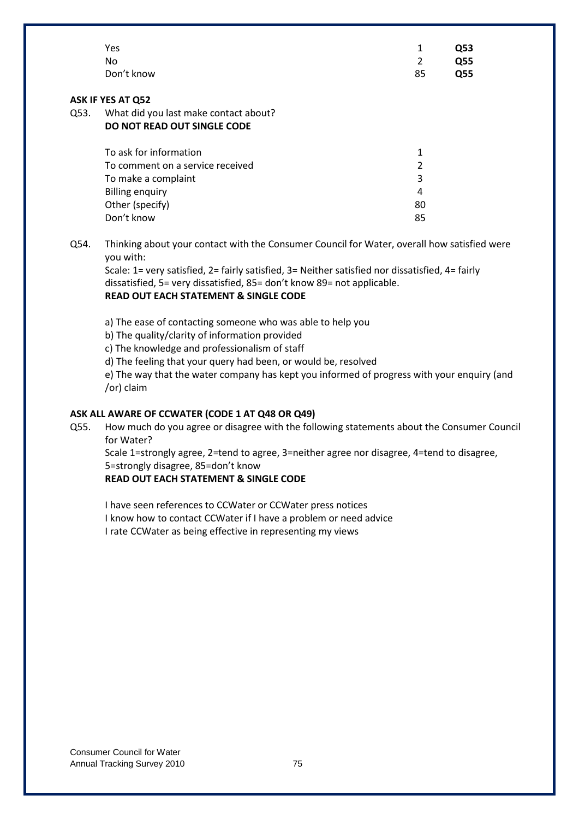|      | Yes                                                                                                                                                                                                                                                                                                                                         | 1              | Q53        |  |  |
|------|---------------------------------------------------------------------------------------------------------------------------------------------------------------------------------------------------------------------------------------------------------------------------------------------------------------------------------------------|----------------|------------|--|--|
|      | <b>No</b>                                                                                                                                                                                                                                                                                                                                   | $\overline{2}$ | Q55        |  |  |
|      | Don't know                                                                                                                                                                                                                                                                                                                                  | 85             | <b>Q55</b> |  |  |
|      | <b>ASK IF YES AT Q52</b>                                                                                                                                                                                                                                                                                                                    |                |            |  |  |
| Q53. | What did you last make contact about?                                                                                                                                                                                                                                                                                                       |                |            |  |  |
|      | DO NOT READ OUT SINGLE CODE                                                                                                                                                                                                                                                                                                                 |                |            |  |  |
|      | To ask for information                                                                                                                                                                                                                                                                                                                      | $\mathbf{1}$   |            |  |  |
|      | To comment on a service received                                                                                                                                                                                                                                                                                                            | $\overline{2}$ |            |  |  |
|      | To make a complaint                                                                                                                                                                                                                                                                                                                         | 3              |            |  |  |
|      | <b>Billing enquiry</b>                                                                                                                                                                                                                                                                                                                      | $\overline{4}$ |            |  |  |
|      | Other (specify)                                                                                                                                                                                                                                                                                                                             | 80             |            |  |  |
|      | Don't know                                                                                                                                                                                                                                                                                                                                  | 85             |            |  |  |
| Q54. | Thinking about your contact with the Consumer Council for Water, overall how satisfied were<br>you with:<br>Scale: 1= very satisfied, 2= fairly satisfied, 3= Neither satisfied nor dissatisfied, 4= fairly<br>dissatisfied, 5= very dissatisfied, 85= don't know 89= not applicable.<br><b>READ OUT EACH STATEMENT &amp; SINGLE CODE</b>   |                |            |  |  |
|      | a) The ease of contacting someone who was able to help you<br>b) The quality/clarity of information provided<br>c) The knowledge and professionalism of staff<br>d) The feeling that your query had been, or would be, resolved<br>e) The way that the water company has kept you informed of progress with your enquiry (and<br>/or) claim |                |            |  |  |
|      | ASK ALL AWARE OF CCWATER (CODE 1 AT Q48 OR Q49)                                                                                                                                                                                                                                                                                             |                |            |  |  |
| Q55. | How much do you agree or disagree with the following statements about the Consumer Council<br>for Water?                                                                                                                                                                                                                                    |                |            |  |  |
|      | $\frac{1}{2}$ (and $\frac{1}{2}$ -transly $\frac{1}{2}$ -tand to $\frac{1}{2}$ area $\frac{1}{2}$ -neither $\frac{1}{2}$ area nor disparse $\frac{1}{2}$ -tand to disparse                                                                                                                                                                  |                |            |  |  |

Scale 1=strongly agree, 2=tend to agree, 3=neither agree nor disagree, 4=tend to disagree, 5=strongly disagree, 85=don't know

## **READ OUT EACH STATEMENT & SINGLE CODE**

I have seen references to CCWater or CCWater press notices I know how to contact CCWater if I have a problem or need advice I rate CCWater as being effective in representing my views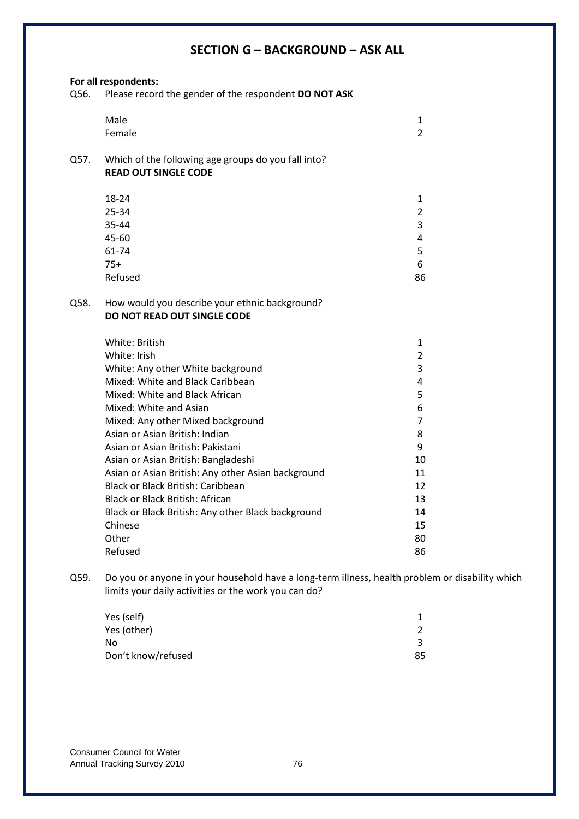# **SECTION G – BACKGROUND – ASK ALL**

|      | For all respondents:                                                                 |                |
|------|--------------------------------------------------------------------------------------|----------------|
| Q56. | Please record the gender of the respondent DO NOT ASK                                |                |
|      | Male                                                                                 | 1              |
|      | Female                                                                               | $\overline{2}$ |
| Q57. | Which of the following age groups do you fall into?<br><b>READ OUT SINGLE CODE</b>   |                |
|      | 18-24                                                                                | 1              |
|      | 25-34                                                                                | $\overline{2}$ |
|      | 35-44                                                                                | 3              |
|      | 45-60                                                                                | 4              |
|      | 61-74                                                                                | 5              |
|      | $75+$                                                                                | 6              |
|      | Refused                                                                              | 86             |
| Q58. | How would you describe your ethnic background?<br><b>DO NOT READ OUT SINGLE CODE</b> |                |
|      | White: British                                                                       | 1              |
|      | White: Irish                                                                         | $\overline{2}$ |
|      | White: Any other White background                                                    | 3              |
|      | Mixed: White and Black Caribbean                                                     | 4              |
|      | Mixed: White and Black African                                                       | 5              |
|      | Mixed: White and Asian                                                               | 6              |
|      | Mixed: Any other Mixed background                                                    | $\overline{7}$ |
|      | Asian or Asian British: Indian                                                       | 8              |
|      | Asian or Asian British: Pakistani                                                    | 9              |
|      | Asian or Asian British: Bangladeshi                                                  | 10             |
|      | Asian or Asian British: Any other Asian background                                   | 11             |
|      | Black or Black British: Caribbean                                                    | 12             |
|      | <b>Black or Black British: African</b>                                               | 13             |
|      | Black or Black British: Any other Black background                                   | 14             |
|      | Chinese                                                                              | 15             |
|      | Other                                                                                | 80             |
|      | Refused                                                                              | 86             |

Q59. Do you or anyone in your household have a long-term illness, health problem or disability which limits your daily activities or the work you can do?

| Yes (self)         |    |
|--------------------|----|
| Yes (other)        |    |
| No                 |    |
| Don't know/refused | 85 |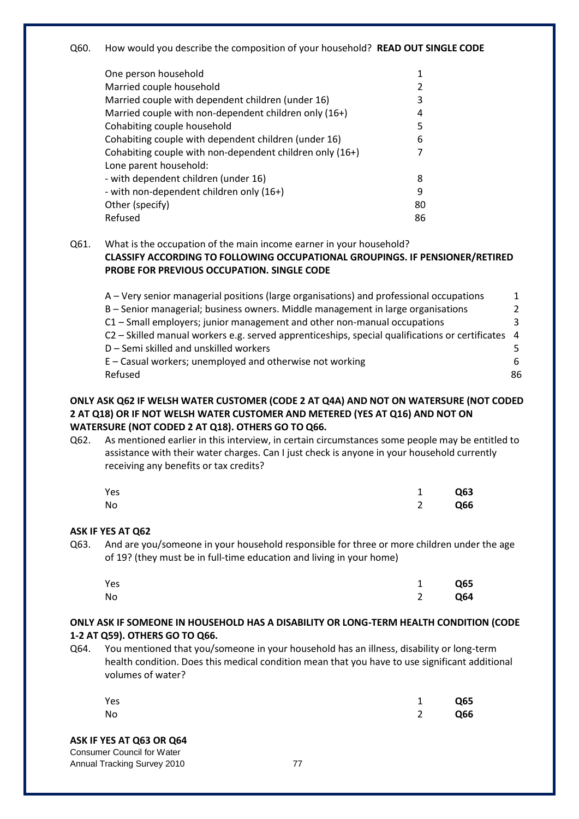Q60. How would you describe the composition of your household? **READ OUT SINGLE CODE**

| One person household                                     |    |
|----------------------------------------------------------|----|
| Married couple household                                 |    |
| Married couple with dependent children (under 16)        | 3  |
| Married couple with non-dependent children only (16+)    | 4  |
| Cohabiting couple household                              | 5  |
| Cohabiting couple with dependent children (under 16)     | 6  |
| Cohabiting couple with non-dependent children only (16+) |    |
| Lone parent household:                                   |    |
| - with dependent children (under 16)                     | 8  |
| - with non-dependent children only (16+)                 | 9  |
| Other (specify)                                          | 80 |
| Refused                                                  | 86 |

Q61. What is the occupation of the main income earner in your household? **CLASSIFY ACCORDING TO FOLLOWING OCCUPATIONAL GROUPINGS. IF PENSIONER/RETIRED PROBE FOR PREVIOUS OCCUPATION. SINGLE CODE**

| A – Very senior managerial positions (large organisations) and professional occupations           | $\mathbf{1}$ |
|---------------------------------------------------------------------------------------------------|--------------|
| B – Senior managerial; business owners. Middle management in large organisations                  | 2            |
| C1 - Small employers; junior management and other non-manual occupations                          | ર            |
| C2 - Skilled manual workers e.g. served apprenticeships, special qualifications or certificates 4 |              |
| D - Semi skilled and unskilled workers                                                            | -5.          |
| $E$ – Casual workers; unemployed and otherwise not working                                        | 6            |
| Refused                                                                                           | 86           |

#### **ONLY ASK Q62 IF WELSH WATER CUSTOMER (CODE 2 AT Q4A) AND NOT ON WATERSURE (NOT CODED 2 AT Q18) OR IF NOT WELSH WATER CUSTOMER AND METERED (YES AT Q16) AND NOT ON WATERSURE (NOT CODED 2 AT Q18). OTHERS GO TO Q66.**

Q62. As mentioned earlier in this interview, in certain circumstances some people may be entitled to assistance with their water charges. Can I just check is anyone in your household currently receiving any benefits or tax credits?

| Yes | 1 Q63 |
|-----|-------|
| No  | 2 Q66 |

#### **ASK IF YES AT Q62**

Q63. And are you/someone in your household responsible for three or more children under the age of 19? (they must be in full-time education and living in your home)

| Yes | 1 Q65 |
|-----|-------|
| No  | 2 Q64 |

#### **ONLY ASK IF SOMEONE IN HOUSEHOLD HAS A DISABILITY OR LONG-TERM HEALTH CONDITION (CODE 1-2 AT Q59). OTHERS GO TO Q66.**

Q64. You mentioned that you/someone in your household has an illness, disability or long-term health condition. Does this medical condition mean that you have to use significant additional volumes of water?

| Yes | 1 Q65 |
|-----|-------|
| No  | 2 Q66 |
|     |       |

## **ASK IF YES AT Q63 OR Q64**

Consumer Council for Water Annual Tracking Survey 2010 **77**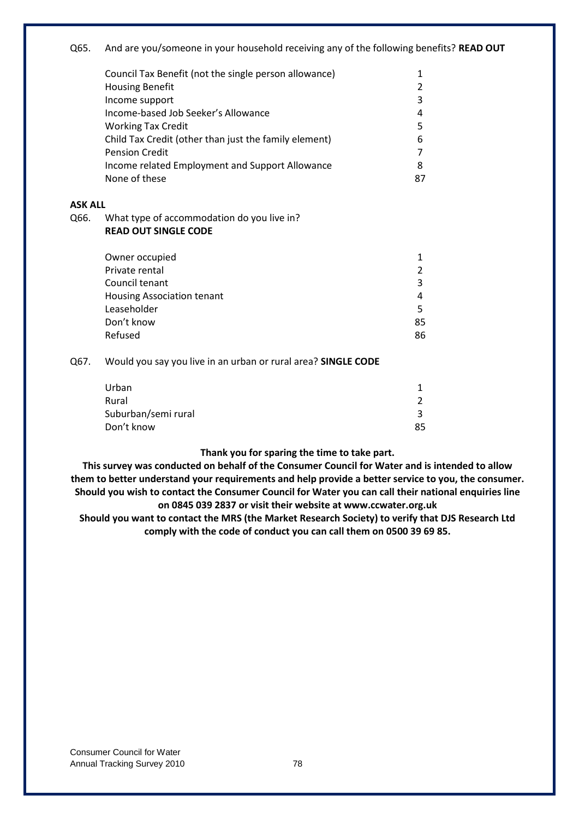# Q65. And are you/someone in your household receiving any of the following benefits? **READ OUT** Council Tax Benefit (not the single person allowance) 1 Housing Benefit 2 Income support 3 Income-based Job Seeker's Allowance 4 Working Tax Credit 5 Child Tax Credit (other than just the family element) 6 Pension Credit 7 and 2008 and 2008 and 2008 and 2008 and 2008 and 2008 and 2008 and 2008 and 2008 and 2008 and 2008 and 2008 and 2008 and 2008 and 2008 and 2008 and 2008 and 2008 and 2008 and 2008 and 2008 and 2008 and 200 Income related Employment and Support Allowance 8 None of these 87 **ASK ALL** Q66. What type of accommodation do you live in? **READ OUT SINGLE CODE** Owner occupied 1 Private rental 2 Council tenant 3 Housing Association tenant 4 Leaseholder 5 Don't know 85 Refused 86 Q67. Would you say you live in an urban or rural area? **SINGLE CODE** Urban 1 Rural 2012 and 2012 and 2013 and 2014 and 2014 and 2014 and 2014 and 2014 and 2014 and 2014 and 2014 and 2014 and 2014 and 2014 and 2014 and 2014 and 2014 and 2014 and 2014 and 2014 and 2014 and 2014 and 2014 and 2014 and Suburban/semi rural 3

**Thank you for sparing the time to take part.**

Don't know 85

**This survey was conducted on behalf of the Consumer Council for Water and is intended to allow them to better understand your requirements and help provide a better service to you, the consumer. Should you wish to contact the Consumer Council for Water you can call their national enquiries line on 0845 039 2837 or visit their website at www.ccwater.org.uk**

**Should you want to contact the MRS (the Market Research Society) to verify that DJS Research Ltd comply with the code of conduct you can call them on 0500 39 69 85.**